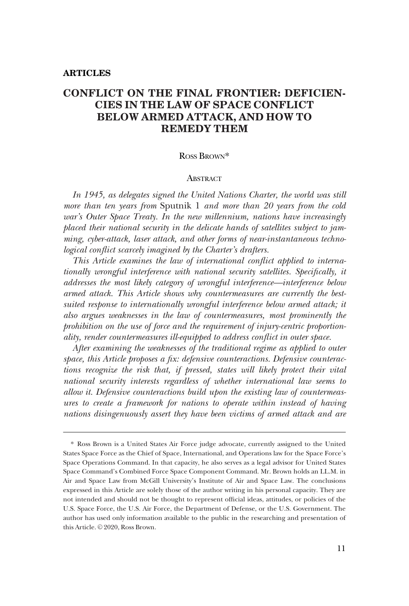# **CONFLICT ON THE FINAL FRONTIER: DEFICIEN-CIES IN THE LAW OF SPACE CONFLICT BELOW ARMED ATTACK, AND HOW TO REMEDY THEM**

### ROSS BROWN\*

### **ABSTRACT**

*In 1945, as delegates signed the United Nations Charter, the world was still more than ten years from* Sputnik 1 *and more than 20 years from the cold war's Outer Space Treaty. In the new millennium, nations have increasingly placed their national security in the delicate hands of satellites subject to jamming, cyber-attack, laser attack, and other forms of near-instantaneous technological confict scarcely imagined by the Charter's drafters.* 

*This Article examines the law of international confict applied to internationally wrongful interference with national security satellites. Specifcally, it addresses the most likely category of wrongful interference—interference below armed attack. This Article shows why countermeasures are currently the bestsuited response to internationally wrongful interference below armed attack; it also argues weaknesses in the law of countermeasures, most prominently the prohibition on the use of force and the requirement of injury-centric proportionality, render countermeasures ill-equipped to address confict in outer space.* 

*After examining the weaknesses of the traditional regime as applied to outer space, this Article proposes a fx: defensive counteractions. Defensive counteractions recognize the risk that, if pressed, states will likely protect their vital national security interests regardless of whether international law seems to allow it. Defensive counteractions build upon the existing law of countermeasures to create a framework for nations to operate within instead of having nations disingenuously assert they have been victims of armed attack and are* 

<sup>\*</sup> Ross Brown is a United States Air Force judge advocate, currently assigned to the United States Space Force as the Chief of Space, International, and Operations law for the Space Force's Space Operations Command. In that capacity, he also serves as a legal advisor for United States Space Command's Combined Force Space Component Command. Mr. Brown holds an LL.M. in Air and Space Law from McGill University's Institute of Air and Space Law. The conclusions expressed in this Article are solely those of the author writing in his personal capacity. They are not intended and should not be thought to represent offcial ideas, attitudes, or policies of the U.S. Space Force, the U.S. Air Force, the Department of Defense, or the U.S. Government. The author has used only information available to the public in the researching and presentation of this Article. © 2020, Ross Brown.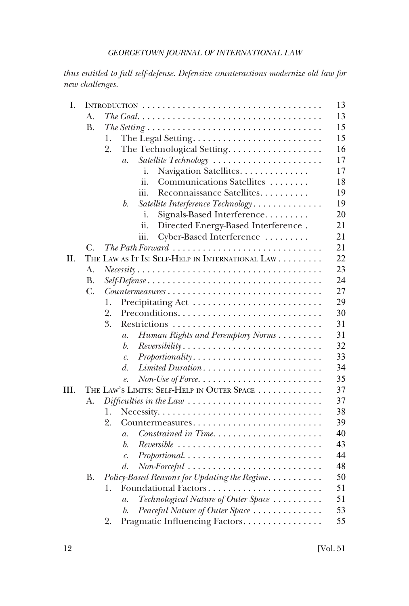*thus entitled to full self-defense. Defensive counteractions modernize old law for new challenges.* 

| I.   |             |                                                                                                   | 13 |
|------|-------------|---------------------------------------------------------------------------------------------------|----|
|      | А.          |                                                                                                   | 13 |
|      | <b>B.</b>   | The Setting $\ldots \ldots \ldots \ldots \ldots \ldots \ldots \ldots \ldots \ldots \ldots \ldots$ | 15 |
|      |             | 1.                                                                                                | 15 |
|      |             | 2.<br>The Technological Setting.                                                                  | 16 |
|      |             | Satellite Technology<br>$\overline{a}$ .                                                          | 17 |
|      |             | Navigation Satellites.<br>i.                                                                      | 17 |
|      |             | ii.<br>Communications Satellites                                                                  | 18 |
|      |             | Reconnaissance Satellites<br>iii.                                                                 | 19 |
|      |             | Satellite Interference Technology<br>b.                                                           | 19 |
|      |             | i.<br>Signals-Based Interference                                                                  | 20 |
|      |             | ii.<br>Directed Energy-Based Interference.                                                        | 21 |
|      |             | Cyber-Based Interference<br>iii.                                                                  | 21 |
|      | C.          |                                                                                                   | 21 |
| П.   |             | THE LAW AS IT IS: SELF-HELP IN INTERNATIONAL LAW                                                  | 22 |
|      | A.          |                                                                                                   | 23 |
|      | <b>B.</b>   |                                                                                                   | 24 |
|      | $C_{\cdot}$ | $Countermeasures \dots \dots \dots \dots \dots \dots \dots \dots \dots \dots \dots \dots$         | 27 |
|      |             | 1.                                                                                                | 29 |
|      |             | 2.                                                                                                | 30 |
|      |             | 3.                                                                                                | 31 |
|      |             | Human Rights and Peremptory Norms<br>$\mathfrak{a}.$                                              | 31 |
|      |             | b.<br>$Reversibility \ldots \ldots \ldots \ldots \ldots \ldots \ldots \ldots \ldots$              | 32 |
|      |             | Proportionality<br>$\mathcal{C}$ .                                                                | 33 |
|      |             | d.<br>Limited Duration                                                                            | 34 |
|      |             | $Non-Use\ of\ Force.\ \dots \dots \dots \dots \dots \dots \dots \dots$<br>$\ell$ .                | 35 |
| III. |             | THE LAW'S LIMITS: SELF-HELP IN OUTER SPACE                                                        | 37 |
|      | А.          |                                                                                                   | 37 |
|      |             | 1.                                                                                                | 38 |
|      |             | 2.<br>Countermeasures                                                                             | 39 |
|      |             | Constrained in Time<br>$\overline{a}$ .                                                           | 40 |
|      |             | b.<br>$Reversible$                                                                                | 43 |
|      |             | $Proportional. \ldots \ldots \ldots \ldots \ldots \ldots \ldots \ldots$<br>$\mathcal{C}$ .        | 44 |
|      |             | d.                                                                                                | 48 |
|      | <b>B.</b>   | Policy-Based Reasons for Updating the Regime                                                      | 50 |
|      |             | Foundational Factors<br>1.                                                                        | 51 |
|      |             | Technological Nature of Outer Space<br>$\mathfrak{a}.$                                            | 51 |
|      |             | Peaceful Nature of Outer Space<br>b.                                                              | 53 |
|      |             | Pragmatic Influencing Factors.<br>2.                                                              | 55 |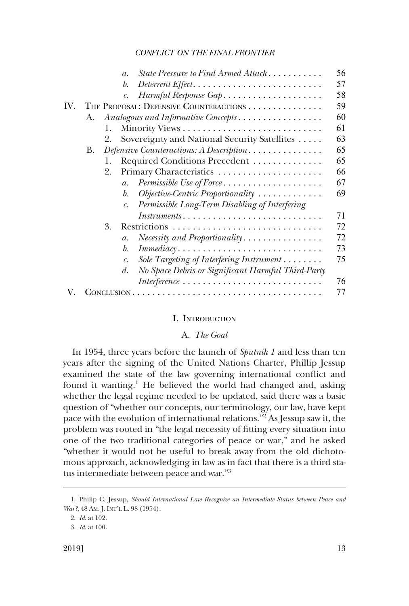<span id="page-2-0"></span>

|     |    |    | State Pressure to Find Armed Attack<br>$\mathfrak{a}$ .                            | 56 |
|-----|----|----|------------------------------------------------------------------------------------|----|
|     |    |    | b.                                                                                 | 57 |
|     |    |    | Harmful Response Gap                                                               | 58 |
| IV. |    |    | THE PROPOSAL: DEFENSIVE COUNTERACTIONS                                             | 59 |
|     | А. |    | Analogous and Informative Concepts                                                 | 60 |
|     |    | 1. |                                                                                    | 61 |
|     |    | 2. | Sovereignty and National Security Satellites                                       | 63 |
|     | В. |    | Defensive Counteractions: A Description                                            | 65 |
|     |    | 1. | Required Conditions Precedent                                                      | 65 |
|     |    | 2. | Primary Characteristics                                                            | 66 |
|     |    |    | Permissible Use of Force<br>$\overline{a}$ .                                       | 67 |
|     |    |    | Objective-Centric Proportionality<br>b.                                            | 69 |
|     |    |    | Permissible Long-Term Disabling of Interfering                                     |    |
|     |    |    | $Instruments$                                                                      | 71 |
|     |    | 3. | Restrictions                                                                       | 72 |
|     |    |    | $\mathfrak{a}.$                                                                    | 72 |
|     |    |    | $\mathit{Immediacy} \ldots \ldots \ldots \ldots \ldots \ldots \ldots \ldots$<br>b. | 73 |
|     |    |    | Sole Targeting of Interfering Instrument<br>$\mathcal{C}$ .                        | 75 |
|     |    |    | No Space Debris or Significant Harmful Third-Party<br>d.                           |    |
|     |    |    | $Interference \dots \dots \dots \dots \dots \dots \dots \dots \dots \dots \dots$   | 76 |
|     |    |    |                                                                                    | 77 |

### I. INTRODUCTION

# A. *The Goal*

In 1954, three years before the launch of *Sputnik 1* and less than ten years after the signing of the United Nations Charter, Phillip Jessup examined the state of the law governing international confict and found it wanting.<sup>1</sup> He believed the world had changed and, asking whether the legal regime needed to be updated, said there was a basic question of "whether our concepts, our terminology, our law, have kept pace with the evolution of international relations."2 As Jessup saw it, the problem was rooted in "the legal necessity of ftting every situation into one of the two traditional categories of peace or war," and he asked "whether it would not be useful to break away from the old dichotomous approach, acknowledging in law as in fact that there is a third status intermediate between peace and war."3

<sup>1.</sup> Philip C. Jessup, *Should International Law Recognize an Intermediate Status between Peace and War?*, 48 AM. J. INT'L L. 98 (1954).

<sup>2.</sup> *Id*. at 102.

<sup>3.</sup> *Id*. at 100.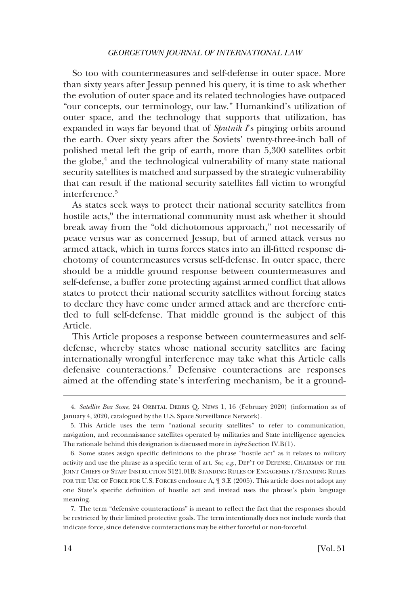So too with countermeasures and self-defense in outer space. More than sixty years after Jessup penned his query, it is time to ask whether the evolution of outer space and its related technologies have outpaced "our concepts, our terminology, our law." Humankind's utilization of outer space, and the technology that supports that utilization, has expanded in ways far beyond that of *Sputnik I*'s pinging orbits around the earth. Over sixty years after the Soviets' twenty-three-inch ball of polished metal left the grip of earth, more than 5,300 satellites orbit the globe,<sup>4</sup> and the technological vulnerability of many state national security satellites is matched and surpassed by the strategic vulnerability that can result if the national security satellites fall victim to wrongful interference.<sup>5</sup>

As states seek ways to protect their national security satellites from hostile acts,<sup>6</sup> the international community must ask whether it should break away from the "old dichotomous approach," not necessarily of peace versus war as concerned Jessup, but of armed attack versus no armed attack, which in turns forces states into an ill-ftted response dichotomy of countermeasures versus self-defense. In outer space, there should be a middle ground response between countermeasures and self-defense, a buffer zone protecting against armed confict that allows states to protect their national security satellites without forcing states to declare they have come under armed attack and are therefore entitled to full self-defense. That middle ground is the subject of this Article.

This Article proposes a response between countermeasures and selfdefense, whereby states whose national security satellites are facing internationally wrongful interference may take what this Article calls defensive counteractions.7 Defensive counteractions are responses aimed at the offending state's interfering mechanism, be it a ground-

<sup>4.</sup> *Satellite Box Score*, 24 ORBITAL DEBRIS Q. NEWS 1, 16 (February 2020) (information as of January 4, 2020, catalogued by the U.S. Space Surveillance Network).

<sup>5.</sup> This Article uses the term "national security satellites" to refer to communication, navigation, and reconnaissance satellites operated by militaries and State intelligence agencies. The rationale behind this designation is discussed more in *infra* Section IV.B(1).

<sup>6.</sup> Some states assign specifc defnitions to the phrase "hostile act" as it relates to military activity and use the phrase as a specifc term of art. *See, e.g*., DEP'T OF DEFENSE, CHAIRMAN OF THE JOINT CHIEFS OF STAFF INSTRUCTION 3121.01B: STANDING RULES OF ENGAGEMENT/STANDING RULES FOR THE USE OF FORCE FOR U.S. FORCES enclosure A,  $\parallel$  3.E (2005). This article does not adopt any one State's specifc defnition of hostile act and instead uses the phrase's plain language meaning.

<sup>7.</sup> The term "defensive counteractions" is meant to refect the fact that the responses should be restricted by their limited protective goals. The term intentionally does not include words that indicate force, since defensive counteractions may be either forceful or non-forceful.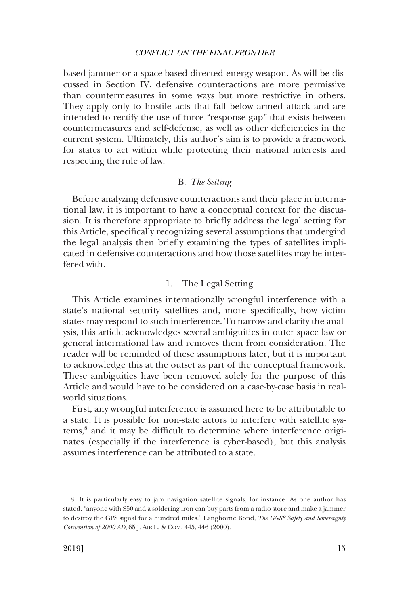<span id="page-4-0"></span>based jammer or a space-based directed energy weapon. As will be discussed in Section IV, defensive counteractions are more permissive than countermeasures in some ways but more restrictive in others. They apply only to hostile acts that fall below armed attack and are intended to rectify the use of force "response gap" that exists between countermeasures and self-defense, as well as other defciencies in the current system. Ultimately, this author's aim is to provide a framework for states to act within while protecting their national interests and respecting the rule of law.

# B. *The Setting*

Before analyzing defensive counteractions and their place in international law, it is important to have a conceptual context for the discussion. It is therefore appropriate to briefy address the legal setting for this Article, specifcally recognizing several assumptions that undergird the legal analysis then briefy examining the types of satellites implicated in defensive counteractions and how those satellites may be interfered with.

## 1. The Legal Setting

This Article examines internationally wrongful interference with a state's national security satellites and, more specifcally, how victim states may respond to such interference. To narrow and clarify the analysis, this article acknowledges several ambiguities in outer space law or general international law and removes them from consideration. The reader will be reminded of these assumptions later, but it is important to acknowledge this at the outset as part of the conceptual framework. These ambiguities have been removed solely for the purpose of this Article and would have to be considered on a case-by-case basis in realworld situations.

First, any wrongful interference is assumed here to be attributable to a state. It is possible for non-state actors to interfere with satellite systems,<sup>8</sup> and it may be difficult to determine where interference originates (especially if the interference is cyber-based), but this analysis assumes interference can be attributed to a state.

<sup>8.</sup> It is particularly easy to jam navigation satellite signals, for instance. As one author has stated, "anyone with \$50 and a soldering iron can buy parts from a radio store and make a jammer to destroy the GPS signal for a hundred miles." Langhorne Bond, *The GNSS Safety and Sovereignty Convention of 2000 AD*, 65 J. AIR L. & COM. 445, 446 (2000).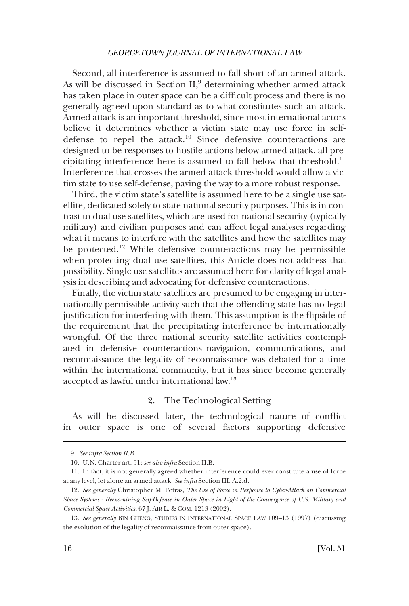<span id="page-5-0"></span>Second, all interference is assumed to fall short of an armed attack. As will be discussed in Section  $II$ , determining whether armed attack has taken place in outer space can be a diffcult process and there is no generally agreed-upon standard as to what constitutes such an attack. Armed attack is an important threshold, since most international actors believe it determines whether a victim state may use force in selfdefense to repel the attack.<sup>10</sup> Since defensive counteractions are designed to be responses to hostile actions below armed attack, all precipitating interference here is assumed to fall below that threshold.<sup>11</sup> Interference that crosses the armed attack threshold would allow a victim state to use self-defense, paving the way to a more robust response.

Third, the victim state's satellite is assumed here to be a single use satellite, dedicated solely to state national security purposes. This is in contrast to dual use satellites, which are used for national security (typically military) and civilian purposes and can affect legal analyses regarding what it means to interfere with the satellites and how the satellites may be protected.<sup>12</sup> While defensive counteractions may be permissible when protecting dual use satellites, this Article does not address that possibility. Single use satellites are assumed here for clarity of legal analysis in describing and advocating for defensive counteractions.

Finally, the victim state satellites are presumed to be engaging in internationally permissible activity such that the offending state has no legal justifcation for interfering with them. This assumption is the fipside of the requirement that the precipitating interference be internationally wrongful. Of the three national security satellite activities contemplated in defensive counteractions–navigation, communications, and reconnaissance–the legality of reconnaissance was debated for a time within the international community, but it has since become generally accepted as lawful under international law.13

# 2. The Technological Setting

As will be discussed later, the technological nature of confict in outer space is one of several factors supporting defensive

<sup>9.</sup> *See infra Section II.B*.

<sup>10.</sup> U.N. Charter art. 51; *see also infra* Section II.B.

<sup>11.</sup> In fact, it is not generally agreed whether interference could ever constitute a use of force at any level, let alone an armed attack. *See infra* Section III. A.2.d.

<sup>12.</sup> *See generally* Christopher M. Petras, *The Use of Force in Response to Cyber-Attack on Commercial Space Systems - Reexamining Self-Defense in Outer Space in Light of the Convergence of U.S. Military and Commercial Space Activities*, 67 J. AIR L. & COM. 1213 (2002).

<sup>13.</sup> *See generally* BIN CHENG, STUDIES IN INTERNATIONAL SPACE LAW 109–13 (1997) (discussing the evolution of the legality of reconnaissance from outer space).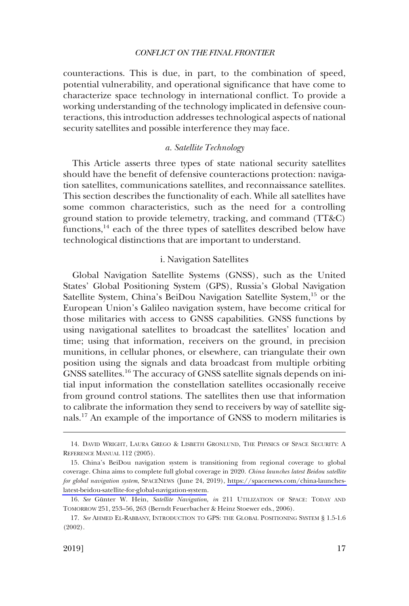<span id="page-6-0"></span>counteractions. This is due, in part, to the combination of speed, potential vulnerability, and operational signifcance that have come to characterize space technology in international confict. To provide a working understanding of the technology implicated in defensive counteractions, this introduction addresses technological aspects of national security satellites and possible interference they may face.

# *a. Satellite Technology*

This Article asserts three types of state national security satellites should have the beneft of defensive counteractions protection: navigation satellites, communications satellites, and reconnaissance satellites. This section describes the functionality of each. While all satellites have some common characteristics, such as the need for a controlling ground station to provide telemetry, tracking, and command (TT&C) functions, $14$  each of the three types of satellites described below have technological distinctions that are important to understand.

# i. Navigation Satellites

Global Navigation Satellite Systems (GNSS), such as the United States' Global Positioning System (GPS), Russia's Global Navigation Satellite System, China's BeiDou Navigation Satellite System,<sup>15</sup> or the European Union's Galileo navigation system, have become critical for those militaries with access to GNSS capabilities. GNSS functions by using navigational satellites to broadcast the satellites' location and time; using that information, receivers on the ground, in precision munitions, in cellular phones, or elsewhere, can triangulate their own position using the signals and data broadcast from multiple orbiting GNSS satellites.16 The accuracy of GNSS satellite signals depends on initial input information the constellation satellites occasionally receive from ground control stations. The satellites then use that information to calibrate the information they send to receivers by way of satellite signals.17 An example of the importance of GNSS to modern militaries is

<sup>14.</sup> DAVID WRIGHT, LAURA GREGO & LISBETH GRONLUND, THE PHYSICS OF SPACE SECURITY: A REFERENCE MANUAL 112 (2005).

China's BeiDou navigation system is transitioning from regional coverage to global 15. coverage. China aims to complete full global coverage in 2020. *China launches latest Beidou satellite for global navigation system*, SPACENEWS (June 24, 2019), [https://spacenews.com/china-launches](https://spacenews.com/china-launches-latest-beidou-satellite-for-global-navigation-system)[latest-beidou-satellite-for-global-navigation-system](https://spacenews.com/china-launches-latest-beidou-satellite-for-global-navigation-system).

<sup>16.</sup> See Günter W. Hein, *Satellite Navigation*, *in* 211 UTILIZATION OF SPACE: TODAY AND TOMORROW 251, 253–56, 263 (Berndt Feuerbacher & Heinz Stoewer eds., 2006).

<sup>17.</sup> *See* AHMED EL-RABBANY, INTRODUCTION TO GPS: THE GLOBAL POSITIONING SYSTEM § 1.5-1.6 (2002).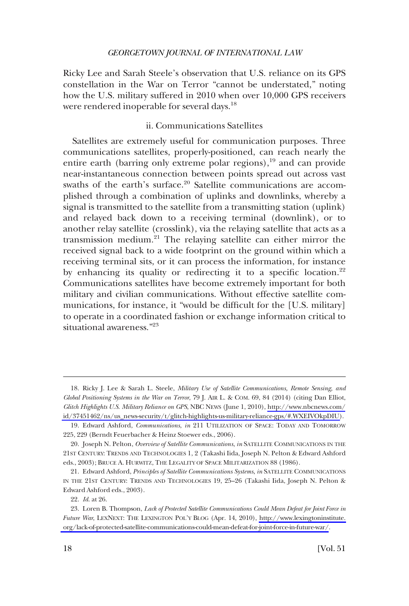<span id="page-7-0"></span>Ricky Lee and Sarah Steele's observation that U.S. reliance on its GPS constellation in the War on Terror "cannot be understated," noting how the U.S. military suffered in 2010 when over 10,000 GPS receivers were rendered inoperable for several days.<sup>18</sup>

# ii. Communications Satellites

Satellites are extremely useful for communication purposes. Three communications satellites, properly-positioned, can reach nearly the entire earth (barring only extreme polar regions), $^{19}$  and can provide near-instantaneous connection between points spread out across vast swaths of the earth's surface.<sup>20</sup> Satellite communications are accomplished through a combination of uplinks and downlinks, whereby a signal is transmitted to the satellite from a transmitting station (uplink) and relayed back down to a receiving terminal (downlink), or to another relay satellite (crosslink), via the relaying satellite that acts as a transmission medium.<sup>21</sup> The relaying satellite can either mirror the received signal back to a wide footprint on the ground within which a receiving terminal sits, or it can process the information, for instance by enhancing its quality or redirecting it to a specific location.<sup>22</sup> Communications satellites have become extremely important for both military and civilian communications. Without effective satellite communications, for instance, it "would be diffcult for the [U.S. military] to operate in a coordinated fashion or exchange information critical to situational awareness."<sup>23</sup>

<sup>18.</sup> Ricky J. Lee & Sarah L. Steele, *Military Use of Satellite Communications, Remote Sensing, and Global Positioning Systems in the War on Terror*, 79 J. AIR L. & COM. 69, 84 (2014) (citing Dan Elliot, *Glitch Highlights U.S. Military Reliance on GPS*, NBC NEWS (June 1, 2010), [http://www.nbcnews.com/](http://www.nbcnews.com/id/37451462/ns/us_news-security/t/glitch-highlights-us-military-reliance-gps/#.WXEIVOkpDIU)  [id/37451462/ns/us\\_news-security/t/glitch-highlights-us-military-reliance-gps/#.WXEIVOkpDIU\)](http://www.nbcnews.com/id/37451462/ns/us_news-security/t/glitch-highlights-us-military-reliance-gps/#.WXEIVOkpDIU).

<sup>19.</sup> Edward Ashford, *Communications*, *in* 211 UTILIZATION OF SPACE: TODAY AND TOMORROW 225, 229 (Berndt Feuerbacher & Heinz Stoewer eds., 2006).

<sup>20.</sup> Joseph N. Pelton, *Overview of Satellite Communications*, *in* SATELLITE COMMUNICATIONS IN THE 21ST CENTURY: TRENDS AND TECHNOLOGIES 1, 2 (Takashi Iida, Joseph N. Pelton & Edward Ashford eds., 2003); BRUCE A. HURWITZ, THE LEGALITY OF SPACE MILITARIZATION 88 (1986).

<sup>21.</sup> Edward Ashford, *Principles of Satellite Communications Systems*, *in* SATELLITE COMMUNICATIONS IN THE 21ST CENTURY: TRENDS AND TECHNOLOGIES 19, 25–26 (Takashi Iida, Joseph N. Pelton & Edward Ashford eds., 2003).

<sup>22.</sup> *Id*. at 26.

<sup>23.</sup>  Loren B. Thompson, *Lack of Protected Satellite Communications Could Mean Defeat for Joint Force in Future War*, LEXNEXT: THE LEXINGTON POL'Y BLOG (Apr. 14, 2010), [http://www.lexingtoninstitute.](http://www.lexingtoninstitute.org/lack-of-protected-satellite-communications-could-mean-defeat-for-joint-force-in-future-war/)  [org/lack-of-protected-satellite-communications-could-mean-defeat-for-joint-force-in-future-war/.](http://www.lexingtoninstitute.org/lack-of-protected-satellite-communications-could-mean-defeat-for-joint-force-in-future-war/)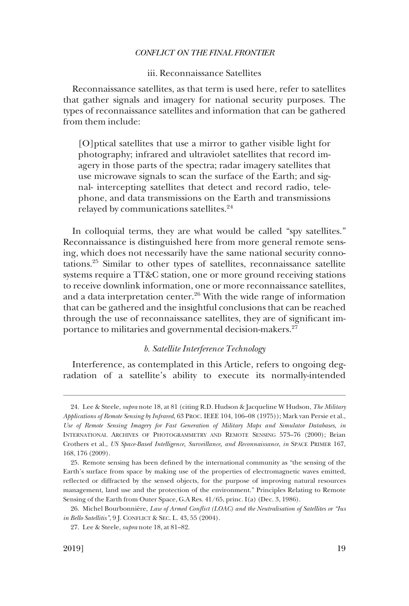# iii. Reconnaissance Satellites

<span id="page-8-0"></span>Reconnaissance satellites, as that term is used here, refer to satellites that gather signals and imagery for national security purposes. The types of reconnaissance satellites and information that can be gathered from them include:

[O]ptical satellites that use a mirror to gather visible light for photography; infrared and ultraviolet satellites that record imagery in those parts of the spectra; radar imagery satellites that use microwave signals to scan the surface of the Earth; and signal- intercepting satellites that detect and record radio, telephone, and data transmissions on the Earth and transmissions relayed by communications satellites.<sup>24</sup>

In colloquial terms, they are what would be called "spy satellites." Reconnaissance is distinguished here from more general remote sensing, which does not necessarily have the same national security connotations.25 Similar to other types of satellites, reconnaissance satellite systems require a TT&C station, one or more ground receiving stations to receive downlink information, one or more reconnaissance satellites, and a data interpretation center.<sup>26</sup> With the wide range of information that can be gathered and the insightful conclusions that can be reached through the use of reconnaissance satellites, they are of signifcant importance to militaries and governmental decision-makers. $2^{7}$ 

### *b. Satellite Interference Technology*

Interference, as contemplated in this Article, refers to ongoing degradation of a satellite's ability to execute its normally-intended

<sup>24.</sup> Lee & Steele, *supra* note 18, at 81 (citing R.D. Hudson & Jacqueline W Hudson, *The Military Applications of Remote Sensing by Infrared*, 63 PROC. IEEE 104, 106–08 (1975)); Mark van Persie et al., *Use of Remote Sensing Imagery for Fast Generation of Military Maps and Simulator Databases*, *in*  INTERNATIONAL ARCHIVES OF PHOTOGRAMMETRY AND REMOTE SENSING 573–76 (2000); Brian Crothers et al., *US Space-Based Intelligence, Surveillance, and Reconnaissance*, *in* SPACE PRIMER 167, 168, 176 (2009).

<sup>25.</sup> Remote sensing has been defned by the international community as "the sensing of the Earth's surface from space by making use of the properties of electromagnetic waves emitted, refected or diffracted by the sensed objects, for the purpose of improving natural resources management, land use and the protection of the environment." Principles Relating to Remote Sensing of the Earth from Outer Space, G.A Res. 41/65, princ. I(a) (Dec. 3, 1986).

<sup>26.</sup> Michel Bourbonnière, *Law of Armed Conflict (LOAC) and the Neutralisation of Satellites or "Ius in Bello Satellitis"*, 9 J. CONFLICT & SEC. L. 43, 55 (2004).

<sup>27.</sup> Lee & Steele, *supra* note 18, at 81–82.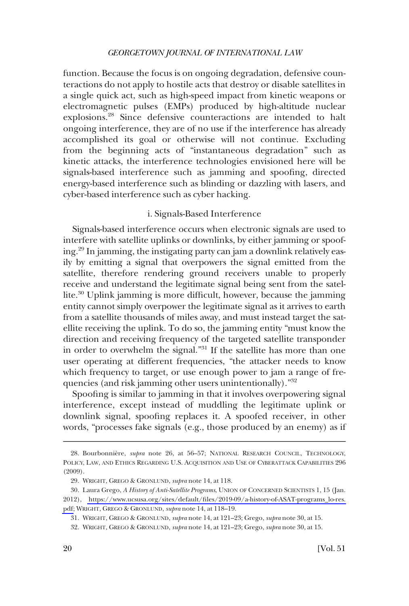<span id="page-9-0"></span>function. Because the focus is on ongoing degradation, defensive counteractions do not apply to hostile acts that destroy or disable satellites in a single quick act, such as high-speed impact from kinetic weapons or electromagnetic pulses (EMPs) produced by high-altitude nuclear explosions.28 Since defensive counteractions are intended to halt ongoing interference, they are of no use if the interference has already accomplished its goal or otherwise will not continue. Excluding from the beginning acts of "instantaneous degradation" such as kinetic attacks, the interference technologies envisioned here will be signals-based interference such as jamming and spoofng, directed energy-based interference such as blinding or dazzling with lasers, and cyber-based interference such as cyber hacking.

# i. Signals-Based Interference

Signals-based interference occurs when electronic signals are used to interfere with satellite uplinks or downlinks, by either jamming or spoofing.29 In jamming, the instigating party can jam a downlink relatively easily by emitting a signal that overpowers the signal emitted from the satellite, therefore rendering ground receivers unable to properly receive and understand the legitimate signal being sent from the satellite.30 Uplink jamming is more diffcult, however, because the jamming entity cannot simply overpower the legitimate signal as it arrives to earth from a satellite thousands of miles away, and must instead target the satellite receiving the uplink. To do so, the jamming entity "must know the direction and receiving frequency of the targeted satellite transponder in order to overwhelm the signal."<sup>31</sup> If the satellite has more than one user operating at different frequencies, "the attacker needs to know which frequency to target, or use enough power to jam a range of frequencies (and risk jamming other users unintentionally)."32

Spoofng is similar to jamming in that it involves overpowering signal interference, except instead of muddling the legitimate uplink or downlink signal, spoofng replaces it. A spoofed receiver, in other words, "processes fake signals (e.g., those produced by an enemy) as if

<sup>28.</sup> Bourbonnie`re, *supra* note 26, at 56–57; NATIONAL RESEARCH COUNCIL, TECHNOLOGY, POLICY, LAW, AND ETHICS REGARDING U.S. ACQUISITION AND USE OF CYBERATTACK CAPABILITIES 296 (2009).

<sup>29.</sup> WRIGHT, GREGO & GRONLUND, *supra* note 14, at 118.

Laura Grego, *A History of Anti-Satellite Programs*, UNION OF CONCERNED SCIENTISTS 1, 15 (Jan. 30. 2012), [https://www.ucsusa.org/sites/default/fles/2019-09/a-history-of-ASAT-programs\\_lo-res.](https://www.ucsusa.org/sites/default/files/2019-09/a-history-of-ASAT-programs_lo-res.pdf) [pdf;](https://www.ucsusa.org/sites/default/files/2019-09/a-history-of-ASAT-programs_lo-res.pdf) WRIGHT, GREGO & GRONLUND, *supra* note 14, at 118–19.

<sup>31.</sup> WRIGHT, GREGO & GRONLUND, *supra* note 14, at 121–23; Grego, *supra* note 30, at 15.

<sup>32.</sup> WRIGHT, GREGO & GRONLUND, *supra* note 14, at 121–23; Grego, *supra* note 30, at 15.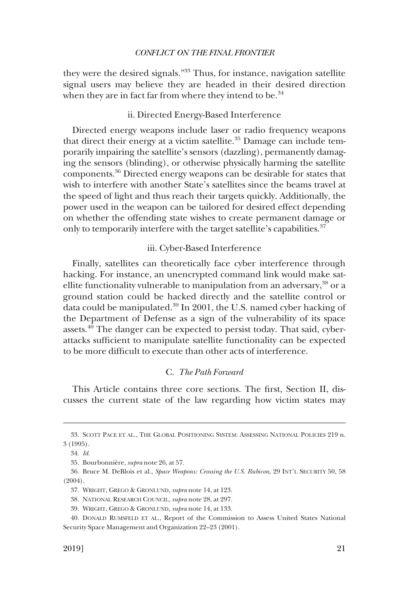<span id="page-10-0"></span>they were the desired signals."33 Thus, for instance, navigation satellite signal users may believe they are headed in their desired direction when they are in fact far from where they intend to be. $34$ 

# ii. Directed Energy-Based Interference

Directed energy weapons include laser or radio frequency weapons that direct their energy at a victim satellite. $35$  Damage can include temporarily impairing the satellite's sensors (dazzling), permanently damaging the sensors (blinding), or otherwise physically harming the satellite components.36 Directed energy weapons can be desirable for states that wish to interfere with another State's satellites since the beams travel at the speed of light and thus reach their targets quickly. Additionally, the power used in the weapon can be tailored for desired effect depending on whether the offending state wishes to create permanent damage or only to temporarily interfere with the target satellite's capabilities.<sup>37</sup>

### iii. Cyber-Based Interference

Finally, satellites can theoretically face cyber interference through hacking. For instance, an unencrypted command link would make satellite functionality vulnerable to manipulation from an adversary, $38$  or a ground station could be hacked directly and the satellite control or data could be manipulated.39 In 2001, the U.S. named cyber hacking of the Department of Defense as a sign of the vulnerability of its space assets.<sup>40</sup> The danger can be expected to persist today. That said, cyberattacks suffcient to manipulate satellite functionality can be expected to be more diffcult to execute than other acts of interference.

# C. *The Path Forward*

This Article contains three core sections. The frst, Section II, discusses the current state of the law regarding how victim states may

<sup>33.</sup> SCOTT PACE ET AL., THE GLOBAL POSITIONING SYSTEM: ASSESSING NATIONAL POLICIES 219 n. 3 (1995).

<sup>34.</sup> *Id*.

<sup>35.</sup> Bourbonnie`re, *supra* note 26, at 57.

<sup>36.</sup> Bruce M. DeBlois et al., *Space Weapons: Crossing the U.S. Rubicon*, 29 INT'L SECURITY 50, 58 (2004).

<sup>37.</sup> WRIGHT, GREGO & GRONLUND, *supra* note 14, at 123.

<sup>38.</sup> NATIONAL RESEARCH COUNCIL, *supra* note 28, at 297.

<sup>39.</sup> WRIGHT, GREGO & GRONLUND, *supra* note 14, at 133.

<sup>40.</sup> DONALD RUMSFELD ET AL., Report of the Commission to Assess United States National Security Space Management and Organization 22–23 (2001).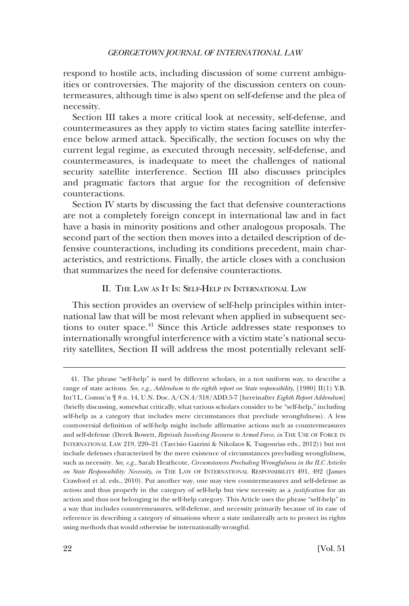<span id="page-11-0"></span>respond to hostile acts, including discussion of some current ambiguities or controversies. The majority of the discussion centers on countermeasures, although time is also spent on self-defense and the plea of necessity.

Section III takes a more critical look at necessity, self-defense, and countermeasures as they apply to victim states facing satellite interference below armed attack. Specifcally, the section focuses on why the current legal regime, as executed through necessity, self-defense, and countermeasures, is inadequate to meet the challenges of national security satellite interference. Section III also discusses principles and pragmatic factors that argue for the recognition of defensive counteractions.

Section IV starts by discussing the fact that defensive counteractions are not a completely foreign concept in international law and in fact have a basis in minority positions and other analogous proposals. The second part of the section then moves into a detailed description of defensive counteractions, including its conditions precedent, main characteristics, and restrictions. Finally, the article closes with a conclusion that summarizes the need for defensive counteractions.

# II. THE LAW AS IT IS: SELF-HELP IN INTERNATIONAL LAW

This section provides an overview of self-help principles within international law that will be most relevant when applied in subsequent sections to outer space.<sup>41</sup> Since this Article addresses state responses to internationally wrongful interference with a victim state's national security satellites, Section II will address the most potentially relevant self-

<sup>41.</sup> The phrase "self-help" is used by different scholars, in a not uniform way, to describe a range of state actions. *See*, *e.g*., *Addendum to the eighth report on State responsibility*, [1980] II(1) Y.B. Int'l L. Comm'n ¶ 8 n. 14, U.N. Doc. A/CN.4/318/ADD.5-7 [hereinafter *Eighth Report Addendum*] (briefy discussing, somewhat critically, what various scholars consider to be "self-help," including self-help as a category that includes mere circumstances that preclude wrongfulness). A less controversial defnition of self-help might include affrmative actions such as countermeasures and self-defense (Derek Bowett, *Reprisals Involving Recourse to Armed Force*, *in* THE USE OF FORCE IN INTERNATIONAL LAW 219, 220–21 (Tarcisio Gazzini & Nikolaos K. Tsagourias eds., 2012)) but not include defenses characterized by the mere existence of circumstances precluding wrongfulness, such as necessity. *See, e.g*., Sarah Heathcote, *Circumstances Precluding Wrongfulness in the ILC Articles on State Responsibility: Necessity*, *in* THE LAW OF INTERNATIONAL RESPONSIBILITY 491, 492 (James Crawford et al. eds., 2010). Put another way, one may view countermeasures and self-defense as *actions* and thus properly in the category of self-help but view necessity as a *justifcation* for an action and thus not belonging in the self-help category. This Article uses the phrase "self-help" in a way that includes countermeasures, self-defense, and necessity primarily because of its ease of reference in describing a category of situations where a state unilaterally acts to protect its rights using methods that would otherwise be internationally wrongful.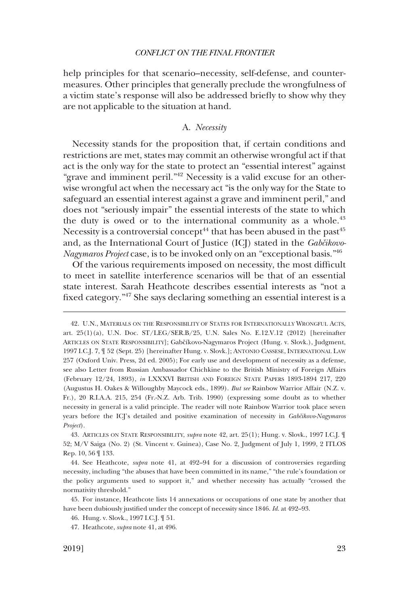<span id="page-12-0"></span>help principles for that scenario–necessity, self-defense, and countermeasures. Other principles that generally preclude the wrongfulness of a victim state's response will also be addressed briefy to show why they are not applicable to the situation at hand.

### A. *Necessity*

Necessity stands for the proposition that, if certain conditions and restrictions are met, states may commit an otherwise wrongful act if that act is the only way for the state to protect an "essential interest" against "grave and imminent peril."<sup>42</sup> Necessity is a valid excuse for an otherwise wrongful act when the necessary act "is the only way for the State to safeguard an essential interest against a grave and imminent peril," and does not "seriously impair" the essential interests of the state to which the duty is owed or to the international community as a whole. $43$ Necessity is a controversial concept<sup>44</sup> that has been abused in the past<sup>45</sup> and, as the International Court of Justice (ICJ) stated in the *Gabčikovo-Nagymaros Project* case, is to be invoked only on an "exceptional basis."46

Of the various requirements imposed on necessity, the most diffcult to meet in satellite interference scenarios will be that of an essential state interest. Sarah Heathcote describes essential interests as "not a fxed category."47 She says declaring something an essential interest is a

<sup>42.</sup> U.N., MATERIALS ON THE RESPONSIBILITY OF STATES FOR INTERNATIONALLY WRONGFUL ACTS, art. 25(1)(a), U.N. Doc. ST/LEG/SER.B/25, U.N. Sales No. E.12.V.12 (2012) [hereinafter ARTICLES ON STATE RESPONSIBILITY]; Gabčíkovo-Nagymaros Project (Hung. v. Slovk.), Judgment, 1997 I.C.J. 7, ¶ 52 (Sept. 25) [hereinafter Hung. v. Slovk.]; ANTONIO CASSESE, INTERNATIONAL LAW 257 (Oxford Univ. Press, 2d ed. 2005); For early use and development of necessity as a defense, see also Letter from Russian Ambassador Chichkine to the British Ministry of Foreign Affairs (February 12/24, 1893), *in* LXXXVI BRITISH AND FOREIGN STATE PAPERS 1893-1894 217, 220 (Augustus H. Oakes & Willoughby Maycock eds., 1899). *But see* Rainbow Warrior Affair (N.Z. v. Fr.), 20 R.I.A.A. 215, 254 (Fr.-N.Z. Arb. Trib. 1990) (expressing some doubt as to whether necessity in general is a valid principle. The reader will note Rainbow Warrior took place seven years before the ICJ's detailed and positive examination of necessity in *Gabcˇikovo-Nagymaros Project*).

<sup>43.</sup> ARTICLES ON STATE RESPONSIBILITY, *supra* note 42, art. 25(1); Hung. v. Slovk., 1997 I.C.J. ¶ 52; M/V Saiga (No. 2) (St. Vincent v. Guinea), Case No. 2, Judgment of July 1, 1999, 2 ITLOS Rep. 10, 56 ¶ 133.

<sup>44.</sup> See Heathcote, *supra* note 41, at 492–94 for a discussion of controversies regarding necessity, including "the abuses that have been committed in its name," "the rule's foundation or the policy arguments used to support it," and whether necessity has actually "crossed the normativity threshold."

<sup>45.</sup> For instance, Heathcote lists 14 annexations or occupations of one state by another that have been dubiously justifed under the concept of necessity since 1846. *Id*. at 492–93.

<sup>46.</sup> Hung. v. Slovk., 1997 I.C.J. ¶ 51.

<sup>47.</sup> Heathcote, *supra* note 41, at 496.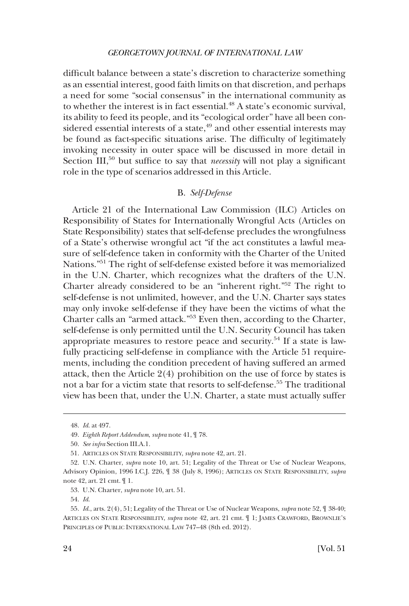<span id="page-13-0"></span>diffcult balance between a state's discretion to characterize something as an essential interest, good faith limits on that discretion, and perhaps a need for some "social consensus" in the international community as to whether the interest is in fact essential.<sup>48</sup> A state's economic survival, its ability to feed its people, and its "ecological order" have all been considered essential interests of a state,<sup>49</sup> and other essential interests may be found as fact-specifc situations arise. The diffculty of legitimately invoking necessity in outer space will be discussed in more detail in Section III,<sup>50</sup> but suffice to say that *necessity* will not play a significant role in the type of scenarios addressed in this Article.

# B. *Self-Defense*

Article 21 of the International Law Commission (ILC) Articles on Responsibility of States for Internationally Wrongful Acts (Articles on State Responsibility) states that self-defense precludes the wrongfulness of a State's otherwise wrongful act "if the act constitutes a lawful measure of self-defence taken in conformity with the Charter of the United Nations."51 The right of self-defense existed before it was memorialized in the U.N. Charter, which recognizes what the drafters of the U.N. Charter already considered to be an "inherent right."52 The right to self-defense is not unlimited, however, and the U.N. Charter says states may only invoke self-defense if they have been the victims of what the Charter calls an "armed attack."53 Even then, according to the Charter, self-defense is only permitted until the U.N. Security Council has taken appropriate measures to restore peace and security.54 If a state is lawfully practicing self-defense in compliance with the Article 51 requirements, including the condition precedent of having suffered an armed attack, then the Article 2(4) prohibition on the use of force by states is not a bar for a victim state that resorts to self-defense.<sup>55</sup> The traditional view has been that, under the U.N. Charter, a state must actually suffer

<sup>48.</sup> *Id*. at 497.

<sup>49.</sup> *Eighth Report Addendum*, *supra* note 41, ¶ 78.

<sup>50.</sup> *See infra* Section III.A.1.

<sup>51.</sup> ARTICLES ON STATE RESPONSIBILITY, *supra* note 42, art. 21.

<sup>52.</sup> U.N. Charter, *supra* note 10, art. 51; Legality of the Threat or Use of Nuclear Weapons, Advisory Opinion, 1996 I.C.J. 226, ¶ 38 (July 8, 1996); ARTICLES ON STATE RESPONSIBILITY, *supra*  note 42, art. 21 cmt. ¶ 1.

<sup>53.</sup> U.N. Charter, *supra* note 10, art. 51.

<sup>54.</sup> *Id*.

<sup>55.</sup> *Id*., arts. 2(4), 51; Legality of the Threat or Use of Nuclear Weapons, *supra* note 52, ¶ 38-40; ARTICLES ON STATE RESPONSIBILITY, *supra* note 42, art. 21 cmt. ¶ 1; JAMES CRAWFORD, BROWNLIE'S PRINCIPLES OF PUBLIC INTERNATIONAL LAW 747–48 (8th ed. 2012).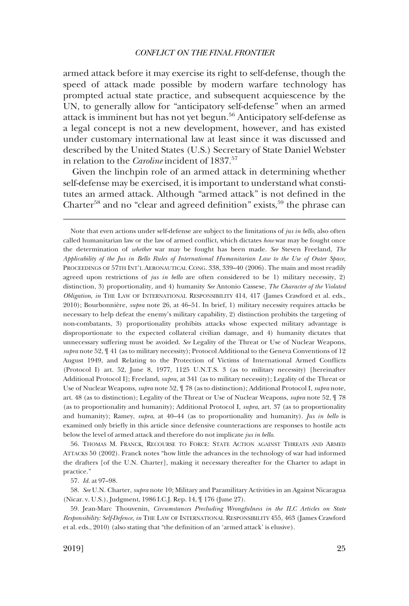armed attack before it may exercise its right to self-defense, though the speed of attack made possible by modern warfare technology has prompted actual state practice, and subsequent acquiescence by the UN, to generally allow for "anticipatory self-defense" when an armed attack is imminent but has not yet begun.56 Anticipatory self-defense as a legal concept is not a new development, however, and has existed under customary international law at least since it was discussed and described by the United States (U.S.) Secretary of State Daniel Webster in relation to the *Caroline* incident of 1837.<sup>57</sup>

Given the linchpin role of an armed attack in determining whether self-defense may be exercised, it is important to understand what constitutes an armed attack. Although "armed attack" is not defned in the Charter<sup>58</sup> and no "clear and agreed definition" exists,<sup>59</sup> the phrase can

56. THOMAS M. FRANCK, RECOURSE TO FORCE: STATE ACTION AGAINST THREATS AND ARMED ATTACKS 50 (2002). Franck notes "how little the advances in the technology of war had informed the drafters [of the U.N. Charter], making it necessary thereafter for the Charter to adapt in practice."

57. *Id*. at 97–98.

58. *See* U.N. Charter, *supra* note 10; Military and Paramilitary Activities in an Against Nicaragua (Nicar. v. U.S.), Judgment, 1986 I.C.J. Rep. 14, ¶ 176 (June 27).

59. Jean-Marc Thouvenin, *Circumstances Precluding Wrongfulness in the ILC Articles on State Responsibility: Self-Defence*, *in* THE LAW OF INTERNATIONAL RESPONSIBILITY 455, 463 (James Crawford et al. eds., 2010) (also stating that "the defnition of an 'armed attack' is elusive).

Note that even actions under self-defense are subject to the limitations of *jus in bello*, also often called humanitarian law or the law of armed confict, which dictates *how* war may be fought once the determination of *whether* war may be fought has been made. *See* Steven Freeland, *The Applicability of the Jus in Bello Rules of International Humanitarian Law to the Use of Outer Space*, PROCEEDINGS OF 57TH INT'L AERONAUTICAL CONG. 338, 339–40 (2006). The main and most readily agreed upon restrictions of *jus in bello* are often considered to be 1) military necessity, 2) distinction, 3) proportionality, and 4) humanity *See* Antonio Cassese, *The Character of the Violated Obligation*, *in* THE LAW OF INTERNATIONAL RESPONSIBILITY 414, 417 (James Crawford et al. eds., 2010); Bourbonnière, *supra* note 26, at 46–51. In brief, 1) military necessity requires attacks be necessary to help defeat the enemy's military capability, 2) distinction prohibits the targeting of non-combatants, 3) proportionality prohibits attacks whose expected military advantage is disproportionate to the expected collateral civilian damage, and 4) humanity dictates that unnecessary suffering must be avoided. *See* Legality of the Threat or Use of Nuclear Weapons, *supra* note 52, ¶ 41 (as to military necessity); Protocol Additional to the Geneva Conventions of 12 August 1949, and Relating to the Protection of Victims of International Armed Conficts (Protocol I) art. 52, June 8, 1977, 1125 U.N.T.S. 3 (as to military necessity) [hereinafter Additional Protocol I]; Freeland, *supra*, at 341 (as to military necessity); Legality of the Threat or Use of Nuclear Weapons, *supra* note 52, ¶ 78 (as to distinction); Additional Protocol I, *supra* note, art. 48 (as to distinction); Legality of the Threat or Use of Nuclear Weapons, *supra* note 52, ¶ 78 (as to proportionality and humanity); Additional Protocol I, *supra*, art. 37 (as to proportionality and humanity); Ramey, *supra*, at 40–44 (as to proportionality and humanity). *Jus in bello* is examined only briefy in this article since defensive counteractions are responses to hostile acts below the level of armed attack and therefore do not implicate *jus in bello*.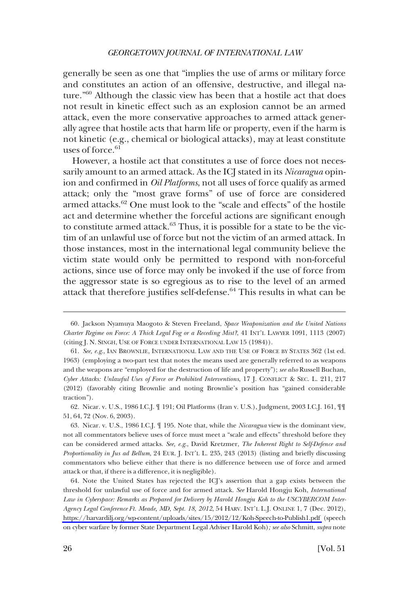generally be seen as one that "implies the use of arms or military force and constitutes an action of an offensive, destructive, and illegal nature."60 Although the classic view has been that a hostile act that does not result in kinetic effect such as an explosion cannot be an armed attack, even the more conservative approaches to armed attack generally agree that hostile acts that harm life or property, even if the harm is not kinetic (e.g., chemical or biological attacks), may at least constitute uses of force. $61$ 

However, a hostile act that constitutes a use of force does not necessarily amount to an armed attack. As the ICJ stated in its *Nicaragua* opinion and confrmed in *Oil Platforms*, not all uses of force qualify as armed attack; only the "most grave forms" of use of force are considered armed attacks.<sup>62</sup> One must look to the "scale and effects" of the hostile act and determine whether the forceful actions are signifcant enough to constitute armed attack.<sup>63</sup> Thus, it is possible for a state to be the victim of an unlawful use of force but not the victim of an armed attack. In those instances, most in the international legal community believe the victim state would only be permitted to respond with non-forceful actions, since use of force may only be invoked if the use of force from the aggressor state is so egregious as to rise to the level of an armed attack that therefore justifies self-defense.<sup>64</sup> This results in what can be

62. Nicar. v. U.S., 1986 I.C.J. ¶ 191; Oil Platforms (Iran v. U.S.), Judgment, 2003 I.C.J. 161, ¶¶ 51, 64, 72 (Nov. 6, 2003).

63. Nicar. v. U.S., 1986 I.C.J. ¶ 195. Note that, while the *Nicaragua* view is the dominant view, not all commentators believe uses of force must meet a "scale and effects" threshold before they can be considered armed attacks. *See, e.g*., David Kretzmer, *The Inherent Right to Self-Defence and Proportionality in Jus ad Bellum*, 24 EUR. J. INT'L L. 235, 243 (2013) (listing and briefy discussing commentators who believe either that there is no difference between use of force and armed attack or that, if there is a difference, it is negligible).

64. Note the United States has rejected the ICJ's assertion that a gap exists between the threshold for unlawful use of force and for armed attack. *See* Harold Hongju Koh, *International Law in Cyberspace: Remarks as Prepared for Delivery by Harold Hongju Koh to the USCYBERCOM Inter-Agency Legal Conference Ft. Meade, MD, Sept. 18, 2012*, 54 HARV. INT'L L.J. ONLINE 1, 7 (Dec. 2012), <https://harvardilj.org/wp-content/uploads/sites/15/2012/12/Koh-Speech-to-Publish1.pdf>(speech on cyber warfare by former State Department Legal Adviser Harold Koh)*; see also* Schmitt, *supra* note

<sup>60.</sup> Jackson Nyamuya Maogoto & Steven Freeland, *Space Weaponization and the United Nations Charter Regime on Force: A Thick Legal Fog or a Receding Mist?*, 41 INT'L LAWYER 1091, 1113 (2007) (citing J. N. SINGH, USE OF FORCE UNDER INTERNATIONAL LAW 15 (1984)).

<sup>61.</sup> *See, e.g*., IAN BROWNLIE, INTERNATIONAL LAW AND THE USE OF FORCE BY STATES 362 (1st ed. 1963) (employing a two-part test that notes the means used are generally referred to as weapons and the weapons are "employed for the destruction of life and property"); *see also* Russell Buchan, *Cyber Attacks: Unlawful Uses of Force or Prohibited Interventions*, 17 J. CONFLICT & SEC. L. 211, 217 (2012) (favorably citing Brownlie and noting Brownlie's position has "gained considerable traction").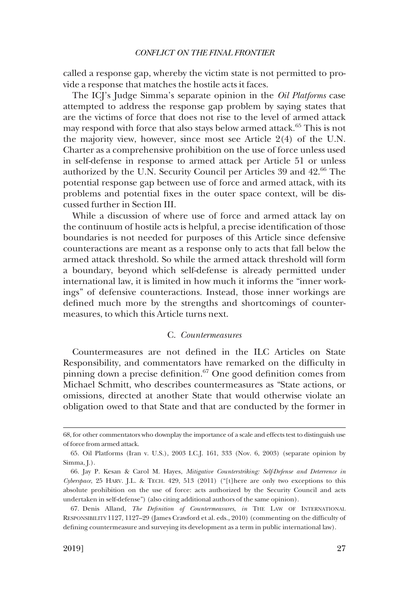<span id="page-16-0"></span>called a response gap, whereby the victim state is not permitted to provide a response that matches the hostile acts it faces.

The ICJ's Judge Simma's separate opinion in the *Oil Platforms* case attempted to address the response gap problem by saying states that are the victims of force that does not rise to the level of armed attack may respond with force that also stays below armed attack.<sup>65</sup> This is not the majority view, however, since most see Article 2(4) of the U.N. Charter as a comprehensive prohibition on the use of force unless used in self-defense in response to armed attack per Article 51 or unless authorized by the U.N. Security Council per Articles 39 and 42.<sup>66</sup> The potential response gap between use of force and armed attack, with its problems and potential fxes in the outer space context, will be discussed further in Section III.

While a discussion of where use of force and armed attack lay on the continuum of hostile acts is helpful, a precise identifcation of those boundaries is not needed for purposes of this Article since defensive counteractions are meant as a response only to acts that fall below the armed attack threshold. So while the armed attack threshold will form a boundary, beyond which self-defense is already permitted under international law, it is limited in how much it informs the "inner workings" of defensive counteractions. Instead, those inner workings are defned much more by the strengths and shortcomings of countermeasures, to which this Article turns next.

# C. *Countermeasures*

Countermeasures are not defned in the ILC Articles on State Responsibility, and commentators have remarked on the diffculty in pinning down a precise definition. $67$  One good definition comes from Michael Schmitt, who describes countermeasures as "State actions, or omissions, directed at another State that would otherwise violate an obligation owed to that State and that are conducted by the former in

<sup>68,</sup> for other commentators who downplay the importance of a scale and effects test to distinguish use of force from armed attack.

<sup>65.</sup> Oil Platforms (Iran v. U.S.), 2003 I.C.J. 161, 333 (Nov. 6, 2003) (separate opinion by Simma,  $\left[ . \right)$ .

<sup>66.</sup> Jay P. Kesan & Carol M. Hayes, *Mitigative Counterstriking: Self-Defense and Deterrence in Cyberspace*, 25 HARV. J.L. & TECH. 429, 513 (2011) ("[t]here are only two exceptions to this absolute prohibition on the use of force: acts authorized by the Security Council and acts undertaken in self-defense") (also citing additional authors of the same opinion).

<sup>67.</sup> Denis Alland, *The Defnition of Countermeasures*, *in* THE LAW OF INTERNATIONAL RESPONSIBILITY 1127, 1127–29 (James Crawford et al. eds., 2010) (commenting on the diffculty of defning countermeasure and surveying its development as a term in public international law).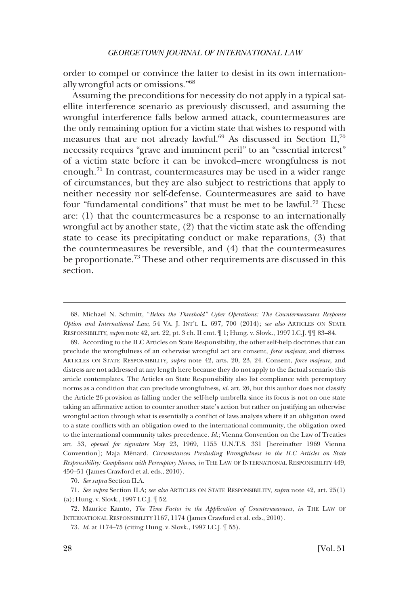order to compel or convince the latter to desist in its own internationally wrongful acts or omissions."68

Assuming the preconditions for necessity do not apply in a typical satellite interference scenario as previously discussed, and assuming the wrongful interference falls below armed attack, countermeasures are the only remaining option for a victim state that wishes to respond with measures that are not already lawful. $^{69}$  As discussed in Section II,<sup>70</sup> necessity requires "grave and imminent peril" to an "essential interest" of a victim state before it can be invoked–mere wrongfulness is not enough. $71$  In contrast, countermeasures may be used in a wider range of circumstances, but they are also subject to restrictions that apply to neither necessity nor self-defense. Countermeasures are said to have four "fundamental conditions" that must be met to be lawful.<sup>72</sup> These are: (1) that the countermeasures be a response to an internationally wrongful act by another state, (2) that the victim state ask the offending state to cease its precipitating conduct or make reparations, (3) that the countermeasures be reversible, and (4) that the countermeasures be proportionate.73 These and other requirements are discussed in this section.

69. According to the ILC Articles on State Responsibility, the other self-help doctrines that can preclude the wrongfulness of an otherwise wrongful act are consent, *force majeure*, and distress. ARTICLES ON STATE RESPONSIBILITY, *supra* note 42, arts. 20, 23, 24. Consent, *force majeure*, and distress are not addressed at any length here because they do not apply to the factual scenario this article contemplates. The Articles on State Responsibility also list compliance with peremptory norms as a condition that can preclude wrongfulness, *id*. art. 26, but this author does not classify the Article 26 provision as falling under the self-help umbrella since its focus is not on one state taking an affrmative action to counter another state's action but rather on justifying an otherwise wrongful action through what is essentially a confict of laws analysis where if an obligation owed to a state conficts with an obligation owed to the international community, the obligation owed to the international community takes precedence. *Id*.; Vienna Convention on the Law of Treaties art. 53, *opened for signature* May 23, 1969, 1155 U.N.T.S. 331 [hereinafter 1969 Vienna Convention]; Maja Ménard, *Circumstances Precluding Wrongfulness in the ILC Articles on State Responsibility: Compliance with Peremptory Norms*, *in* THE LAW OF INTERNATIONAL RESPONSIBILITY 449, 450–51 (James Crawford et al. eds., 2010).

70. *See supra* Section II.A.

<sup>68.</sup> Michael N. Schmitt, "*Below the Threshold" Cyber Operations: The Countermeasures Response Option and International Law*, 54 VA. J. INT'L L. 697, 700 (2014); *see also* ARTICLES ON STATE RESPONSIBILITY, *supra* note 42, art. 22, pt. 3 ch. II cmt. ¶ 1; Hung. v. Slovk., 1997 I.C.J. ¶¶ 83–84.

<sup>71.</sup> *See supra* Section II.A; *see also* ARTICLES ON STATE RESPONSIBILITY, *supra* note 42, art. 25(1) (a); Hung. v. Slovk., 1997 I.C.J. ¶ 52.

<sup>72.</sup> Maurice Kamto, *The Time Factor in the Application of Countermeasures*, *in* THE LAW OF INTERNATIONAL RESPONSIBILITY 1167, 1174 (James Crawford et al. eds., 2010).

<sup>73.</sup> *Id*. at 1174–75 (citing Hung. v. Slovk., 1997 I.C.J. ¶ 55).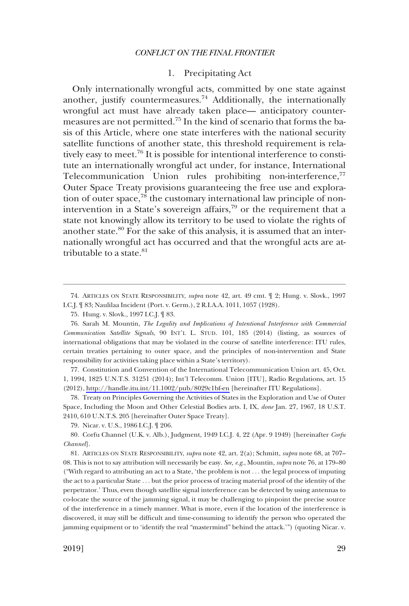# 1. Precipitating Act

<span id="page-18-0"></span>Only internationally wrongful acts, committed by one state against another, justify countermeasures.<sup>74</sup> Additionally, the internationally wrongful act must have already taken place— anticipatory countermeasures are not permitted.75 In the kind of scenario that forms the basis of this Article, where one state interferes with the national security satellite functions of another state, this threshold requirement is relatively easy to meet.76 It is possible for intentional interference to constitute an internationally wrongful act under, for instance, International Telecommunication Union rules prohibiting non-interference,<sup>77</sup> Outer Space Treaty provisions guaranteeing the free use and exploration of outer space,<sup>78</sup> the customary international law principle of nonintervention in a State's sovereign affairs,<sup>79</sup> or the requirement that a state not knowingly allow its territory to be used to violate the rights of another state.<sup>80</sup> For the sake of this analysis, it is assumed that an internationally wrongful act has occurred and that the wrongful acts are attributable to a state. $81$ 

77. Constitution and Convention of the International Telecommunication Union art. 45, Oct. 1, 1994, 1825 U.N.T.S. 31251 (2014); Int'l Telecomm. Union [ITU], Radio Regulations, art. 15 (2012),<http://handle.itu.int/11.1002/pub/8029c1bf-en> [hereinafter ITU Regulations].

78. Treaty on Principles Governing the Activities of States in the Exploration and Use of Outer Space, Including the Moon and Other Celestial Bodies arts. I, IX, *done* Jan. 27, 1967, 18 U.S.T. 2410, 610 U.N.T.S. 205 [hereinafter Outer Space Treaty].

79. Nicar. v. U.S., 1986 I.C.J. ¶ 206.

80. Corfu Channel (U.K. v. Alb.), Judgment, 1949 I.C.J. 4, 22 (Apr. 9 1949) [hereinafter *Corfu Channel*].

81. ARTICLES ON STATE RESPONSIBILITY, *supra* note 42, art. 2(a); Schmitt, *supra* note 68, at 707– 08. This is not to say attribution will necessarily be easy. *See, e.g*., Mountin, *supra* note 76, at 179–80 ("With regard to attributing an act to a State, 'the problem is not . . . the legal process of imputing the act to a particular State . . . but the prior process of tracing material proof of the identity of the perpetrator.' Thus, even though satellite signal interference can be detected by using antennas to co-locate the source of the jamming signal, it may be challenging to pinpoint the precise source of the interference in a timely manner. What is more, even if the location of the interference is discovered, it may still be diffcult and time-consuming to identify the person who operated the jamming equipment or to 'identify the real "mastermind" behind the attack.'") (quoting Nicar. v.

<sup>74.</sup> ARTICLES ON STATE RESPONSIBILITY, *supra* note 42, art. 49 cmt. ¶ 2; Hung. v. Slovk., 1997 I.C.J. ¶ 83; Naulilaa Incident (Port. v. Germ.), 2 R.I.A.A. 1011, 1057 (1928).

<sup>75.</sup> Hung. v. Slovk., 1997 I.C.J. ¶ 83.

<sup>76.</sup> Sarah M. Mountin, *The Legality and Implications of Intentional Interference with Commercial Communication Satellite Signals*, 90 INT'L L. STUD. 101, 185 (2014) (listing, as sources of international obligations that may be violated in the course of satellite interference: ITU rules, certain treaties pertaining to outer space, and the principles of non-intervention and State responsibility for activities taking place within a State's territory).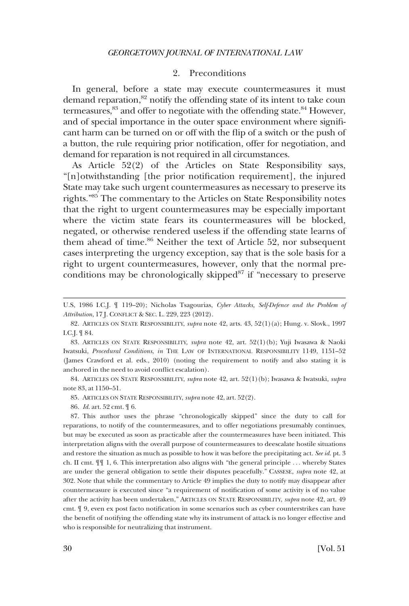## 2. Preconditions

<span id="page-19-0"></span>In general, before a state may execute countermeasures it must demand reparation,<sup>82</sup> notify the offending state of its intent to take coun termeasures,<sup>83</sup> and offer to negotiate with the offending state.<sup>84</sup> However, and of special importance in the outer space environment where signifcant harm can be turned on or off with the fip of a switch or the push of a button, the rule requiring prior notifcation, offer for negotiation, and demand for reparation is not required in all circumstances.

As Article 52(2) of the Articles on State Responsibility says, "[n]otwithstanding [the prior notifcation requirement], the injured State may take such urgent countermeasures as necessary to preserve its rights."85 The commentary to the Articles on State Responsibility notes that the right to urgent countermeasures may be especially important where the victim state fears its countermeasures will be blocked, negated, or otherwise rendered useless if the offending state learns of them ahead of time.<sup>86</sup> Neither the text of Article 52, nor subsequent cases interpreting the urgency exception, say that is the sole basis for a right to urgent countermeasures, however, only that the normal preconditions may be chronologically skipped<sup>87</sup> if "necessary to preserve

84. ARTICLES ON STATE RESPONSIBILITY, *supra* note 42, art. 52(1)(b); Iwasawa & Iwatsuki, *supra*  note 83, at 1150–51.

85. ARTICLES ON STATE RESPONSIBILITY, *supra* note 42, art. 52(2).

86. *Id*. art. 52 cmt. ¶ 6.

87. This author uses the phrase "chronologically skipped" since the duty to call for reparations, to notify of the countermeasures, and to offer negotiations presumably continues, but may be executed as soon as practicable after the countermeasures have been initiated. This interpretation aligns with the overall purpose of countermeasures to deescalate hostile situations and restore the situation as much as possible to how it was before the precipitating act. *See id*. pt. 3 ch. II cmt. ¶¶ 1, 6. This interpretation also aligns with "the general principle . . . whereby States are under the general obligation to settle their disputes peacefully." CASSESE, *supra* note 42, at 302. Note that while the commentary to Article 49 implies the duty to notify may disappear after countermeasure is executed since "a requirement of notifcation of some activity is of no value after the activity has been undertaken," ARTICLES ON STATE RESPONSIBILITY, *supra* note 42, art. 49 cmt. ¶ 9, even ex post facto notifcation in some scenarios such as cyber counterstrikes can have the beneft of notifying the offending state why its instrument of attack is no longer effective and who is responsible for neutralizing that instrument.

U.S, 1986 I.C.J. ¶ 119–20); Nicholas Tsagourias, *Cyber Attacks, Self-Defence and the Problem of Attribution*, 17 J. CONFLICT & SEC. L. 229, 223 (2012).

<sup>82.</sup> ARTICLES ON STATE RESPONSIBILITY, *supra* note 42, arts. 43, 52(1)(a); Hung. v. Slovk., 1997 I.C.J. ¶ 84.

<sup>83.</sup> ARTICLES ON STATE RESPONSIBILITY, *supra* note 42, art. 52(1)(b); Yuji Iwasawa & Naoki Iwatsuki, *Procedural Conditions*, *in* THE LAW OF INTERNATIONAL RESPONSIBILITY 1149, 1151–52 (James Crawford et al. eds., 2010) (noting the requirement to notify and also stating it is anchored in the need to avoid confict escalation).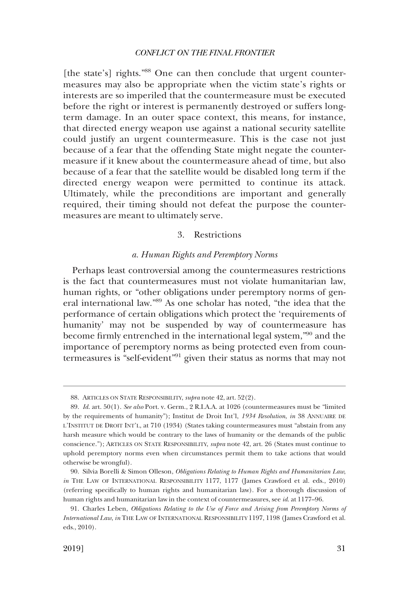<span id="page-20-0"></span>[the state's] rights."<sup>88</sup> One can then conclude that urgent countermeasures may also be appropriate when the victim state's rights or interests are so imperiled that the countermeasure must be executed before the right or interest is permanently destroyed or suffers longterm damage. In an outer space context, this means, for instance, that directed energy weapon use against a national security satellite could justify an urgent countermeasure. This is the case not just because of a fear that the offending State might negate the countermeasure if it knew about the countermeasure ahead of time, but also because of a fear that the satellite would be disabled long term if the directed energy weapon were permitted to continue its attack. Ultimately, while the preconditions are important and generally required, their timing should not defeat the purpose the countermeasures are meant to ultimately serve.

# 3. Restrictions

# *a. Human Rights and Peremptory Norms*

Perhaps least controversial among the countermeasures restrictions is the fact that countermeasures must not violate humanitarian law, human rights, or "other obligations under peremptory norms of general international law."89 As one scholar has noted, "the idea that the performance of certain obligations which protect the 'requirements of humanity' may not be suspended by way of countermeasure has become frmly entrenched in the international legal system,"90 and the importance of peremptory norms as being protected even from countermeasures is "self-evident"91 given their status as norms that may not

<sup>88.</sup> ARTICLES ON STATE RESPONSIBILITY, *supra* note 42, art. 52(2).

<sup>89.</sup> *Id*. art. 50(1). *See also* Port. v. Germ., 2 R.I.A.A. at 1026 (countermeasures must be "limited by the requirements of humanity"); Institut de Droit Int'l, *1934 Resolution*, *in* 38 ANNUAIRE DE L'INSTITUT DE DROIT INT'L, at 710 (1934) (States taking countermeasures must "abstain from any harsh measure which would be contrary to the laws of humanity or the demands of the public conscience."); ARTICLES ON STATE RESPONSIBILITY, *supra* note 42, art. 26 (States must continue to uphold peremptory norms even when circumstances permit them to take actions that would otherwise be wrongful).

<sup>90.</sup> Silvia Borelli & Simon Olleson, *Obligations Relating to Human Rights and Humanitarian Law*, *in* THE LAW OF INTERNATIONAL RESPONSIBILITY 1177, 1177 (James Crawford et al. eds., 2010) (referring specifcally to human rights and humanitarian law). For a thorough discussion of human rights and humanitarian law in the context of countermeasures, see *id*. at 1177–96.

<sup>91.</sup> Charles Leben, *Obligations Relating to the Use of Force and Arising from Peremptory Norms of International Law*, *in* THE LAW OF INTERNATIONAL RESPONSIBILITY 1197, 1198 (James Crawford et al. eds., 2010).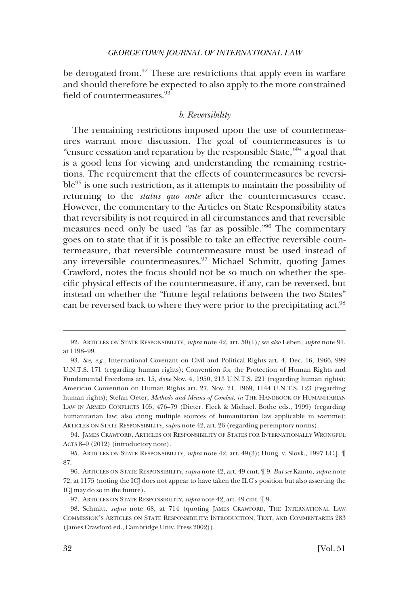<span id="page-21-0"></span>be derogated from.<sup>92</sup> These are restrictions that apply even in warfare and should therefore be expected to also apply to the more constrained field of countermeasures.<sup>93</sup>

# *b. Reversibility*

The remaining restrictions imposed upon the use of countermeasures warrant more discussion. The goal of countermeasures is to "ensure cessation and reparation by the responsible State,"94 a goal that is a good lens for viewing and understanding the remaining restrictions. The requirement that the effects of countermeasures be reversible95 is one such restriction, as it attempts to maintain the possibility of returning to the *status quo ante* after the countermeasures cease. However, the commentary to the Articles on State Responsibility states that reversibility is not required in all circumstances and that reversible measures need only be used "as far as possible."96 The commentary goes on to state that if it is possible to take an effective reversible countermeasure, that reversible countermeasure must be used instead of any irreversible countermeasures.<sup>97</sup> Michael Schmitt, quoting James Crawford, notes the focus should not be so much on whether the specifc physical effects of the countermeasure, if any, can be reversed, but instead on whether the "future legal relations between the two States" can be reversed back to where they were prior to the precipitating act.<sup>98</sup>

<sup>92.</sup> ARTICLES ON STATE RESPONSIBILITY, *supra* note 42, art. 50(1)*; see also* Leben, *supra* note 91, at 1198–99.

<sup>93.</sup> *See, e.g*., International Covenant on Civil and Political Rights art. 4, Dec. 16, 1966, 999 U.N.T.S. 171 (regarding human rights); Convention for the Protection of Human Rights and Fundamental Freedoms art. 15, *done* Nov. 4, 1950, 213 U.N.T.S. 221 (regarding human rights); American Convention on Human Rights art. 27, Nov. 21, 1969, 1144 U.N.T.S. 123 (regarding human rights); Stefan Oeter, *Methods and Means of Combat*, *in* THE HANDBOOK OF HUMANITARIAN LAW IN ARMED CONFLICTS 105, 476–79 (Dieter. Fleck & Michael. Bothe eds., 1999) (regarding humanitarian law; also citing multiple sources of humanitarian law applicable in wartime); ARTICLES ON STATE RESPONSIBILITY, *supra* note 42, art. 26 (regarding peremptory norms).

<sup>94.</sup> JAMES CRAWFORD, ARTICLES ON RESPONSIBILITY OF STATES FOR INTERNATIONALLY WRONGFUL ACTS 8–9 (2012) (introductory note).

<sup>95.</sup> ARTICLES ON STATE RESPONSIBILITY, *supra* note 42, art. 49(3); Hung. v. Slovk., 1997 I.C.J. ¶ 87.

<sup>96.</sup> ARTICLES ON STATE RESPONSIBILITY, *supra* note 42, art. 49 cmt. ¶ 9. *But see* Kamto, *supra* note 72, at 1175 (noting the ICJ does not appear to have taken the ILC's position but also asserting the ICJ may do so in the future).

<sup>97.</sup> ARTICLES ON STATE RESPONSIBILITY, *supra* note 42, art. 49 cmt. ¶ 9.

<sup>98.</sup> Schmitt, *supra* note 68, at 714 (quoting JAMES CRAWFORD, THE INTERNATIONAL LAW COMMISSION'S ARTICLES ON STATE RESPONSIBILITY: INTRODUCTION, TEXT, AND COMMENTARIES 283 (James Crawford ed., Cambridge Univ. Press 2002)).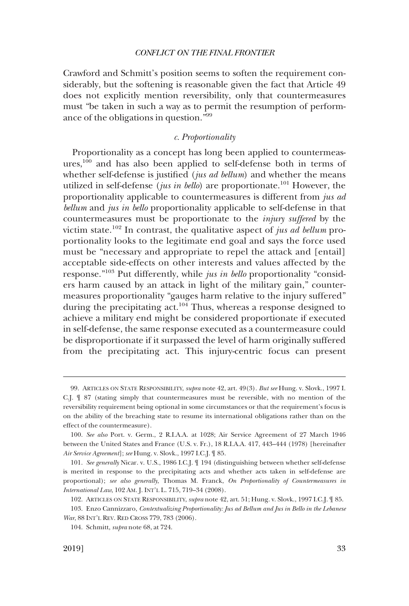<span id="page-22-0"></span>Crawford and Schmitt's position seems to soften the requirement considerably, but the softening is reasonable given the fact that Article 49 does not explicitly mention reversibility, only that countermeasures must "be taken in such a way as to permit the resumption of performance of the obligations in question."99

### *c. Proportionality*

Proportionality as a concept has long been applied to countermeasures, $100$  and has also been applied to self-defense both in terms of whether self-defense is justifed (*jus ad bellum*) and whether the means utilized in self-defense (*jus in bello*) are proportionate.<sup>101</sup> However, the proportionality applicable to countermeasures is different from *jus ad bellum* and *jus in bello* proportionality applicable to self-defense in that countermeasures must be proportionate to the *injury suffered* by the victim state.102 In contrast, the qualitative aspect of *jus ad bellum* proportionality looks to the legitimate end goal and says the force used must be "necessary and appropriate to repel the attack and [entail] acceptable side-effects on other interests and values affected by the response."103 Put differently, while *jus in bello* proportionality "considers harm caused by an attack in light of the military gain," countermeasures proportionality "gauges harm relative to the injury suffered" during the precipitating act.<sup>104</sup> Thus, whereas a response designed to achieve a military end might be considered proportionate if executed in self-defense, the same response executed as a countermeasure could be disproportionate if it surpassed the level of harm originally suffered from the precipitating act. This injury-centric focus can present

<sup>99.</sup> ARTICLES ON STATE RESPONSIBILITY, *supra* note 42, art. 49(3). *But see* Hung. v. Slovk., 1997 I. C.J. ¶ 87 (stating simply that countermeasures must be reversible, with no mention of the reversibility requirement being optional in some circumstances or that the requirement's focus is on the ability of the breaching state to resume its international obligations rather than on the effect of the countermeasure).

<sup>100.</sup> *See also* Port. v. Germ., 2 R.I.A.A. at 1028; Air Service Agreement of 27 March 1946 between the United States and France (U.S. v. Fr.), 18 R.I.A.A. 417, 443–444 (1978) [hereinafter *Air Service Agreement*]; *see* Hung. v. Slovk., 1997 I.C.J. ¶ 85.

<sup>101.</sup> *See generally* Nicar. v. U.S., 1986 I.C.J. ¶ 194 (distinguishing between whether self-defense is merited in response to the precipitating acts and whether acts taken in self-defense are proportional); *see also generally*, Thomas M. Franck, *On Proportionality of Countermeasures in International Law*, 102 AM. J. INT'L L. 715, 719–34 (2008).

<sup>102.</sup> ARTICLES ON STATE RESPONSIBILITY, *supra* note 42, art. 51; Hung. v. Slovk., 1997 I.C.J. ¶ 85.

<sup>103.</sup> Enzo Cannizzaro, *Contextualizing Proportionality: Jus ad Bellum and Jus in Bello in the Lebanese War*, 88 INT'L REV. RED CROSS 779, 783 (2006).

<sup>104.</sup> Schmitt, *supra* note 68, at 724.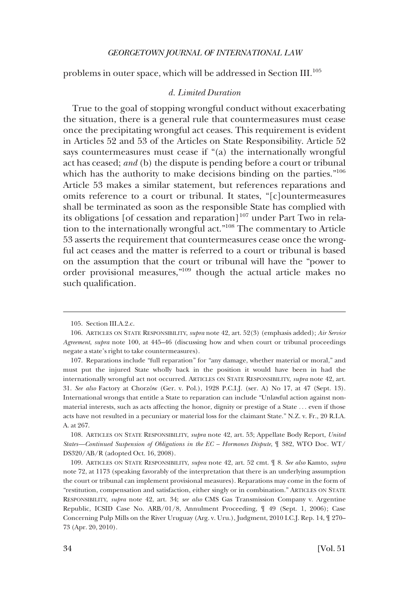<span id="page-23-0"></span>problems in outer space, which will be addressed in Section III.<sup>105</sup>

#### *d. Limited Duration*

True to the goal of stopping wrongful conduct without exacerbating the situation, there is a general rule that countermeasures must cease once the precipitating wrongful act ceases. This requirement is evident in Articles 52 and 53 of the Articles on State Responsibility. Article 52 says countermeasures must cease if "(a) the internationally wrongful act has ceased; *and* (b) the dispute is pending before a court or tribunal which has the authority to make decisions binding on the parties."<sup>106</sup> Article 53 makes a similar statement, but references reparations and omits reference to a court or tribunal. It states, "[c]ountermeasures shall be terminated as soon as the responsible State has complied with its obligations [of cessation and reparation]<sup>107</sup> under Part Two in relation to the internationally wrongful act."108 The commentary to Article 53 asserts the requirement that countermeasures cease once the wrongful act ceases and the matter is referred to a court or tribunal is based on the assumption that the court or tribunal will have the "power to order provisional measures,"109 though the actual article makes no such qualifcation.

<sup>105.</sup> Section III.A.2.c.

<sup>106.</sup> ARTICLES ON STATE RESPONSIBILITY, *supra* note 42, art. 52(3) (emphasis added); *Air Service Agreement*, *supra* note 100, at 445–46 (discussing how and when court or tribunal proceedings negate a state's right to take countermeasures).

<sup>107.</sup> Reparations include "full reparation" for "any damage, whether material or moral," and must put the injured State wholly back in the position it would have been in had the internationally wrongful act not occurred. ARTICLES ON STATE RESPONSIBILITY, *supra* note 42, art. 31. *See also* Factory at Chorzo´w (Ger. v. Pol.), 1928 P.C.I.J. (ser. A) No 17, at 47 (Sept. 13). International wrongs that entitle a State to reparation can include "Unlawful action against nonmaterial interests, such as acts affecting the honor, dignity or prestige of a State . . . even if those acts have not resulted in a pecuniary or material loss for the claimant State." N.Z. v. Fr., 20 R.I.A. A. at 267.

<sup>108.</sup> ARTICLES ON STATE RESPONSIBILITY, *supra* note 42, art. 53; Appellate Body Report, *United States—Continued Suspension of Obligations in the EC – Hormones Dispute*, ¶ 382, WTO Doc. WT/ DS320/AB/R (adopted Oct. 16, 2008).

<sup>109.</sup> ARTICLES ON STATE RESPONSIBILITY, *supra* note 42, art. 52 cmt. ¶ 8. *See also* Kamto, *supra*  note 72, at 1173 (speaking favorably of the interpretation that there is an underlying assumption the court or tribunal can implement provisional measures). Reparations may come in the form of "restitution, compensation and satisfaction, either singly or in combination." ARTICLES ON STATE RESPONSIBILITY, *supra* note 42, art. 34; *see also* CMS Gas Transmission Company v. Argentine Republic, ICSID Case No. ARB/01/8, Annulment Proceeding, ¶ 49 (Sept. 1, 2006); Case Concerning Pulp Mills on the River Uruguay (Arg. v. Uru.), Judgment, 2010 I.C.J. Rep. 14, ¶ 270– 73 (Apr. 20, 2010).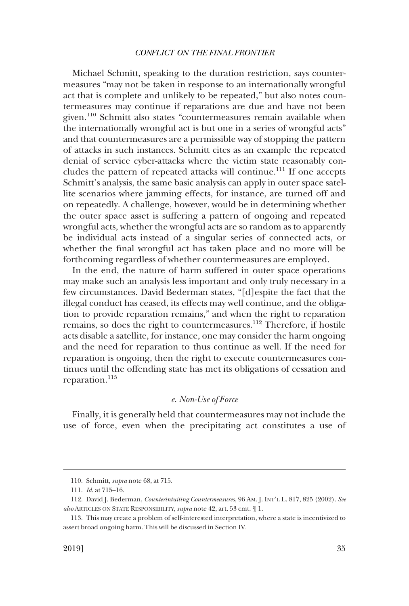<span id="page-24-0"></span>Michael Schmitt, speaking to the duration restriction, says countermeasures "may not be taken in response to an internationally wrongful act that is complete and unlikely to be repeated," but also notes countermeasures may continue if reparations are due and have not been given.110 Schmitt also states "countermeasures remain available when the internationally wrongful act is but one in a series of wrongful acts" and that countermeasures are a permissible way of stopping the pattern of attacks in such instances. Schmitt cites as an example the repeated denial of service cyber-attacks where the victim state reasonably concludes the pattern of repeated attacks will continue.<sup>111</sup> If one accepts Schmitt's analysis, the same basic analysis can apply in outer space satellite scenarios where jamming effects, for instance, are turned off and on repeatedly. A challenge, however, would be in determining whether the outer space asset is suffering a pattern of ongoing and repeated wrongful acts, whether the wrongful acts are so random as to apparently be individual acts instead of a singular series of connected acts, or whether the fnal wrongful act has taken place and no more will be forthcoming regardless of whether countermeasures are employed.

In the end, the nature of harm suffered in outer space operations may make such an analysis less important and only truly necessary in a few circumstances. David Bederman states, "[d]espite the fact that the illegal conduct has ceased, its effects may well continue, and the obligation to provide reparation remains," and when the right to reparation remains, so does the right to countermeasures.<sup>112</sup> Therefore, if hostile acts disable a satellite, for instance, one may consider the harm ongoing and the need for reparation to thus continue as well. If the need for reparation is ongoing, then the right to execute countermeasures continues until the offending state has met its obligations of cessation and reparation.<sup>113</sup>

# *e. Non-Use of Force*

Finally, it is generally held that countermeasures may not include the use of force, even when the precipitating act constitutes a use of

<sup>110.</sup> Schmitt, *supra* note 68, at 715.

<sup>111.</sup> *Id*. at 715–16.

<sup>112.</sup> David J. Bederman, *Counterintuiting Countermeasures*, 96 AM. J. INT'L L. 817, 825 (2002). *See also* ARTICLES ON STATE RESPONSIBILITY, *supra* note 42, art. 53 cmt. ¶ 1.

<sup>113.</sup> This may create a problem of self-interested interpretation, where a state is incentivized to assert broad ongoing harm. This will be discussed in Section IV.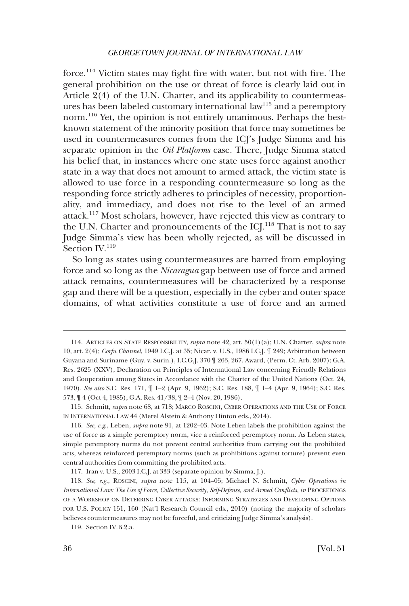force.114 Victim states may fght fre with water, but not with fre. The general prohibition on the use or threat of force is clearly laid out in Article 2(4) of the U.N. Charter, and its applicability to countermeasures has been labeled customary international law<sup>115</sup> and a peremptory norm.<sup>116</sup> Yet, the opinion is not entirely unanimous. Perhaps the bestknown statement of the minority position that force may sometimes be used in countermeasures comes from the ICJ's Judge Simma and his separate opinion in the *Oil Platforms* case. There, Judge Simma stated his belief that, in instances where one state uses force against another state in a way that does not amount to armed attack, the victim state is allowed to use force in a responding countermeasure so long as the responding force strictly adheres to principles of necessity, proportionality, and immediacy, and does not rise to the level of an armed attack.117 Most scholars, however, have rejected this view as contrary to the U.N. Charter and pronouncements of the  $ICI^{118}$  That is not to say Judge Simma's view has been wholly rejected, as will be discussed in Section  $\text{IV.}^{119}$ 

So long as states using countermeasures are barred from employing force and so long as the *Nicaragua* gap between use of force and armed attack remains, countermeasures will be characterized by a response gap and there will be a question, especially in the cyber and outer space domains, of what activities constitute a use of force and an armed

<sup>114.</sup> ARTICLES ON STATE RESPONSIBILITY, *supra* note 42, art. 50(1)(a); U.N. Charter, *supra* note 10, art. 2(4); *Corfu Channel*, 1949 I.C.J. at 35; Nicar. v. U.S., 1986 I.C.J. ¶ 249; Arbitration between Guyana and Suriname (Guy. v. Surin.), I.C.G.J. 370 ¶ 263, 267, Award, (Perm. Ct. Arb. 2007); G.A. Res. 2625 (XXV), Declaration on Principles of International Law concerning Friendly Relations and Cooperation among States in Accordance with the Charter of the United Nations (Oct. 24, 1970). *See also* S.C. Res. 171, ¶ 1–2 (Apr. 9, 1962); S.C. Res. 188, ¶ 1–4 (Apr. 9, 1964); S.C. Res. 573, ¶ 4 (Oct 4, 1985); G.A. Res. 41/38, ¶ 2–4 (Nov. 20, 1986).

<sup>115.</sup> Schmitt, *supra* note 68, at 718; MARCO ROSCINI, CYBER OPERATIONS AND THE USE OF FORCE IN INTERNATIONAL LAW 44 (Merel Alstein & Anthony Hinton eds., 2014).

<sup>116.</sup> *See, e.g*., Leben, *supra* note 91, at 1202–03. Note Leben labels the prohibition against the use of force as a simple peremptory norm, vice a reinforced peremptory norm. As Leben states, simple peremptory norms do not prevent central authorities from carrying out the prohibited acts, whereas reinforced peremptory norms (such as prohibitions against torture) prevent even central authorities from committing the prohibited acts.

<sup>117.</sup> Iran v. U.S., 2003 I.C.J. at 333 (separate opinion by Simma, J.).

<sup>118.</sup> *See, e.g*., ROSCINI, *supra* note 115, at 104–05; Michael N. Schmitt, *Cyber Operations in International Law: The Use of Force, Collective Security, Self-Defense, and Armed Conficts*, *in* PROCEEDINGS OF A WORKSHOP ON DETERRING CYBER ATTACKS: INFORMING STRATEGIES AND DEVELOPING OPTIONS FOR U.S. POLICY 151, 160 (Nat'l Research Council eds., 2010) (noting the majority of scholars believes countermeasures may not be forceful, and criticizing Judge Simma's analysis).

<sup>119.</sup> Section IV.B.2.a.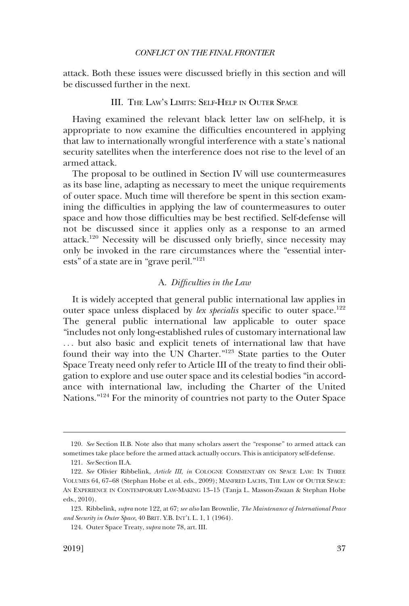<span id="page-26-0"></span>attack. Both these issues were discussed briefy in this section and will be discussed further in the next.

# III. THE LAW'S LIMITS: SELF-HELP IN OUTER SPACE

Having examined the relevant black letter law on self-help, it is appropriate to now examine the diffculties encountered in applying that law to internationally wrongful interference with a state's national security satellites when the interference does not rise to the level of an armed attack.

The proposal to be outlined in Section IV will use countermeasures as its base line, adapting as necessary to meet the unique requirements of outer space. Much time will therefore be spent in this section examining the diffculties in applying the law of countermeasures to outer space and how those diffculties may be best rectifed. Self-defense will not be discussed since it applies only as a response to an armed attack.<sup>120</sup> Necessity will be discussed only briefly, since necessity may only be invoked in the rare circumstances where the "essential interests" of a state are in "grave peril."<sup>121</sup>

## A. *Diffculties in the Law*

It is widely accepted that general public international law applies in outer space unless displaced by *lex specialis* specific to outer space.<sup>122</sup> The general public international law applicable to outer space "includes not only long-established rules of customary international law ... but also basic and explicit tenets of international law that have found their way into the UN Charter."123 State parties to the Outer Space Treaty need only refer to Article III of the treaty to fnd their obligation to explore and use outer space and its celestial bodies "in accordance with international law, including the Charter of the United Nations."124 For the minority of countries not party to the Outer Space

<sup>120.</sup> *See* Section II.B. Note also that many scholars assert the "response" to armed attack can sometimes take place before the armed attack actually occurs. This is anticipatory self-defense.

<sup>121.</sup> *See* Section II.A.

<sup>122.</sup> *See* Olivier Ribbelink, *Article III*, *in* COLOGNE COMMENTARY ON SPACE LAW: IN THREE VOLUMES 64, 67–68 (Stephan Hobe et al. eds., 2009); MANFRED LACHS, THE LAW OF OUTER SPACE: AN EXPERIENCE IN CONTEMPORARY LAW-MAKING 13–15 (Tanja L. Masson-Zwaan & Stephan Hobe eds., 2010).

<sup>123.</sup> Ribbelink, *supra* note 122, at 67; *see also* Ian Brownlie, *The Maintenance of International Peace and Security in Outer Space*, 40 BRIT. Y.B. INT'L L. 1, 1 (1964).

<sup>124.</sup> Outer Space Treaty, *supra* note 78, art. III.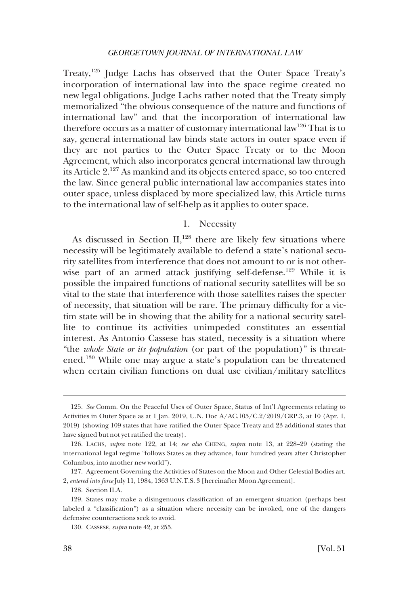<span id="page-27-0"></span>Treaty,<sup>125</sup> Judge Lachs has observed that the Outer Space Treaty's incorporation of international law into the space regime created no new legal obligations. Judge Lachs rather noted that the Treaty simply memorialized "the obvious consequence of the nature and functions of international law" and that the incorporation of international law therefore occurs as a matter of customary international law<sup>126</sup> That is to say, general international law binds state actors in outer space even if they are not parties to the Outer Space Treaty or to the Moon Agreement, which also incorporates general international law through its Article 2.127 As mankind and its objects entered space, so too entered the law. Since general public international law accompanies states into outer space, unless displaced by more specialized law, this Article turns to the international law of self-help as it applies to outer space.

# 1. Necessity

As discussed in Section II, $^{128}$  there are likely few situations where necessity will be legitimately available to defend a state's national security satellites from interference that does not amount to or is not otherwise part of an armed attack justifying self-defense.<sup>129</sup> While it is possible the impaired functions of national security satellites will be so vital to the state that interference with those satellites raises the specter of necessity, that situation will be rare. The primary diffculty for a victim state will be in showing that the ability for a national security satellite to continue its activities unimpeded constitutes an essential interest. As Antonio Cassese has stated, necessity is a situation where "the *whole State or its population* (or part of the population)" is threatened.130 While one may argue a state's population can be threatened when certain civilian functions on dual use civilian/military satellites

<sup>125.</sup> *See* Comm. On the Peaceful Uses of Outer Space, Status of Int'l Agreements relating to Activities in Outer Space as at 1 Jan. 2019, U.N. Doc A/AC.105/C.2/2019/CRP.3, at 10 (Apr. 1, 2019) (showing 109 states that have ratifed the Outer Space Treaty and 23 additional states that have signed but not yet ratifed the treaty).

<sup>126.</sup> LACHS, *supra* note 122, at 14; *see also* CHENG, *supra* note 13, at 228–29 (stating the international legal regime "follows States as they advance, four hundred years after Christopher Columbus, into another new world").

<sup>127.</sup> Agreement Governing the Activities of States on the Moon and Other Celestial Bodies art. 2, *entered into force* July 11, 1984, 1363 U.N.T.S. 3 [hereinafter Moon Agreement].

<sup>128.</sup> Section II.A.

<sup>129.</sup> States may make a disingenuous classifcation of an emergent situation (perhaps best labeled a "classifcation") as a situation where necessity can be invoked, one of the dangers defensive counteractions seek to avoid.

<sup>130.</sup> CASSESE, *supra* note 42, at 255.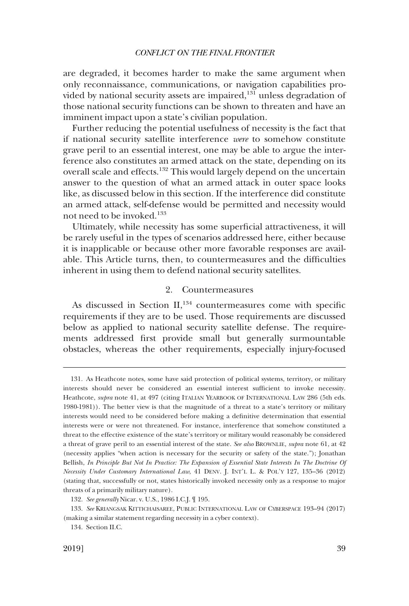<span id="page-28-0"></span>are degraded, it becomes harder to make the same argument when only reconnaissance, communications, or navigation capabilities provided by national security assets are impaired,<sup>131</sup> unless degradation of those national security functions can be shown to threaten and have an imminent impact upon a state's civilian population.

Further reducing the potential usefulness of necessity is the fact that if national security satellite interference *were* to somehow constitute grave peril to an essential interest, one may be able to argue the interference also constitutes an armed attack on the state, depending on its overall scale and effects.<sup>132</sup> This would largely depend on the uncertain answer to the question of what an armed attack in outer space looks like, as discussed below in this section. If the interference did constitute an armed attack, self-defense would be permitted and necessity would not need to be invoked.<sup>133</sup>

Ultimately, while necessity has some superfcial attractiveness, it will be rarely useful in the types of scenarios addressed here, either because it is inapplicable or because other more favorable responses are available. This Article turns, then, to countermeasures and the diffculties inherent in using them to defend national security satellites.

# 2. Countermeasures

As discussed in Section II,<sup>134</sup> countermeasures come with specific requirements if they are to be used. Those requirements are discussed below as applied to national security satellite defense. The requirements addressed frst provide small but generally surmountable obstacles, whereas the other requirements, especially injury-focused

<sup>131.</sup> As Heathcote notes, some have said protection of political systems, territory, or military interests should never be considered an essential interest suffcient to invoke necessity. Heathcote, *supra* note 41, at 497 (citing ITALIAN YEARBOOK OF INTERNATIONAL LAW 286 (5th eds. 1980-1981)). The better view is that the magnitude of a threat to a state's territory or military interests would need to be considered before making a defnitive determination that essential interests were or were not threatened. For instance, interference that somehow constituted a threat to the effective existence of the state's territory or military would reasonably be considered a threat of grave peril to an essential interest of the state. *See also* BROWNLIE, *supra* note 61, at 42 (necessity applies "when action is necessary for the security or safety of the state."); Jonathan Bellish, *In Principle But Not In Practice: The Expansion of Essential State Interests In The Doctrine Of Necessity Under Customary International Law*, 41 DENV. J. INT'L L. & POL'Y 127, 135–36 (2012) (stating that, successfully or not, states historically invoked necessity only as a response to major threats of a primarily military nature).

<sup>132.</sup> *See generally* Nicar. v. U.S., 1986 I.C.J. ¶ 195.

<sup>133.</sup> *See* KRIANGSAK KITTICHAISAREE, PUBLIC INTERNATIONAL LAW OF CYBERSPACE 193–94 (2017) (making a similar statement regarding necessity in a cyber context).

<sup>134.</sup> Section II.C.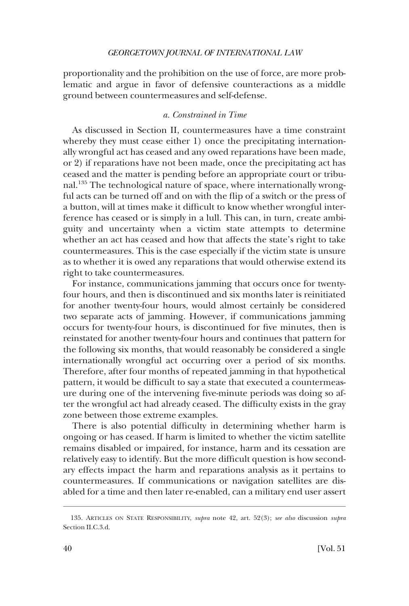<span id="page-29-0"></span>proportionality and the prohibition on the use of force, are more problematic and argue in favor of defensive counteractions as a middle ground between countermeasures and self-defense.

# *a. Constrained in Time*

As discussed in Section II, countermeasures have a time constraint whereby they must cease either 1) once the precipitating internationally wrongful act has ceased and any owed reparations have been made, or 2) if reparations have not been made, once the precipitating act has ceased and the matter is pending before an appropriate court or tribunal.135 The technological nature of space, where internationally wrongful acts can be turned off and on with the fip of a switch or the press of a button, will at times make it diffcult to know whether wrongful interference has ceased or is simply in a lull. This can, in turn, create ambiguity and uncertainty when a victim state attempts to determine whether an act has ceased and how that affects the state's right to take countermeasures. This is the case especially if the victim state is unsure as to whether it is owed any reparations that would otherwise extend its right to take countermeasures.

For instance, communications jamming that occurs once for twentyfour hours, and then is discontinued and six months later is reinitiated for another twenty-four hours, would almost certainly be considered two separate acts of jamming. However, if communications jamming occurs for twenty-four hours, is discontinued for fve minutes, then is reinstated for another twenty-four hours and continues that pattern for the following six months, that would reasonably be considered a single internationally wrongful act occurring over a period of six months. Therefore, after four months of repeated jamming in that hypothetical pattern, it would be diffcult to say a state that executed a countermeasure during one of the intervening fve-minute periods was doing so after the wrongful act had already ceased. The diffculty exists in the gray zone between those extreme examples.

There is also potential difficulty in determining whether harm is ongoing or has ceased. If harm is limited to whether the victim satellite remains disabled or impaired, for instance, harm and its cessation are relatively easy to identify. But the more diffcult question is how secondary effects impact the harm and reparations analysis as it pertains to countermeasures. If communications or navigation satellites are disabled for a time and then later re-enabled, can a military end user assert

<sup>135.</sup> ARTICLES ON STATE RESPONSIBILITY, *supra* note 42, art. 52(3); *see also* discussion *supra*  Section II.C.3.d.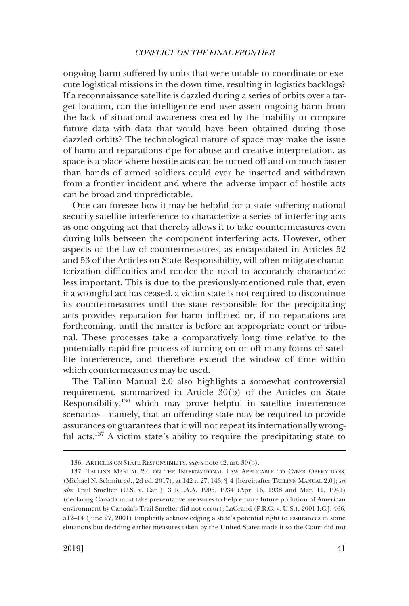ongoing harm suffered by units that were unable to coordinate or execute logistical missions in the down time, resulting in logistics backlogs? If a reconnaissance satellite is dazzled during a series of orbits over a target location, can the intelligence end user assert ongoing harm from the lack of situational awareness created by the inability to compare future data with data that would have been obtained during those dazzled orbits? The technological nature of space may make the issue of harm and reparations ripe for abuse and creative interpretation, as space is a place where hostile acts can be turned off and on much faster than bands of armed soldiers could ever be inserted and withdrawn from a frontier incident and where the adverse impact of hostile acts can be broad and unpredictable.

One can foresee how it may be helpful for a state suffering national security satellite interference to characterize a series of interfering acts as one ongoing act that thereby allows it to take countermeasures even during lulls between the component interfering acts. However, other aspects of the law of countermeasures, as encapsulated in Articles 52 and 53 of the Articles on State Responsibility, will often mitigate characterization diffculties and render the need to accurately characterize less important. This is due to the previously-mentioned rule that, even if a wrongful act has ceased, a victim state is not required to discontinue its countermeasures until the state responsible for the precipitating acts provides reparation for harm inficted or, if no reparations are forthcoming, until the matter is before an appropriate court or tribunal. These processes take a comparatively long time relative to the potentially rapid-fre process of turning on or off many forms of satellite interference, and therefore extend the window of time within which countermeasures may be used.

The Tallinn Manual 2.0 also highlights a somewhat controversial requirement, summarized in Article 30(b) of the Articles on State Responsibility,<sup>136</sup> which may prove helpful in satellite interference scenarios—namely, that an offending state may be required to provide assurances or guarantees that it will not repeat its internationally wrongful acts.<sup>137</sup> A victim state's ability to require the precipitating state to

<sup>136.</sup> ARTICLES ON STATE RESPONSIBILITY, *supra* note 42, art. 30(b).

<sup>137.</sup> TALLINN MANUAL 2.0 ON THE INTERNATIONAL LAW APPLICABLE TO CYBER OPERATIONS, (Michael N. Schmitt ed., 2d ed. 2017), at 142 r. 27, 143, ¶ 4 [hereinafter TALLINN MANUAL 2.0]; *see also* Trail Smelter (U.S. v. Can.), 3 R.I.A.A. 1905, 1934 (Apr. 16, 1938 and Mar. 11, 1941) (declaring Canada must take preventative measures to help ensure future pollution of American environment by Canada's Trail Smelter did not occur); LaGrand (F.R.G. v. U.S.), 2001 I.C.J. 466, 512–14 (June 27, 2001) (implicitly acknowledging a state's potential right to assurances in some situations but deciding earlier measures taken by the United States made it so the Court did not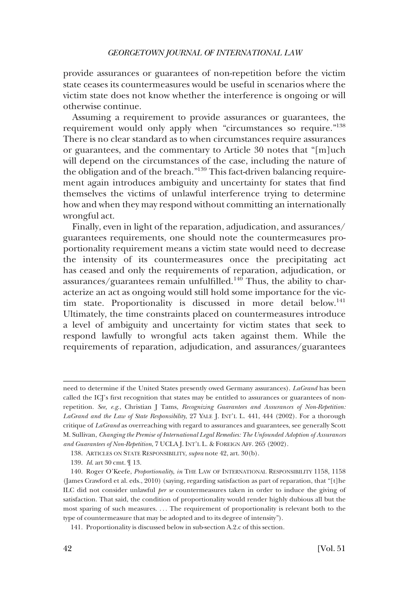provide assurances or guarantees of non-repetition before the victim state ceases its countermeasures would be useful in scenarios where the victim state does not know whether the interference is ongoing or will otherwise continue.

Assuming a requirement to provide assurances or guarantees, the requirement would only apply when "circumstances so require."138 There is no clear standard as to when circumstances require assurances or guarantees, and the commentary to Article 30 notes that "[m]uch will depend on the circumstances of the case, including the nature of the obligation and of the breach."139 This fact-driven balancing requirement again introduces ambiguity and uncertainty for states that fnd themselves the victims of unlawful interference trying to determine how and when they may respond without committing an internationally wrongful act.

Finally, even in light of the reparation, adjudication, and assurances/ guarantees requirements, one should note the countermeasures proportionality requirement means a victim state would need to decrease the intensity of its countermeasures once the precipitating act has ceased and only the requirements of reparation, adjudication, or assurances/guarantees remain unfulfilled.<sup>140</sup> Thus, the ability to characterize an act as ongoing would still hold some importance for the victim state. Proportionality is discussed in more detail below.<sup>141</sup> Ultimately, the time constraints placed on countermeasures introduce a level of ambiguity and uncertainty for victim states that seek to respond lawfully to wrongful acts taken against them. While the requirements of reparation, adjudication, and assurances/guarantees

need to determine if the United States presently owed Germany assurances). *LaGrand* has been called the ICJ's frst recognition that states may be entitled to assurances or guarantees of nonrepetition. *See, e.g*., Christian J Tams, *Recognizing Guarantees and Assurances of Non-Repetition: LaGrand and the Law of State Responsibility*, 27 YALE J. INT'L L. 441, 444 (2002). For a thorough critique of *LaGrand* as overreaching with regard to assurances and guarantees, see generally Scott M. Sullivan, *Changing the Premise of International Legal Remedies: The Unfounded Adoption of Assurances and Guarantees of Non-Repetition*, 7 UCLA J. INT'L L. & FOREIGN AFF. 265 (2002).

<sup>138.</sup> ARTICLES ON STATE RESPONSIBILITY, *supra* note 42, art. 30(b).

<sup>139.</sup> *Id*. art 30 cmt. ¶ 13.

<sup>140.</sup> Roger O'Keefe, *Proportionality*, *in* THE LAW OF INTERNATIONAL RESPONSIBILITY 1158, 1158 (James Crawford et al. eds., 2010) (saying, regarding satisfaction as part of reparation, that "[t]he ILC did not consider unlawful *per se* countermeasures taken in order to induce the giving of satisfaction. That said, the condition of proportionality would render highly dubious all but the most sparing of such measures. . . . The requirement of proportionality is relevant both to the type of countermeasure that may be adopted and to its degree of intensity").

<sup>141.</sup> Proportionality is discussed below in sub-section A.2.c of this section.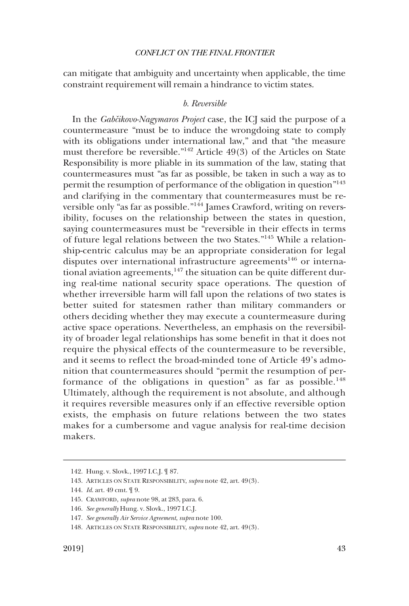<span id="page-32-0"></span>can mitigate that ambiguity and uncertainty when applicable, the time constraint requirement will remain a hindrance to victim states.

# *b. Reversible*

In the *Gabcˇikovo-Nagymaros Project* case, the ICJ said the purpose of a countermeasure "must be to induce the wrongdoing state to comply with its obligations under international law," and that "the measure must therefore be reversible."142 Article 49(3) of the Articles on State Responsibility is more pliable in its summation of the law, stating that countermeasures must "as far as possible, be taken in such a way as to permit the resumption of performance of the obligation in question"143 and clarifying in the commentary that countermeasures must be reversible only "as far as possible."144 James Crawford, writing on reversibility, focuses on the relationship between the states in question, saying countermeasures must be "reversible in their effects in terms of future legal relations between the two States."145 While a relationship-centric calculus may be an appropriate consideration for legal disputes over international infrastructure agreements<sup>146</sup> or international aviation agreements, $147$  the situation can be quite different during real-time national security space operations. The question of whether irreversible harm will fall upon the relations of two states is better suited for statesmen rather than military commanders or others deciding whether they may execute a countermeasure during active space operations. Nevertheless, an emphasis on the reversibility of broader legal relationships has some beneft in that it does not require the physical effects of the countermeasure to be reversible, and it seems to refect the broad-minded tone of Article 49's admonition that countermeasures should "permit the resumption of performance of the obligations in question" as far as possible.<sup>148</sup> Ultimately, although the requirement is not absolute, and although it requires reversible measures only if an effective reversible option exists, the emphasis on future relations between the two states makes for a cumbersome and vague analysis for real-time decision makers.

<sup>142.</sup> Hung. v. Slovk., 1997 I.C.J. ¶ 87.

<sup>143.</sup> ARTICLES ON STATE RESPONSIBILITY, *supra* note 42, art. 49(3).

<sup>144.</sup> *Id*. art. 49 cmt. ¶ 9.

<sup>145.</sup> CRAWFORD, *supra* note 98, at 283, para. 6.

<sup>146.</sup> *See generally* Hung. v. Slovk., 1997 I.C.J.

<sup>147.</sup> *See generally Air Service Agreement*, *supra* note 100.

<sup>148.</sup> ARTICLES ON STATE RESPONSIBILITY, *supra* note 42, art. 49(3).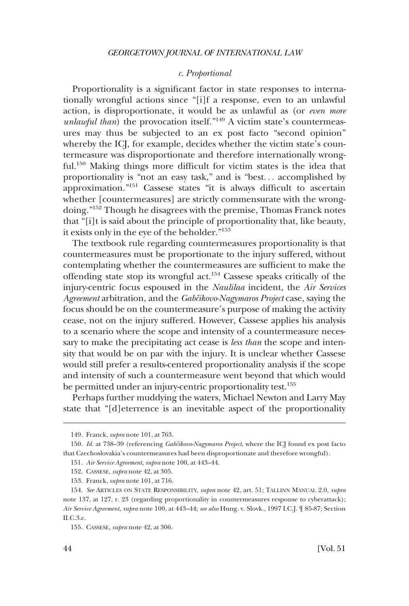#### *c. Proportional*

<span id="page-33-0"></span>Proportionality is a signifcant factor in state responses to internationally wrongful actions since "[i]f a response, even to an unlawful action, is disproportionate, it would be as unlawful as (or *even more unlawful than*) the provocation itself."<sup>149</sup> A victim state's countermeasures may thus be subjected to an ex post facto "second opinion" whereby the ICJ, for example, decides whether the victim state's countermeasure was disproportionate and therefore internationally wrongful.<sup>150</sup> Making things more difficult for victim states is the idea that proportionality is "not an easy task," and is "best. . . accomplished by approximation."151 Cassese states "it is always diffcult to ascertain whether [countermeasures] are strictly commensurate with the wrongdoing."152 Though he disagrees with the premise, Thomas Franck notes that "[i]t is said about the principle of proportionality that, like beauty, it exists only in the eye of the beholder."<sup>153</sup>

The textbook rule regarding countermeasures proportionality is that countermeasures must be proportionate to the injury suffered, without contemplating whether the countermeasures are suffcient to make the offending state stop its wrongful act.<sup>154</sup> Cassese speaks critically of the injury-centric focus espoused in the *Naulilaa* incident, the *Air Services Agreement* arbitration, and the *Gabcˇikovo-Nagymaros Project* case, saying the focus should be on the countermeasure's purpose of making the activity cease, not on the injury suffered. However, Cassese applies his analysis to a scenario where the scope and intensity of a countermeasure necessary to make the precipitating act cease is *less than* the scope and intensity that would be on par with the injury. It is unclear whether Cassese would still prefer a results-centered proportionality analysis if the scope and intensity of such a countermeasure went beyond that which would be permitted under an injury-centric proportionality test.<sup>155</sup>

Perhaps further muddying the waters, Michael Newton and Larry May state that "[d]eterrence is an inevitable aspect of the proportionality

<sup>149.</sup> Franck, *supra* note 101, at 763.

<sup>150.</sup> *Id*. at 738–39 (referencing *Gabcˇikovo-Nagymaros Project*, where the ICJ found ex post facto that Czechoslovakia's countermeasures had been disproportionate and therefore wrongful).

<sup>151.</sup> *Air Service Agreement*, *supra* note 100, at 443–44.

<sup>152.</sup> CASSESE, *supra* note 42, at 305.

<sup>153.</sup> Franck, *supra* note 101, at 716.

<sup>154.</sup> *See* ARTICLES ON STATE RESPONSIBILITY, *supra* note 42, art. 51; TALLINN MANUAL 2.0, *supra*  note 137, at 127, r. 23 (regarding proportionality in countermeasures response to cyberattack); *Air Service Agreement*, *supra* note 100, at 443–44; *see also* Hung. v. Slovk., 1997 I.C.J. ¶ 85-87; Section II.C.3.c.

<sup>155.</sup> CASSESE, *supra* note 42, at 306.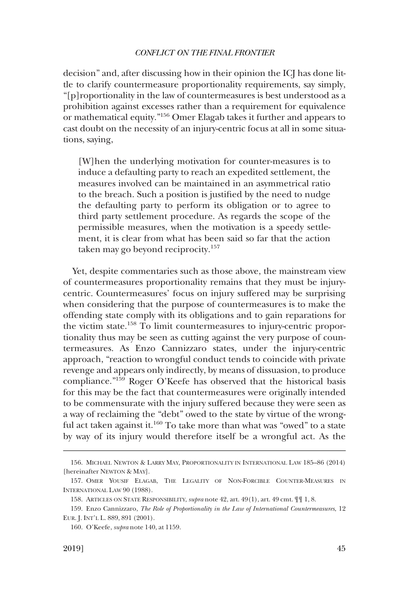decision" and, after discussing how in their opinion the ICJ has done little to clarify countermeasure proportionality requirements, say simply, "[p]roportionality in the law of countermeasures is best understood as a prohibition against excesses rather than a requirement for equivalence or mathematical equity."156 Omer Elagab takes it further and appears to cast doubt on the necessity of an injury-centric focus at all in some situations, saying,

[W]hen the underlying motivation for counter-measures is to induce a defaulting party to reach an expedited settlement, the measures involved can be maintained in an asymmetrical ratio to the breach. Such a position is justifed by the need to nudge the defaulting party to perform its obligation or to agree to third party settlement procedure. As regards the scope of the permissible measures, when the motivation is a speedy settlement, it is clear from what has been said so far that the action taken may go beyond reciprocity.<sup>157</sup>

Yet, despite commentaries such as those above, the mainstream view of countermeasures proportionality remains that they must be injurycentric. Countermeasures' focus on injury suffered may be surprising when considering that the purpose of countermeasures is to make the offending state comply with its obligations and to gain reparations for the victim state.158 To limit countermeasures to injury-centric proportionality thus may be seen as cutting against the very purpose of countermeasures. As Enzo Cannizzaro states, under the injury-centric approach, "reaction to wrongful conduct tends to coincide with private revenge and appears only indirectly, by means of dissuasion, to produce compliance."159 Roger O'Keefe has observed that the historical basis for this may be the fact that countermeasures were originally intended to be commensurate with the injury suffered because they were seen as a way of reclaiming the "debt" owed to the state by virtue of the wrongful act taken against it.<sup>160</sup> To take more than what was "owed" to a state by way of its injury would therefore itself be a wrongful act. As the

<sup>156.</sup> MICHAEL NEWTON & LARRY MAY, PROPORTIONALITY IN INTERNATIONAL LAW 185–86 (2014) [hereinafter NEWTON & MAY].

<sup>157.</sup> OMER YOUSIF ELAGAB, THE LEGALITY OF NON-FORCIBLE COUNTER-MEASURES IN INTERNATIONAL LAW 90 (1988).

<sup>158.</sup> ARTICLES ON STATE RESPONSIBILITY, *supra* note 42, art. 49(1), art. 49 cmt. ¶¶ 1, 8.

<sup>159.</sup> Enzo Cannizzaro, *The Role of Proportionality in the Law of International Countermeasures*, 12 EUR. J. INT'L L. 889, 891 (2001).

<sup>160.</sup> O'Keefe, *supra* note 140, at 1159.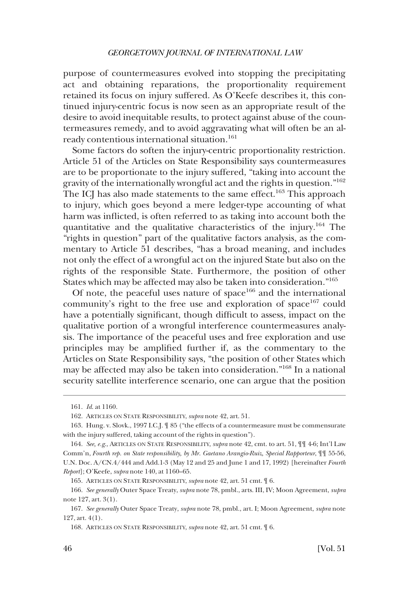purpose of countermeasures evolved into stopping the precipitating act and obtaining reparations, the proportionality requirement retained its focus on injury suffered. As O'Keefe describes it, this continued injury-centric focus is now seen as an appropriate result of the desire to avoid inequitable results, to protect against abuse of the countermeasures remedy, and to avoid aggravating what will often be an already contentious international situation.<sup>161</sup>

Some factors do soften the injury-centric proportionality restriction. Article 51 of the Articles on State Responsibility says countermeasures are to be proportionate to the injury suffered, "taking into account the gravity of the internationally wrongful act and the rights in question."162 The ICJ has also made statements to the same effect.<sup>163</sup> This approach to injury, which goes beyond a mere ledger-type accounting of what harm was inficted, is often referred to as taking into account both the quantitative and the qualitative characteristics of the injury.164 The "rights in question" part of the qualitative factors analysis, as the commentary to Article 51 describes, "has a broad meaning, and includes not only the effect of a wrongful act on the injured State but also on the rights of the responsible State. Furthermore, the position of other States which may be affected may also be taken into consideration."<sup>165</sup>

Of note, the peaceful uses nature of space $166$  and the international community's right to the free use and exploration of space<sup>167</sup> could have a potentially significant, though difficult to assess, impact on the qualitative portion of a wrongful interference countermeasures analysis. The importance of the peaceful uses and free exploration and use principles may be amplifed further if, as the commentary to the Articles on State Responsibility says, "the position of other States which may be affected may also be taken into consideration."<sup>168</sup> In a national security satellite interference scenario, one can argue that the position

<sup>161.</sup> *Id*. at 1160.

<sup>162.</sup> ARTICLES ON STATE RESPONSIBILITY, *supra* note 42, art. 51.

<sup>163.</sup> Hung. v. Slovk., 1997 I.C.J. ¶ 85 ("the effects of a countermeasure must be commensurate with the injury suffered, taking account of the rights in question").

<sup>164.</sup> *See, e.g*., ARTICLES ON STATE RESPONSIBILITY, *supra* note 42, cmt. to art. 51, ¶¶ 4-6; Int'l Law Comm'n, *Fourth rep. on State responsibility, by Mr. Gaetano Arangio-Ruiz, Special Rapporteur*, ¶¶ 55-56, U.N. Doc. A/CN.4/444 and Add.1-3 (May 12 and 25 and June 1 and 17, 1992) [hereinafter *Fourth Report*]; O'Keefe, *supra* note 140, at 1160–65.

<sup>165.</sup> ARTICLES ON STATE RESPONSIBILITY, *supra* note 42, art. 51 cmt. ¶ 6.

<sup>166.</sup> *See generally* Outer Space Treaty, *supra* note 78, pmbl., arts. III, IV; Moon Agreement, *supra*  note 127, art. 3(1).

<sup>167.</sup> *See generally* Outer Space Treaty, *supra* note 78, pmbl., art. I; Moon Agreement, *supra* note 127, art. 4(1).

<sup>168.</sup> ARTICLES ON STATE RESPONSIBILITY, *supra* note 42, art. 51 cmt. ¶ 6.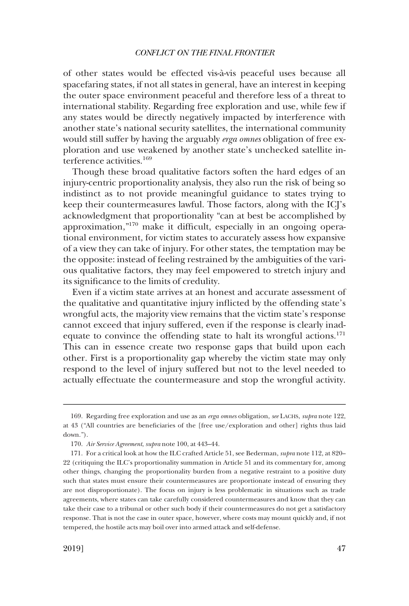of other states would be effected vis-a`-vis peaceful uses because all spacefaring states, if not all states in general, have an interest in keeping the outer space environment peaceful and therefore less of a threat to international stability. Regarding free exploration and use, while few if any states would be directly negatively impacted by interference with another state's national security satellites, the international community would still suffer by having the arguably *erga omnes* obligation of free exploration and use weakened by another state's unchecked satellite interference activities.<sup>169</sup>

Though these broad qualitative factors soften the hard edges of an injury-centric proportionality analysis, they also run the risk of being so indistinct as to not provide meaningful guidance to states trying to keep their countermeasures lawful. Those factors, along with the ICJ's acknowledgment that proportionality "can at best be accomplished by approximation,"170 make it diffcult, especially in an ongoing operational environment, for victim states to accurately assess how expansive of a view they can take of injury. For other states, the temptation may be the opposite: instead of feeling restrained by the ambiguities of the various qualitative factors, they may feel empowered to stretch injury and its signifcance to the limits of credulity.

Even if a victim state arrives at an honest and accurate assessment of the qualitative and quantitative injury inficted by the offending state's wrongful acts, the majority view remains that the victim state's response cannot exceed that injury suffered, even if the response is clearly inadequate to convince the offending state to halt its wrongful actions.<sup>171</sup> This can in essence create two response gaps that build upon each other. First is a proportionality gap whereby the victim state may only respond to the level of injury suffered but not to the level needed to actually effectuate the countermeasure and stop the wrongful activity.

<sup>169.</sup> Regarding free exploration and use as an *erga omnes* obligation, *see* LACHS, *supra* note 122, at 43 ("All countries are benefciaries of the [free use/exploration and other] rights thus laid down.").

<sup>170.</sup> *Air Service Agreement*, *supra* note 100, at 443–44.

<sup>171.</sup> For a critical look at how the ILC crafted Article 51, see Bederman, *supra* note 112, at 820– 22 (critiquing the ILC's proportionality summation in Article 51 and its commentary for, among other things, changing the proportionality burden from a negative restraint to a positive duty such that states must ensure their countermeasures are proportionate instead of ensuring they are not disproportionate). The focus on injury is less problematic in situations such as trade agreements, where states can take carefully considered countermeasures and know that they can take their case to a tribunal or other such body if their countermeasures do not get a satisfactory response. That is not the case in outer space, however, where costs may mount quickly and, if not tempered, the hostile acts may boil over into armed attack and self-defense.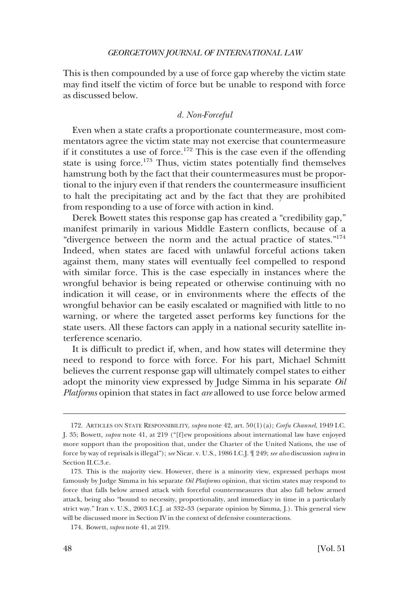<span id="page-37-0"></span>This is then compounded by a use of force gap whereby the victim state may fnd itself the victim of force but be unable to respond with force as discussed below.

# *d. Non-Forceful*

Even when a state crafts a proportionate countermeasure, most commentators agree the victim state may not exercise that countermeasure if it constitutes a use of force.<sup>172</sup> This is the case even if the offending state is using force.<sup>173</sup> Thus, victim states potentially find themselves hamstrung both by the fact that their countermeasures must be proportional to the injury even if that renders the countermeasure insuffcient to halt the precipitating act and by the fact that they are prohibited from responding to a use of force with action in kind.

Derek Bowett states this response gap has created a "credibility gap," manifest primarily in various Middle Eastern conficts, because of a "divergence between the norm and the actual practice of states."174 Indeed, when states are faced with unlawful forceful actions taken against them, many states will eventually feel compelled to respond with similar force. This is the case especially in instances where the wrongful behavior is being repeated or otherwise continuing with no indication it will cease, or in environments where the effects of the wrongful behavior can be easily escalated or magnifed with little to no warning, or where the targeted asset performs key functions for the state users. All these factors can apply in a national security satellite interference scenario.

It is diffcult to predict if, when, and how states will determine they need to respond to force with force. For his part, Michael Schmitt believes the current response gap will ultimately compel states to either adopt the minority view expressed by Judge Simma in his separate *Oil Platforms* opinion that states in fact *are* allowed to use force below armed

<sup>172.</sup> ARTICLES ON STATE RESPONSIBILITY, *supra* note 42, art. 50(1)(a); *Corfu Channel*, 1949 I.C. J. 35; Bowett, *supra* note 41, at 219 ("[f]ew propositions about international law have enjoyed more support than the proposition that, under the Charter of the United Nations, the use of force by way of reprisals is illegal"); *see* Nicar. v. U.S., 1986 I.C.J. ¶ 249; *see also* discussion *supra* in Section II.C.3.e.

<sup>173.</sup> This is the majority view. However, there is a minority view, expressed perhaps most famously by Judge Simma in his separate *Oil Platforms* opinion, that victim states may respond to force that falls below armed attack with forceful countermeasures that also fall below armed attack, being also "bound to necessity, proportionality, and immediacy in time in a particularly strict way." Iran v. U.S., 2003 I.C.J. at 332–33 (separate opinion by Simma, J.). This general view will be discussed more in Section IV in the context of defensive counteractions.

<sup>174.</sup> Bowett, *supra* note 41, at 219.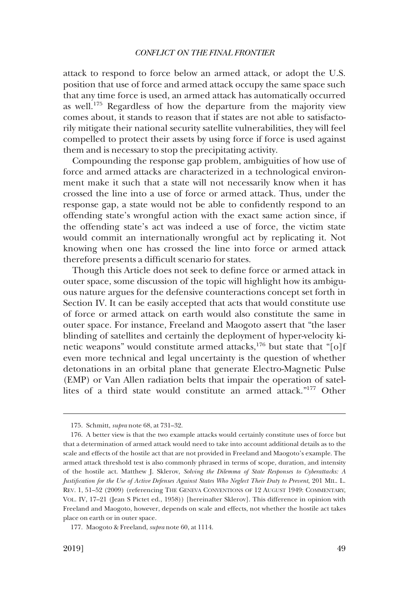attack to respond to force below an armed attack, or adopt the U.S. position that use of force and armed attack occupy the same space such that any time force is used, an armed attack has automatically occurred as well.175 Regardless of how the departure from the majority view comes about, it stands to reason that if states are not able to satisfactorily mitigate their national security satellite vulnerabilities, they will feel compelled to protect their assets by using force if force is used against them and is necessary to stop the precipitating activity.

Compounding the response gap problem, ambiguities of how use of force and armed attacks are characterized in a technological environment make it such that a state will not necessarily know when it has crossed the line into a use of force or armed attack. Thus, under the response gap, a state would not be able to confdently respond to an offending state's wrongful action with the exact same action since, if the offending state's act was indeed a use of force, the victim state would commit an internationally wrongful act by replicating it. Not knowing when one has crossed the line into force or armed attack therefore presents a diffcult scenario for states.

Though this Article does not seek to defne force or armed attack in outer space, some discussion of the topic will highlight how its ambiguous nature argues for the defensive counteractions concept set forth in Section IV. It can be easily accepted that acts that would constitute use of force or armed attack on earth would also constitute the same in outer space. For instance, Freeland and Maogoto assert that "the laser blinding of satellites and certainly the deployment of hyper-velocity kinetic weapons" would constitute armed attacks,<sup>176</sup> but state that "[o]f even more technical and legal uncertainty is the question of whether detonations in an orbital plane that generate Electro-Magnetic Pulse (EMP) or Van Allen radiation belts that impair the operation of satellites of a third state would constitute an armed attack."177 Other

<sup>175.</sup> Schmitt, *supra* note 68, at 731–32.

<sup>176.</sup> A better view is that the two example attacks would certainly constitute uses of force but that a determination of armed attack would need to take into account additional details as to the scale and effects of the hostile act that are not provided in Freeland and Maogoto's example. The armed attack threshold test is also commonly phrased in terms of scope, duration, and intensity of the hostile act. Matthew J. Sklerov, *Solving the Dilemma of State Responses to Cyberattacks: A Justifcation for the Use of Active Defenses Against States Who Neglect Their Duty to Prevent*, 201 MIL. L. REV. 1, 51–52 (2009) (referencing THE GENEVA CONVENTIONS OF 12 AUGUST 1949: COMMENTARY, VOL. IV, 17–21 (Jean S Pictet ed., 1958)) [hereinafter Sklerov]. This difference in opinion with Freeland and Maogoto, however, depends on scale and effects, not whether the hostile act takes place on earth or in outer space.

<sup>177.</sup> Maogoto & Freeland, *supra* note 60, at 1114.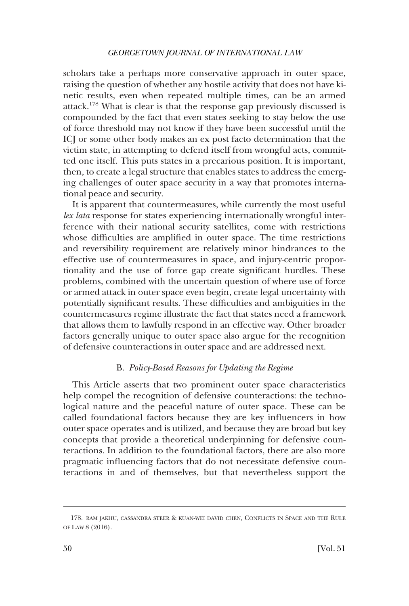<span id="page-39-0"></span>scholars take a perhaps more conservative approach in outer space, raising the question of whether any hostile activity that does not have kinetic results, even when repeated multiple times, can be an armed attack.178 What is clear is that the response gap previously discussed is compounded by the fact that even states seeking to stay below the use of force threshold may not know if they have been successful until the ICJ or some other body makes an ex post facto determination that the victim state, in attempting to defend itself from wrongful acts, committed one itself. This puts states in a precarious position. It is important, then, to create a legal structure that enables states to address the emerging challenges of outer space security in a way that promotes international peace and security.

It is apparent that countermeasures, while currently the most useful *lex lata* response for states experiencing internationally wrongful interference with their national security satellites, come with restrictions whose difficulties are amplified in outer space. The time restrictions and reversibility requirement are relatively minor hindrances to the effective use of countermeasures in space, and injury-centric proportionality and the use of force gap create signifcant hurdles. These problems, combined with the uncertain question of where use of force or armed attack in outer space even begin, create legal uncertainty with potentially signifcant results. These diffculties and ambiguities in the countermeasures regime illustrate the fact that states need a framework that allows them to lawfully respond in an effective way. Other broader factors generally unique to outer space also argue for the recognition of defensive counteractions in outer space and are addressed next.

# B. *Policy-Based Reasons for Updating the Regime*

This Article asserts that two prominent outer space characteristics help compel the recognition of defensive counteractions: the technological nature and the peaceful nature of outer space. These can be called foundational factors because they are key infuencers in how outer space operates and is utilized, and because they are broad but key concepts that provide a theoretical underpinning for defensive counteractions. In addition to the foundational factors, there are also more pragmatic infuencing factors that do not necessitate defensive counteractions in and of themselves, but that nevertheless support the

<sup>178.</sup> RAM JAKHU, CASSANDRA STEER & KUAN-WEI DAVID CHEN, CONFLICTS IN SPACE AND THE RULE OF LAW 8 (2016).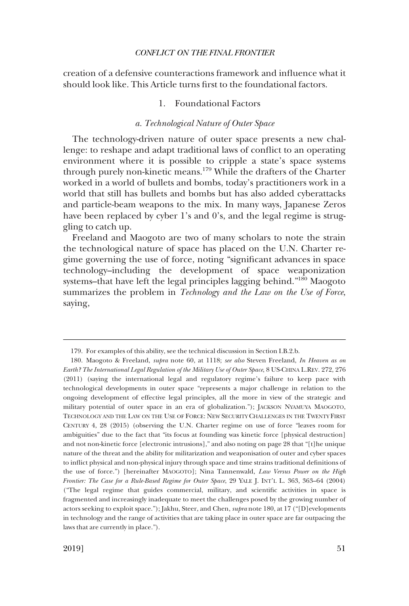<span id="page-40-0"></span>creation of a defensive counteractions framework and infuence what it should look like. This Article turns frst to the foundational factors.

# 1. Foundational Factors

### *a. Technological Nature of Outer Space*

The technology-driven nature of outer space presents a new challenge: to reshape and adapt traditional laws of confict to an operating environment where it is possible to cripple a state's space systems through purely non-kinetic means.179 While the drafters of the Charter worked in a world of bullets and bombs, today's practitioners work in a world that still has bullets and bombs but has also added cyberattacks and particle-beam weapons to the mix. In many ways, Japanese Zeros have been replaced by cyber 1's and 0's, and the legal regime is struggling to catch up.

Freeland and Maogoto are two of many scholars to note the strain the technological nature of space has placed on the U.N. Charter regime governing the use of force, noting "signifcant advances in space technology–including the development of space weaponization systems–that have left the legal principles lagging behind."180 Maogoto summarizes the problem in *Technology and the Law on the Use of Force*, saying,

<sup>179.</sup> For examples of this ability, see the technical discussion in Section I.B.2.b.

<sup>180.</sup> Maogoto & Freeland, *supra* note 60, at 1118; *see also* Steven Freeland, *In Heaven as on Earth? The International Legal Regulation of the Military Use of Outer Space*, 8 US-CHINA L.REV. 272, 276 (2011) (saying the international legal and regulatory regime's failure to keep pace with technological developments in outer space "represents a major challenge in relation to the ongoing development of effective legal principles, all the more in view of the strategic and military potential of outer space in an era of globalization."); JACKSON NYAMUYA MAOGOTO, TECHNOLOGY AND THE LAW ON THE USE OF FORCE: NEW SECURITY CHALLENGES IN THE TWENTY FIRST CENTURY 4, 28 (2015) (observing the U.N. Charter regime on use of force "leaves room for ambiguities" due to the fact that "its focus at founding was kinetic force [physical destruction] and not non-kinetic force [electronic intrusions]," and also noting on page 28 that "[t]he unique nature of the threat and the ability for militarization and weaponisation of outer and cyber spaces to infict physical and non-physical injury through space and time strains traditional defnitions of the use of force.") [hereinafter MAOGOTO]; Nina Tannenwald, *Law Versus Power on the High Frontier: The Case for a Rule-Based Regime for Outer Space*, 29 YALE J. INT'L L. 363, 363–64 (2004) ("The legal regime that guides commercial, military, and scientifc activities in space is fragmented and increasingly inadequate to meet the challenges posed by the growing number of actors seeking to exploit space."); Jakhu, Steer, and Chen, *supra* note 180, at 17 ("[D]evelopments in technology and the range of activities that are taking place in outer space are far outpacing the laws that are currently in place.").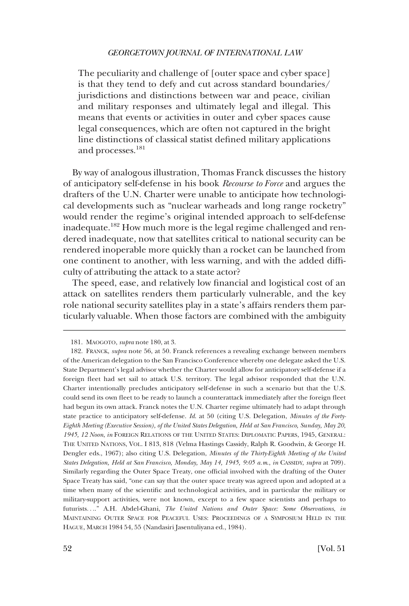The peculiarity and challenge of [outer space and cyber space] is that they tend to defy and cut across standard boundaries/ jurisdictions and distinctions between war and peace, civilian and military responses and ultimately legal and illegal. This means that events or activities in outer and cyber spaces cause legal consequences, which are often not captured in the bright line distinctions of classical statist defned military applications and processes.<sup>181</sup>

By way of analogous illustration, Thomas Franck discusses the history of anticipatory self-defense in his book *Recourse to Force* and argues the drafters of the U.N. Charter were unable to anticipate how technological developments such as "nuclear warheads and long range rocketry" would render the regime's original intended approach to self-defense inadequate.<sup>182</sup> How much more is the legal regime challenged and rendered inadequate, now that satellites critical to national security can be rendered inoperable more quickly than a rocket can be launched from one continent to another, with less warning, and with the added diffculty of attributing the attack to a state actor?

The speed, ease, and relatively low fnancial and logistical cost of an attack on satellites renders them particularly vulnerable, and the key role national security satellites play in a state's affairs renders them particularly valuable. When those factors are combined with the ambiguity

<sup>181.</sup> MAOGOTO, *supra* note 180, at 3.

<sup>182.</sup> FRANCK, *supra* note 56, at 50. Franck references a revealing exchange between members of the American delegation to the San Francisco Conference whereby one delegate asked the U.S. State Department's legal advisor whether the Charter would allow for anticipatory self-defense if a foreign feet had set sail to attack U.S. territory. The legal advisor responded that the U.N. Charter intentionally precludes anticipatory self-defense in such a scenario but that the U.S. could send its own feet to be ready to launch a counterattack immediately after the foreign feet had begun its own attack. Franck notes the U.N. Charter regime ultimately had to adapt through state practice to anticipatory self-defense. *Id*. at 50 (citing U.S. Delegation, *Minutes of the Forty-Eighth Meeting (Executive Session), of the United States Delegation, Held at San Francisco, Sunday, May 20, 1945, 12 Noon*, *in* FOREIGN RELATIONS OF THE UNITED STATES: DIPLOMATIC PAPERS, 1945, GENERAL: THE UNITED NATIONS, VOL. I 813, 818 (Velma Hastings Cassidy, Ralph R. Goodwin, & George H. Dengler eds., 1967); also citing U.S. Delegation, *Minutes of the Thirty-Eighth Meeting of the United States Delegation, Held at San Francisco, Monday, May 14, 1945, 9:05 a.m*., *in* CASSIDY, *supra* at 709). Similarly regarding the Outer Space Treaty, one offcial involved with the drafting of the Outer Space Treaty has said, "one can say that the outer space treaty was agreed upon and adopted at a time when many of the scientifc and technological activities, and in particular the military or military-support activities, were not known, except to a few space scientists and perhaps to futurists. . .." A.H. Abdel-Ghani, *The United Nations and Outer Space: Some Observations*, *in*  MAINTAINING OUTER SPACE FOR PEACEFUL USES: PROCEEDINGS OF A SYMPOSIUM HELD IN THE HAGUE, MARCH 1984 54, 55 (Nandasiri Jasentuliyana ed., 1984).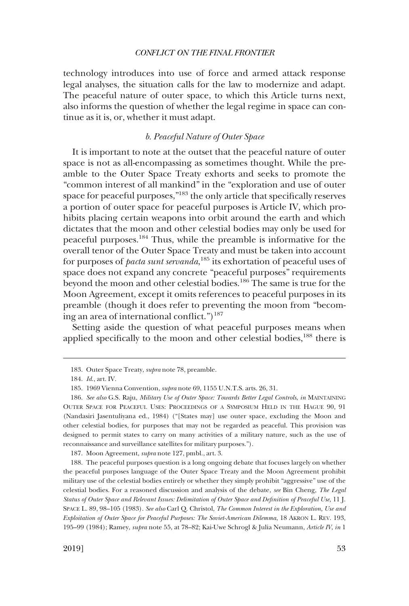<span id="page-42-0"></span>technology introduces into use of force and armed attack response legal analyses, the situation calls for the law to modernize and adapt. The peaceful nature of outer space, to which this Article turns next, also informs the question of whether the legal regime in space can continue as it is, or, whether it must adapt.

# *b. Peaceful Nature of Outer Space*

It is important to note at the outset that the peaceful nature of outer space is not as all-encompassing as sometimes thought. While the preamble to the Outer Space Treaty exhorts and seeks to promote the "common interest of all mankind" in the "exploration and use of outer space for peaceful purposes,"<sup>183</sup> the only article that specifically reserves a portion of outer space for peaceful purposes is Article IV, which prohibits placing certain weapons into orbit around the earth and which dictates that the moon and other celestial bodies may only be used for peaceful purposes.184 Thus, while the preamble is informative for the overall tenor of the Outer Space Treaty and must be taken into account for purposes of *pacta sunt servanda*, 185 its exhortation of peaceful uses of space does not expand any concrete "peaceful purposes" requirements beyond the moon and other celestial bodies.186 The same is true for the Moon Agreement, except it omits references to peaceful purposes in its preamble (though it does refer to preventing the moon from "becoming an area of international conflict.")<sup>187</sup>

Setting aside the question of what peaceful purposes means when applied specifically to the moon and other celestial bodies,<sup>188</sup> there is

187. Moon Agreement, *supra* note 127, pmbl., art. 3.

<sup>183.</sup> Outer Space Treaty, *supra* note 78, preamble.

<sup>184.</sup> *Id*., art. IV.

<sup>185. 1969</sup> Vienna Convention, *supra* note 69, 1155 U.N.T.S. arts. 26, 31.

<sup>186.</sup> *See also* G.S. Raju, *Military Use of Outer Space: Towards Better Legal Controls*, *in* MAINTAINING OUTER SPACE FOR PEACEFUL USES: PROCEEDINGS OF A SYMPOSIUM HELD IN THE HAGUE 90, 91 (Nandasiri Jasentuliyana ed., 1984) ("[States may] use outer space, excluding the Moon and other celestial bodies, for purposes that may not be regarded as peaceful. This provision was designed to permit states to carry on many activities of a military nature, such as the use of reconnaissance and surveillance satellites for military purposes.").

<sup>188.</sup> The peaceful purposes question is a long ongoing debate that focuses largely on whether the peaceful purposes language of the Outer Space Treaty and the Moon Agreement prohibit military use of the celestial bodies entirely or whether they simply prohibit "aggressive" use of the celestial bodies. For a reasoned discussion and analysis of the debate, *see* Bin Cheng, *The Legal Status of Outer Space and Relevant Issues: Delimitation of Outer Space and Defnition of Peaceful Use*, 11 J. SPACE L. 89, 98–105 (1983). *See also* Carl Q. Christol, *The Common Interest in the Exploration, Use and Exploitation of Outer Space for Peaceful Purposes: The Soviet-American Dilemma*, 18 AKRON L. REV. 193, 195–99 (1984); Ramey, *supra* note 55, at 78–82; Kai-Uwe Schrogl & Julia Neumann, *Article IV*, *in* 1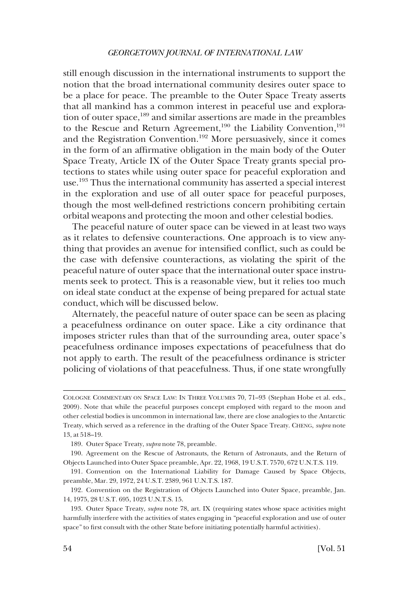still enough discussion in the international instruments to support the notion that the broad international community desires outer space to be a place for peace. The preamble to the Outer Space Treaty asserts that all mankind has a common interest in peaceful use and exploration of outer space,<sup>189</sup> and similar assertions are made in the preambles to the Rescue and Return Agreement,<sup>190</sup> the Liability Convention,<sup>191</sup> and the Registration Convention.<sup>192</sup> More persuasively, since it comes in the form of an affrmative obligation in the main body of the Outer Space Treaty, Article IX of the Outer Space Treaty grants special protections to states while using outer space for peaceful exploration and use.193 Thus the international community has asserted a special interest in the exploration and use of all outer space for peaceful purposes, though the most well-defned restrictions concern prohibiting certain orbital weapons and protecting the moon and other celestial bodies.

The peaceful nature of outer space can be viewed in at least two ways as it relates to defensive counteractions. One approach is to view anything that provides an avenue for intensifed confict, such as could be the case with defensive counteractions, as violating the spirit of the peaceful nature of outer space that the international outer space instruments seek to protect. This is a reasonable view, but it relies too much on ideal state conduct at the expense of being prepared for actual state conduct, which will be discussed below.

Alternately, the peaceful nature of outer space can be seen as placing a peacefulness ordinance on outer space. Like a city ordinance that imposes stricter rules than that of the surrounding area, outer space's peacefulness ordinance imposes expectations of peacefulness that do not apply to earth. The result of the peacefulness ordinance is stricter policing of violations of that peacefulness. Thus, if one state wrongfully

COLOGNE COMMENTARY ON SPACE LAW: IN THREE VOLUMES 70, 71–93 (Stephan Hobe et al. eds., 2009). Note that while the peaceful purposes concept employed with regard to the moon and other celestial bodies is uncommon in international law, there are close analogies to the Antarctic Treaty, which served as a reference in the drafting of the Outer Space Treaty. CHENG, *supra* note 13, at 518–19.

<sup>189.</sup> Outer Space Treaty, *supra* note 78, preamble.

<sup>190.</sup> Agreement on the Rescue of Astronauts, the Return of Astronauts, and the Return of Objects Launched into Outer Space preamble, Apr. 22, 1968, 19 U.S.T. 7570, 672 U.N.T.S. 119.

<sup>191.</sup> Convention on the International Liability for Damage Caused by Space Objects, preamble, Mar. 29, 1972, 24 U.S.T. 2389, 961 U.N.T.S. 187.

<sup>192.</sup> Convention on the Registration of Objects Launched into Outer Space, preamble, Jan. 14, 1975, 28 U.S.T. 695, 1023 U.N.T.S. 15.

<sup>193.</sup> Outer Space Treaty, *supra* note 78, art. IX (requiring states whose space activities might harmfully interfere with the activities of states engaging in "peaceful exploration and use of outer space" to frst consult with the other State before initiating potentially harmful activities).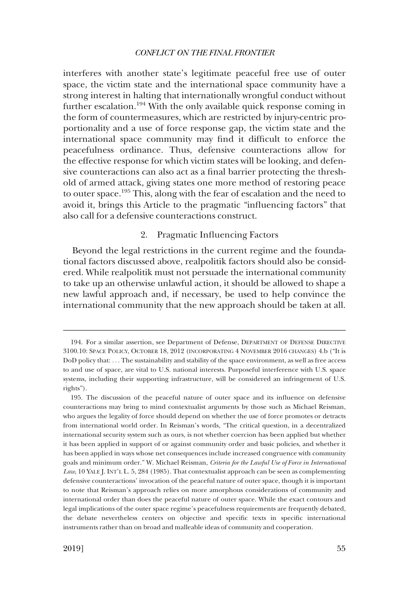<span id="page-44-0"></span>interferes with another state's legitimate peaceful free use of outer space, the victim state and the international space community have a strong interest in halting that internationally wrongful conduct without further escalation.<sup>194</sup> With the only available quick response coming in the form of countermeasures, which are restricted by injury-centric proportionality and a use of force response gap, the victim state and the international space community may find it difficult to enforce the peacefulness ordinance. Thus, defensive counteractions allow for the effective response for which victim states will be looking, and defensive counteractions can also act as a fnal barrier protecting the threshold of armed attack, giving states one more method of restoring peace to outer space.195 This, along with the fear of escalation and the need to avoid it, brings this Article to the pragmatic "infuencing factors" that also call for a defensive counteractions construct.

## 2. Pragmatic Infuencing Factors

Beyond the legal restrictions in the current regime and the foundational factors discussed above, realpolitik factors should also be considered. While realpolitik must not persuade the international community to take up an otherwise unlawful action, it should be allowed to shape a new lawful approach and, if necessary, be used to help convince the international community that the new approach should be taken at all.

<sup>194.</sup> For a similar assertion, see Department of Defense, DEPARTMENT OF DEFENSE DIRECTIVE 3100.10: SPACE POLICY, OCTOBER 18, 2012 (INCORPORATING 4 NOVEMBER 2016 CHANGES) 4.b ("It is DoD policy that: . . . The sustainability and stability of the space environment, as well as free access to and use of space, are vital to U.S. national interests. Purposeful interference with U.S. space systems, including their supporting infrastructure, will be considered an infringement of U.S. rights").

<sup>195.</sup> The discussion of the peaceful nature of outer space and its infuence on defensive counteractions may bring to mind contextualist arguments by those such as Michael Reisman, who argues the legality of force should depend on whether the use of force promotes or detracts from international world order. In Reisman's words, "The critical question, in a decentralized international security system such as ours, is not whether coercion has been applied but whether it has been applied in support of or against community order and basic policies, and whether it has been applied in ways whose net consequences include increased congruence with community goals and minimum order." W. Michael Reisman, *Criteria for the Lawful Use of Force in International Law*, 10 YALE J. INT'L L. 5, 284 (1985). That contextualist approach can be seen as complementing defensive counteractions' invocation of the peaceful nature of outer space, though it is important to note that Reisman's approach relies on more amorphous considerations of community and international order than does the peaceful nature of outer space. While the exact contours and legal implications of the outer space regime's peacefulness requirements are frequently debated, the debate nevertheless centers on objective and specifc texts in specifc international instruments rather than on broad and malleable ideas of community and cooperation.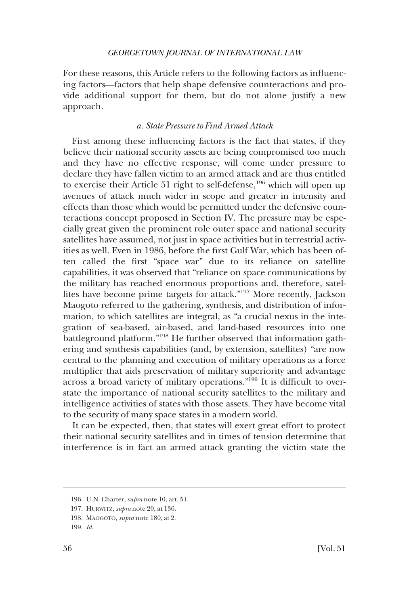<span id="page-45-0"></span>For these reasons, this Article refers to the following factors as infuencing factors—factors that help shape defensive counteractions and provide additional support for them, but do not alone justify a new approach.

# *a. State Pressure to Find Armed Attack*

First among these infuencing factors is the fact that states, if they believe their national security assets are being compromised too much and they have no effective response, will come under pressure to declare they have fallen victim to an armed attack and are thus entitled to exercise their Article 51 right to self-defense,<sup>196</sup> which will open up avenues of attack much wider in scope and greater in intensity and effects than those which would be permitted under the defensive counteractions concept proposed in Section IV. The pressure may be especially great given the prominent role outer space and national security satellites have assumed, not just in space activities but in terrestrial activities as well. Even in 1986, before the frst Gulf War, which has been often called the frst "space war" due to its reliance on satellite capabilities, it was observed that "reliance on space communications by the military has reached enormous proportions and, therefore, satellites have become prime targets for attack."197 More recently, Jackson Maogoto referred to the gathering, synthesis, and distribution of information, to which satellites are integral, as "a crucial nexus in the integration of sea-based, air-based, and land-based resources into one battleground platform."198 He further observed that information gathering and synthesis capabilities (and, by extension, satellites) "are now central to the planning and execution of military operations as a force multiplier that aids preservation of military superiority and advantage across a broad variety of military operations."<sup>199</sup> It is difficult to overstate the importance of national security satellites to the military and intelligence activities of states with those assets. They have become vital to the security of many space states in a modern world.

It can be expected, then, that states will exert great effort to protect their national security satellites and in times of tension determine that interference is in fact an armed attack granting the victim state the

<sup>196.</sup> U.N. Charter, *supra* note 10, art. 51.

<sup>197.</sup> HURWITZ, *supra* note 20, at 136.

<sup>198.</sup> MAOGOTO, *supra* note 180, at 2.

<sup>199.</sup> *Id*.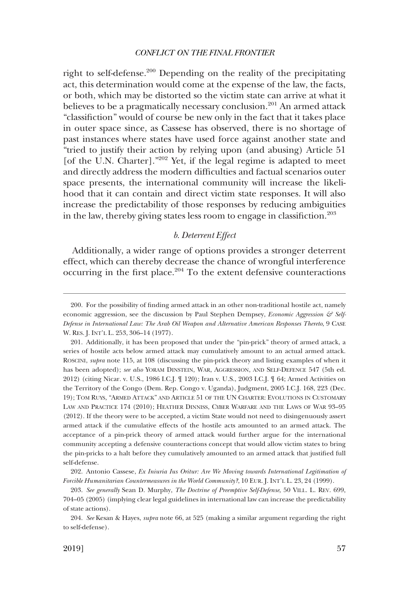<span id="page-46-0"></span>right to self-defense.200 Depending on the reality of the precipitating act, this determination would come at the expense of the law, the facts, or both, which may be distorted so the victim state can arrive at what it believes to be a pragmatically necessary conclusion.<sup>201</sup> An armed attack "classifction" would of course be new only in the fact that it takes place in outer space since, as Cassese has observed, there is no shortage of past instances where states have used force against another state and "tried to justify their action by relying upon (and abusing) Article 51 [of the U.N. Charter]."202 Yet, if the legal regime is adapted to meet and directly address the modern diffculties and factual scenarios outer space presents, the international community will increase the likelihood that it can contain and direct victim state responses. It will also increase the predictability of those responses by reducing ambiguities in the law, thereby giving states less room to engage in classifiction.<sup>203</sup>

## *b. Deterrent Effect*

Additionally, a wider range of options provides a stronger deterrent effect, which can thereby decrease the chance of wrongful interference occurring in the first place.<sup>204</sup> To the extent defensive counteractions

<sup>200.</sup> For the possibility of fnding armed attack in an other non-traditional hostile act, namely economic aggression, see the discussion by Paul Stephen Dempsey, *Economic Aggression & Self-Defense in International Law: The Arab Oil Weapon and Alternative American Responses Thereto*, 9 CASE W. RES. J. INT'L L. 253, 306–14 (1977).

<sup>201.</sup> Additionally, it has been proposed that under the "pin-prick" theory of armed attack, a series of hostile acts below armed attack may cumulatively amount to an actual armed attack. ROSCINI, *supra* note 115, at 108 (discussing the pin-prick theory and listing examples of when it has been adopted); *see also* YORAM DINSTEIN, WAR, AGGRESSION, AND SELF-DEFENCE 547 (5th ed. 2012) (citing Nicar. v. U.S., 1986 I.C.J. ¶ 120); Iran v. U.S., 2003 I.C.J. ¶ 64; Armed Activities on the Territory of the Congo (Dem. Rep. Congo v. Uganda), Judgment, 2005 I.C.J. 168, 223 (Dec. 19); TOM RUYS, "ARMED ATTACK" AND ARTICLE 51 OF THE UN CHARTER: EVOLUTIONS IN CUSTOMARY LAW AND PRACTICE 174 (2010); HEATHER DINNISS, CYBER WARFARE AND THE LAWS OF WAR 93–95 (2012). If the theory were to be accepted, a victim State would not need to disingenuously assert armed attack if the cumulative effects of the hostile acts amounted to an armed attack. The acceptance of a pin-prick theory of armed attack would further argue for the international community accepting a defensive counteractions concept that would allow victim states to bring the pin-pricks to a halt before they cumulatively amounted to an armed attack that justifed full self-defense.

<sup>202.</sup> Antonio Cassese, *Ex Iniuria Ius Oritur: Are We Moving towards International Legitimation of Forcible Humanitarian Countermeasures in the World Community?*, 10 EUR. J. INT'L L. 23, 24 (1999).

<sup>203.</sup> *See generally* Sean D. Murphy, *The Doctrine of Preemptive Self-Defense*, 50 VILL. L. REV. 699, 704–05 (2005) (implying clear legal guidelines in international law can increase the predictability of state actions).

<sup>204.</sup> *See* Kesan & Hayes, *supra* note 66, at 525 (making a similar argument regarding the right to self-defense).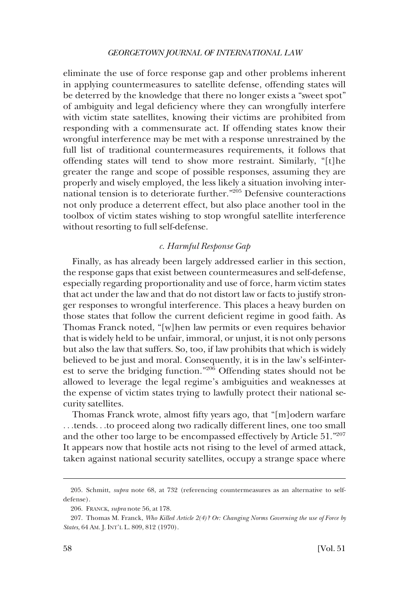<span id="page-47-0"></span>eliminate the use of force response gap and other problems inherent in applying countermeasures to satellite defense, offending states will be deterred by the knowledge that there no longer exists a "sweet spot" of ambiguity and legal defciency where they can wrongfully interfere with victim state satellites, knowing their victims are prohibited from responding with a commensurate act. If offending states know their wrongful interference may be met with a response unrestrained by the full list of traditional countermeasures requirements, it follows that offending states will tend to show more restraint. Similarly, "[t]he greater the range and scope of possible responses, assuming they are properly and wisely employed, the less likely a situation involving international tension is to deteriorate further."205 Defensive counteractions not only produce a deterrent effect, but also place another tool in the toolbox of victim states wishing to stop wrongful satellite interference without resorting to full self-defense.

# *c. Harmful Response Gap*

Finally, as has already been largely addressed earlier in this section, the response gaps that exist between countermeasures and self-defense, especially regarding proportionality and use of force, harm victim states that act under the law and that do not distort law or facts to justify stronger responses to wrongful interference. This places a heavy burden on those states that follow the current defcient regime in good faith. As Thomas Franck noted, "[w]hen law permits or even requires behavior that is widely held to be unfair, immoral, or unjust, it is not only persons but also the law that suffers. So, too, if law prohibits that which is widely believed to be just and moral. Consequently, it is in the law's self-interest to serve the bridging function."206 Offending states should not be allowed to leverage the legal regime's ambiguities and weaknesses at the expense of victim states trying to lawfully protect their national security satellites.

Thomas Franck wrote, almost ffty years ago, that "[m]odern warfare . . .tends. . .to proceed along two radically different lines, one too small and the other too large to be encompassed effectively by Article 51."207 It appears now that hostile acts not rising to the level of armed attack, taken against national security satellites, occupy a strange space where

<sup>205.</sup> Schmitt, *supra* note 68, at 732 (referencing countermeasures as an alternative to selfdefense).

<sup>206.</sup> FRANCK, *supra* note 56, at 178.

<sup>207.</sup> Thomas M. Franck, *Who Killed Article 2(4)? Or: Changing Norms Governing the use of Force by States*, 64 AM. J. INT'L L. 809, 812 (1970).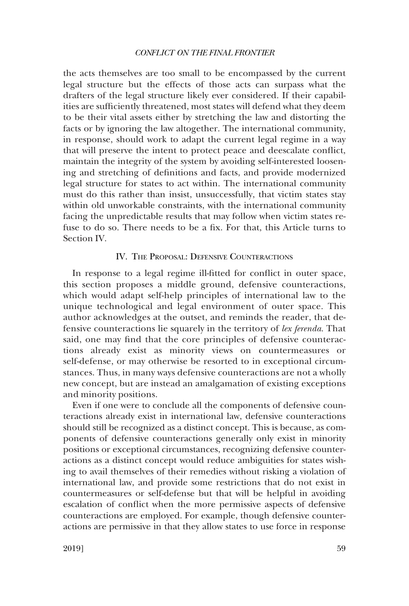<span id="page-48-0"></span>the acts themselves are too small to be encompassed by the current legal structure but the effects of those acts can surpass what the drafters of the legal structure likely ever considered. If their capabilities are suffciently threatened, most states will defend what they deem to be their vital assets either by stretching the law and distorting the facts or by ignoring the law altogether. The international community, in response, should work to adapt the current legal regime in a way that will preserve the intent to protect peace and deescalate confict, maintain the integrity of the system by avoiding self-interested loosening and stretching of defnitions and facts, and provide modernized legal structure for states to act within. The international community must do this rather than insist, unsuccessfully, that victim states stay within old unworkable constraints, with the international community facing the unpredictable results that may follow when victim states refuse to do so. There needs to be a fx. For that, this Article turns to Section IV.

# IV. THE PROPOSAL: DEFENSIVE COUNTERACTIONS

In response to a legal regime ill-ftted for confict in outer space, this section proposes a middle ground, defensive counteractions, which would adapt self-help principles of international law to the unique technological and legal environment of outer space. This author acknowledges at the outset, and reminds the reader, that defensive counteractions lie squarely in the territory of *lex ferenda*. That said, one may fnd that the core principles of defensive counteractions already exist as minority views on countermeasures or self-defense, or may otherwise be resorted to in exceptional circumstances. Thus, in many ways defensive counteractions are not a wholly new concept, but are instead an amalgamation of existing exceptions and minority positions.

Even if one were to conclude all the components of defensive counteractions already exist in international law, defensive counteractions should still be recognized as a distinct concept. This is because, as components of defensive counteractions generally only exist in minority positions or exceptional circumstances, recognizing defensive counteractions as a distinct concept would reduce ambiguities for states wishing to avail themselves of their remedies without risking a violation of international law, and provide some restrictions that do not exist in countermeasures or self-defense but that will be helpful in avoiding escalation of confict when the more permissive aspects of defensive counteractions are employed. For example, though defensive counteractions are permissive in that they allow states to use force in response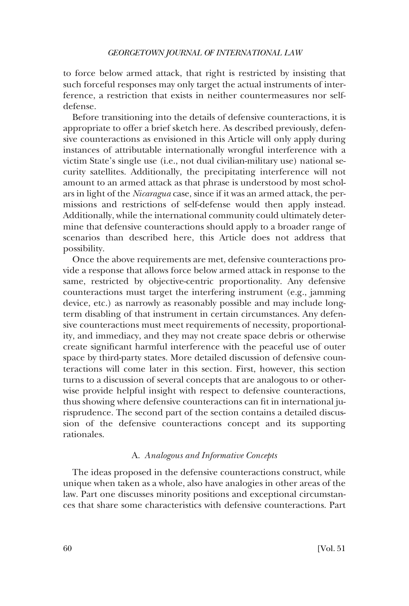<span id="page-49-0"></span>to force below armed attack, that right is restricted by insisting that such forceful responses may only target the actual instruments of interference, a restriction that exists in neither countermeasures nor selfdefense.

Before transitioning into the details of defensive counteractions, it is appropriate to offer a brief sketch here. As described previously, defensive counteractions as envisioned in this Article will only apply during instances of attributable internationally wrongful interference with a victim State's single use (i.e., not dual civilian-military use) national security satellites. Additionally, the precipitating interference will not amount to an armed attack as that phrase is understood by most scholars in light of the *Nicaragua* case, since if it was an armed attack, the permissions and restrictions of self-defense would then apply instead. Additionally, while the international community could ultimately determine that defensive counteractions should apply to a broader range of scenarios than described here, this Article does not address that possibility.

Once the above requirements are met, defensive counteractions provide a response that allows force below armed attack in response to the same, restricted by objective-centric proportionality. Any defensive counteractions must target the interfering instrument (e.g., jamming device, etc.) as narrowly as reasonably possible and may include longterm disabling of that instrument in certain circumstances. Any defensive counteractions must meet requirements of necessity, proportionality, and immediacy, and they may not create space debris or otherwise create signifcant harmful interference with the peaceful use of outer space by third-party states. More detailed discussion of defensive counteractions will come later in this section. First, however, this section turns to a discussion of several concepts that are analogous to or otherwise provide helpful insight with respect to defensive counteractions, thus showing where defensive counteractions can ft in international jurisprudence. The second part of the section contains a detailed discussion of the defensive counteractions concept and its supporting rationales.

# A. *Analogous and Informative Concepts*

The ideas proposed in the defensive counteractions construct, while unique when taken as a whole, also have analogies in other areas of the law. Part one discusses minority positions and exceptional circumstances that share some characteristics with defensive counteractions. Part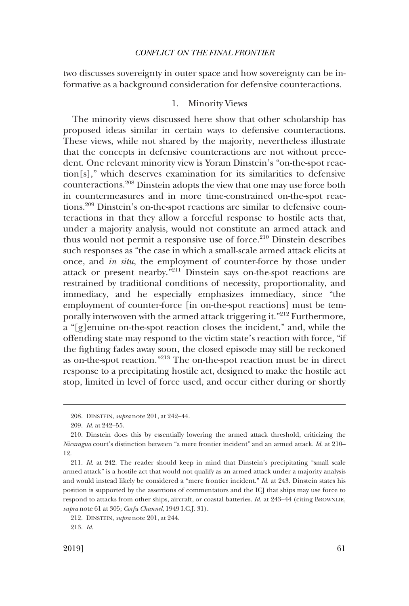<span id="page-50-0"></span>two discusses sovereignty in outer space and how sovereignty can be informative as a background consideration for defensive counteractions.

# 1. Minority Views

The minority views discussed here show that other scholarship has proposed ideas similar in certain ways to defensive counteractions. These views, while not shared by the majority, nevertheless illustrate that the concepts in defensive counteractions are not without precedent. One relevant minority view is Yoram Dinstein's "on-the-spot reaction[s]," which deserves examination for its similarities to defensive counteractions.208 Dinstein adopts the view that one may use force both in countermeasures and in more time-constrained on-the-spot reactions.209 Dinstein's on-the-spot reactions are similar to defensive counteractions in that they allow a forceful response to hostile acts that, under a majority analysis, would not constitute an armed attack and thus would not permit a responsive use of force. $210$  Dinstein describes such responses as "the case in which a small-scale armed attack elicits at once, and *in situ*, the employment of counter-force by those under attack or present nearby. $\frac{3211}{2}$  Dinstein says on-the-spot reactions are restrained by traditional conditions of necessity, proportionality, and immediacy, and he especially emphasizes immediacy, since "the employment of counter-force [in on-the-spot reactions] must be temporally interwoven with the armed attack triggering it."<sup>212</sup> Furthermore, a "[g]enuine on-the-spot reaction closes the incident," and, while the offending state may respond to the victim state's reaction with force, "if the fghting fades away soon, the closed episode may still be reckoned as on-the-spot reaction."213 The on-the-spot reaction must be in direct response to a precipitating hostile act, designed to make the hostile act stop, limited in level of force used, and occur either during or shortly

<sup>208.</sup> DINSTEIN, *supra* note 201, at 242–44.

<sup>209.</sup> *Id*. at 242–55.

<sup>210.</sup> Dinstein does this by essentially lowering the armed attack threshold, criticizing the *Nicaragua* court's distinction between "a mere frontier incident" and an armed attack. *Id*. at 210– 12.

<sup>211.</sup> *Id*. at 242. The reader should keep in mind that Dinstein's precipitating "small scale armed attack" is a hostile act that would not qualify as an armed attack under a majority analysis and would instead likely be considered a "mere frontier incident." *Id*. at 243. Dinstein states his position is supported by the assertions of commentators and the ICJ that ships may use force to respond to attacks from other ships, aircraft, or coastal batteries. *Id*. at 243–44 (citing BROWNLIE, *supra* note 61 at 305; *Corfu Channel*, 1949 I.C.J. 31).

<sup>212.</sup> DINSTEIN, *supra* note 201, at 244.

<sup>213.</sup> *Id*.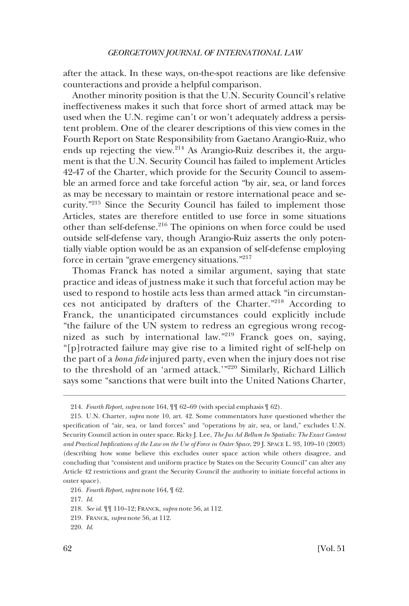after the attack. In these ways, on-the-spot reactions are like defensive counteractions and provide a helpful comparison.

Another minority position is that the U.N. Security Council's relative ineffectiveness makes it such that force short of armed attack may be used when the U.N. regime can't or won't adequately address a persistent problem. One of the clearer descriptions of this view comes in the Fourth Report on State Responsibility from Gaetano Arangio-Ruiz, who ends up rejecting the view.214 As Arangio-Ruiz describes it, the argument is that the U.N. Security Council has failed to implement Articles 42-47 of the Charter, which provide for the Security Council to assemble an armed force and take forceful action "by air, sea, or land forces as may be necessary to maintain or restore international peace and security."215 Since the Security Council has failed to implement those Articles, states are therefore entitled to use force in some situations other than self-defense.<sup>216</sup> The opinions on when force could be used outside self-defense vary, though Arangio-Ruiz asserts the only potentially viable option would be as an expansion of self-defense employing force in certain "grave emergency situations."<sup>217</sup>

Thomas Franck has noted a similar argument, saying that state practice and ideas of justness make it such that forceful action may be used to respond to hostile acts less than armed attack "in circumstances not anticipated by drafters of the Charter."218 According to Franck, the unanticipated circumstances could explicitly include "the failure of the UN system to redress an egregious wrong recognized as such by international law."219 Franck goes on, saying, "[p]rotracted failure may give rise to a limited right of self-help on the part of a *bona fde* injured party, even when the injury does not rise to the threshold of an 'armed attack.'"<sup>220</sup> Similarly, Richard Lillich says some "sanctions that were built into the United Nations Charter,

<sup>214.</sup> *Fourth Report*, *supra* note 164, ¶¶ 62–69 (with special emphasis ¶ 62).

<sup>215.</sup> U.N. Charter, *supra* note 10, art. 42. Some commentators have questioned whether the specifcation of "air, sea, or land forces" and "operations by air, sea, or land," excludes U.N. Security Council action in outer space. Ricky J. Lee, *The Jus Ad Bellum In Spatialis: The Exact Content and Practical Implications of the Law on the Use of Force in Outer Space*, 29 J. SPACE L. 93, 109–10 (2003) (describing how some believe this excludes outer space action while others disagree, and concluding that "consistent and uniform practice by States on the Security Council" can alter any Article 42 restrictions and grant the Security Council the authority to initiate forceful actions in outer space).

<sup>216.</sup> *Fourth Report*, *supra* note 164, ¶ 62.

<sup>217.</sup> *Id*.

<sup>218.</sup> *See id*. ¶¶ 110–12; FRANCK, *supra* note 56, at 112.

<sup>219.</sup> FRANCK, *supra* note 56, at 112.

<sup>220.</sup> *Id*.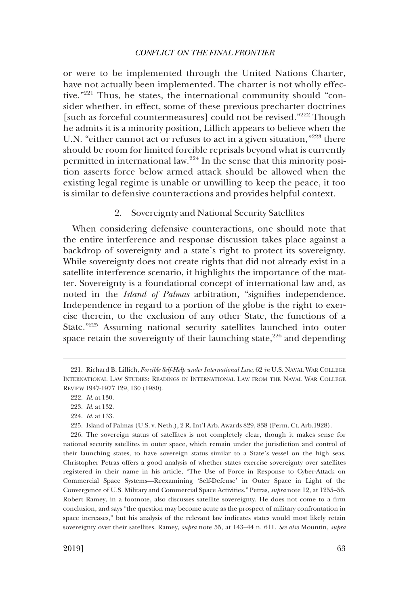<span id="page-52-0"></span>or were to be implemented through the United Nations Charter, have not actually been implemented. The charter is not wholly effective."221 Thus, he states, the international community should "consider whether, in effect, some of these previous precharter doctrines [such as forceful countermeasures] could not be revised."<sup>222</sup> Though he admits it is a minority position, Lillich appears to believe when the U.N. "either cannot act or refuses to act in a given situation,"223 there should be room for limited forcible reprisals beyond what is currently permitted in international law.<sup>224</sup> In the sense that this minority position asserts force below armed attack should be allowed when the existing legal regime is unable or unwilling to keep the peace, it too is similar to defensive counteractions and provides helpful context.

# 2. Sovereignty and National Security Satellites

When considering defensive counteractions, one should note that the entire interference and response discussion takes place against a backdrop of sovereignty and a state's right to protect its sovereignty. While sovereignty does not create rights that did not already exist in a satellite interference scenario, it highlights the importance of the matter. Sovereignty is a foundational concept of international law and, as noted in the *Island of Palmas* arbitration, "signifes independence. Independence in regard to a portion of the globe is the right to exercise therein, to the exclusion of any other State, the functions of a State."225 Assuming national security satellites launched into outer space retain the sovereignty of their launching state, $226$  and depending

<sup>221.</sup> Richard B. Lillich, *Forcible Self-Help under International Law*, 62 *in* U.S. NAVAL WAR COLLEGE INTERNATIONAL LAW STUDIES: READINGS IN INTERNATIONAL LAW FROM THE NAVAL WAR COLLEGE REVIEW 1947-1977 129, 130 (1980).

<sup>222.</sup> *Id*. at 130.

<sup>223.</sup> *Id*. at 132.

<sup>224.</sup> *Id*. at 133.

<sup>225.</sup> Island of Palmas (U.S. v. Neth.), 2 R. Int'l Arb. Awards 829, 838 (Perm. Ct. Arb.1928).

<sup>226.</sup> The sovereign status of satellites is not completely clear, though it makes sense for national security satellites in outer space, which remain under the jurisdiction and control of their launching states, to have sovereign status similar to a State's vessel on the high seas. Christopher Petras offers a good analysis of whether states exercise sovereignty over satellites registered in their name in his article, "The Use of Force in Response to Cyber-Attack on Commercial Space Systems—Reexamining 'Self-Defense' in Outer Space in Light of the Convergence of U.S. Military and Commercial Space Activities." Petras, *supra* note 12, at 1255–56. Robert Ramey, in a footnote, also discusses satellite sovereignty. He does not come to a frm conclusion, and says "the question may become acute as the prospect of military confrontation in space increases," but his analysis of the relevant law indicates states would most likely retain sovereignty over their satellites. Ramey, *supra* note 55, at 143–44 n. 611. *See also* Mountin, *supra*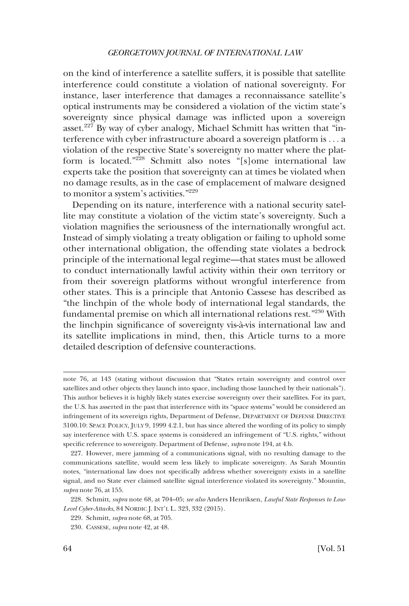on the kind of interference a satellite suffers, it is possible that satellite interference could constitute a violation of national sovereignty. For instance, laser interference that damages a reconnaissance satellite's optical instruments may be considered a violation of the victim state's sovereignty since physical damage was inficted upon a sovereign asset.<sup>227</sup> By way of cyber analogy, Michael Schmitt has written that "interference with cyber infrastructure aboard a sovereign platform is . . . a violation of the respective State's sovereignty no matter where the platform is located."228 Schmitt also notes "[s]ome international law experts take the position that sovereignty can at times be violated when no damage results, as in the case of emplacement of malware designed to monitor a system's activities."229

Depending on its nature, interference with a national security satellite may constitute a violation of the victim state's sovereignty. Such a violation magnifes the seriousness of the internationally wrongful act. Instead of simply violating a treaty obligation or failing to uphold some other international obligation, the offending state violates a bedrock principle of the international legal regime—that states must be allowed to conduct internationally lawful activity within their own territory or from their sovereign platforms without wrongful interference from other states. This is a principle that Antonio Cassese has described as "the linchpin of the whole body of international legal standards, the fundamental premise on which all international relations rest."230 With the linchpin signifcance of sovereignty vis-a`-vis international law and its satellite implications in mind, then, this Article turns to a more detailed description of defensive counteractions.

note 76, at 143 (stating without discussion that "States retain sovereignty and control over satellites and other objects they launch into space, including those launched by their nationals"). This author believes it is highly likely states exercise sovereignty over their satellites. For its part, the U.S. has asserted in the past that interference with its "space systems" would be considered an infringement of its sovereign rights, Department of Defense, DEPARTMENT OF DEFENSE DIRECTIVE 3100.10: SPACE POLICY, JULY 9, 1999 4.2.1, but has since altered the wording of its policy to simply say interference with U.S. space systems is considered an infringement of "U.S. rights," without specifc reference to sovereignty. Department of Defense, *supra* note 194, at 4.b.

<sup>227.</sup> However, mere jamming of a communications signal, with no resulting damage to the communications satellite, would seem less likely to implicate sovereignty. As Sarah Mountin notes, "international law does not specifcally address whether sovereignty exists in a satellite signal, and no State ever claimed satellite signal interference violated its sovereignty." Mountin, *supra* note 76, at 155.

<sup>228.</sup> Schmitt, *supra* note 68, at 704–05; *see also* Anders Henriksen, *Lawful State Responses to Low-Level Cyber-Attacks*, 84 NORDIC J. INT'L L. 323, 332 (2015).

<sup>229.</sup> Schmitt, *supra* note 68, at 705.

<sup>230.</sup> CASSESE, *supra* note 42, at 48.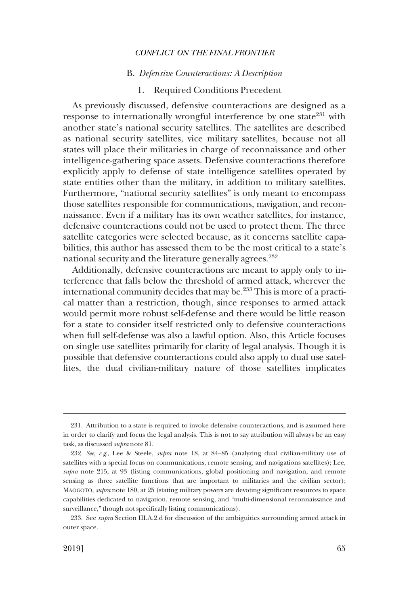### B. *Defensive Counteractions: A Description*

# 1. Required Conditions Precedent

<span id="page-54-0"></span>As previously discussed, defensive counteractions are designed as a response to internationally wrongful interference by one state $231$  with another state's national security satellites. The satellites are described as national security satellites, vice military satellites, because not all states will place their militaries in charge of reconnaissance and other intelligence-gathering space assets. Defensive counteractions therefore explicitly apply to defense of state intelligence satellites operated by state entities other than the military, in addition to military satellites. Furthermore, "national security satellites" is only meant to encompass those satellites responsible for communications, navigation, and reconnaissance. Even if a military has its own weather satellites, for instance, defensive counteractions could not be used to protect them. The three satellite categories were selected because, as it concerns satellite capabilities, this author has assessed them to be the most critical to a state's national security and the literature generally agrees.<sup>232</sup>

Additionally, defensive counteractions are meant to apply only to interference that falls below the threshold of armed attack, wherever the international community decides that may be.<sup>233</sup> This is more of a practical matter than a restriction, though, since responses to armed attack would permit more robust self-defense and there would be little reason for a state to consider itself restricted only to defensive counteractions when full self-defense was also a lawful option. Also, this Article focuses on single use satellites primarily for clarity of legal analysis. Though it is possible that defensive counteractions could also apply to dual use satellites, the dual civilian-military nature of those satellites implicates

<sup>231.</sup> Attribution to a state is required to invoke defensive counteractions, and is assumed here in order to clarify and focus the legal analysis. This is not to say attribution will always be an easy task, as discussed *supra* note 81.

<sup>232.</sup> *See, e.g*., Lee & Steele, *supra* note 18, at 84–85 (analyzing dual civilian-military use of satellites with a special focus on communications, remote sensing, and navigations satellites); Lee, *supra* note 215, at 93 (listing communications, global positioning and navigation, and remote sensing as three satellite functions that are important to militaries and the civilian sector); MAOGOTO, *supra* note 180, at 25 (stating military powers are devoting signifcant resources to space capabilities dedicated to navigation, remote sensing, and "multi-dimensional reconnaissance and surveillance," though not specifcally listing communications).

<sup>233.</sup> See *supra* Section III.A.2.d for discussion of the ambiguities surrounding armed attack in outer space.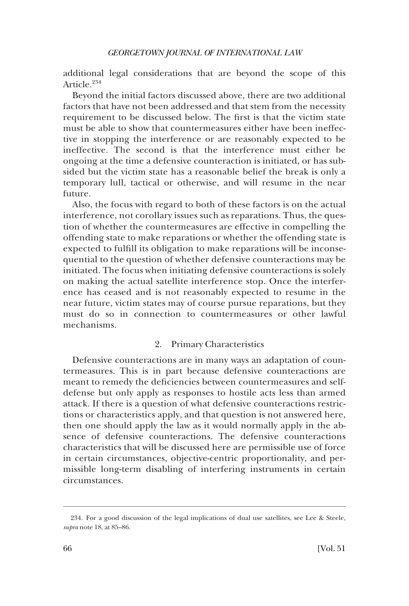<span id="page-55-0"></span>additional legal considerations that are beyond the scope of this Article.<sup>234</sup>

Beyond the initial factors discussed above, there are two additional factors that have not been addressed and that stem from the necessity requirement to be discussed below. The frst is that the victim state must be able to show that countermeasures either have been ineffective in stopping the interference or are reasonably expected to be ineffective. The second is that the interference must either be ongoing at the time a defensive counteraction is initiated, or has subsided but the victim state has a reasonable belief the break is only a temporary lull, tactical or otherwise, and will resume in the near future.

Also, the focus with regard to both of these factors is on the actual interference, not corollary issues such as reparations. Thus, the question of whether the countermeasures are effective in compelling the offending state to make reparations or whether the offending state is expected to fulfll its obligation to make reparations will be inconsequential to the question of whether defensive counteractions may be initiated. The focus when initiating defensive counteractions is solely on making the actual satellite interference stop. Once the interference has ceased and is not reasonably expected to resume in the near future, victim states may of course pursue reparations, but they must do so in connection to countermeasures or other lawful mechanisms.

# 2. Primary Characteristics

Defensive counteractions are in many ways an adaptation of countermeasures. This is in part because defensive counteractions are meant to remedy the defciencies between countermeasures and selfdefense but only apply as responses to hostile acts less than armed attack. If there is a question of what defensive counteractions restrictions or characteristics apply, and that question is not answered here, then one should apply the law as it would normally apply in the absence of defensive counteractions. The defensive counteractions characteristics that will be discussed here are permissible use of force in certain circumstances, objective-centric proportionality, and permissible long-term disabling of interfering instruments in certain circumstances.

<sup>234.</sup> For a good discussion of the legal implications of dual use satellites, see Lee & Steele, *supra* note 18, at 85–86.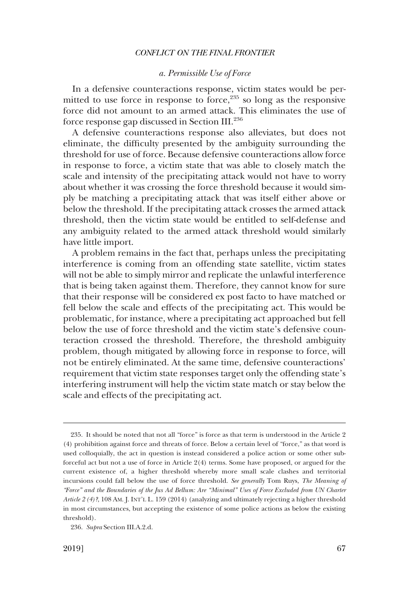### *a. Permissible Use of Force*

<span id="page-56-0"></span>In a defensive counteractions response, victim states would be permitted to use force in response to force, $235$  so long as the responsive force did not amount to an armed attack. This eliminates the use of force response gap discussed in Section III.236

A defensive counteractions response also alleviates, but does not eliminate, the diffculty presented by the ambiguity surrounding the threshold for use of force. Because defensive counteractions allow force in response to force, a victim state that was able to closely match the scale and intensity of the precipitating attack would not have to worry about whether it was crossing the force threshold because it would simply be matching a precipitating attack that was itself either above or below the threshold. If the precipitating attack crosses the armed attack threshold, then the victim state would be entitled to self-defense and any ambiguity related to the armed attack threshold would similarly have little import.

A problem remains in the fact that, perhaps unless the precipitating interference is coming from an offending state satellite, victim states will not be able to simply mirror and replicate the unlawful interference that is being taken against them. Therefore, they cannot know for sure that their response will be considered ex post facto to have matched or fell below the scale and effects of the precipitating act. This would be problematic, for instance, where a precipitating act approached but fell below the use of force threshold and the victim state's defensive counteraction crossed the threshold. Therefore, the threshold ambiguity problem, though mitigated by allowing force in response to force, will not be entirely eliminated. At the same time, defensive counteractions' requirement that victim state responses target only the offending state's interfering instrument will help the victim state match or stay below the scale and effects of the precipitating act.

<sup>235.</sup> It should be noted that not all "force" is force as that term is understood in the Article 2 (4) prohibition against force and threats of force. Below a certain level of "force," as that word is used colloquially, the act in question is instead considered a police action or some other subforceful act but not a use of force in Article 2(4) terms. Some have proposed, or argued for the current existence of, a higher threshold whereby more small scale clashes and territorial incursions could fall below the use of force threshold. *See generally* Tom Ruys, *The Meaning of "Force" and the Boundaries of the Jus Ad Bellum: Are "Minimal" Uses of Force Excluded from UN Charter Article 2 (4)?*, 108 AM. J. INT'L L. 159 (2014) (analyzing and ultimately rejecting a higher threshold in most circumstances, but accepting the existence of some police actions as below the existing threshold).

<sup>236.</sup> *Supra* Section III.A.2.d.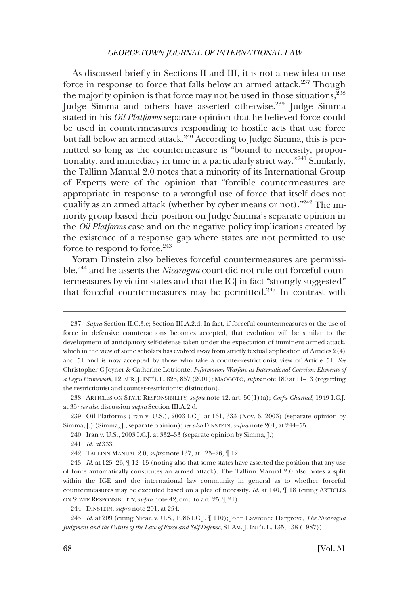As discussed briefy in Sections II and III, it is not a new idea to use force in response to force that falls below an armed attack.<sup>237</sup> Though the majority opinion is that force may not be used in those situations,  $2^{38}$ Judge Simma and others have asserted otherwise.<sup>239</sup> Judge Simma stated in his *Oil Platforms* separate opinion that he believed force could be used in countermeasures responding to hostile acts that use force but fall below an armed attack.<sup>240</sup> According to Judge Simma, this is permitted so long as the countermeasure is "bound to necessity, proportionality, and immediacy in time in a particularly strict way."241 Similarly, the Tallinn Manual 2.0 notes that a minority of its International Group of Experts were of the opinion that "forcible countermeasures are appropriate in response to a wrongful use of force that itself does not qualify as an armed attack (whether by cyber means or not)."<sup>242</sup> The minority group based their position on Judge Simma's separate opinion in the *Oil Platforms* case and on the negative policy implications created by the existence of a response gap where states are not permitted to use force to respond to force.<sup>243</sup>

Yoram Dinstein also believes forceful countermeasures are permissible,244 and he asserts the *Nicaragua* court did not rule out forceful countermeasures by victim states and that the ICJ in fact "strongly suggested" that forceful countermeasures may be permitted.<sup>245</sup> In contrast with

238. ARTICLES ON STATE RESPONSIBILITY, *supra* note 42, art. 50(1)(a); *Corfu Channel*, 1949 I.C.J. at 35*; see also* discussion *supra* Section III.A.2.d.

239. Oil Platforms (Iran v. U.S.), 2003 I.C.J. at 161, 333 (Nov. 6, 2003) (separate opinion by Simma, J.) (Simma, J., separate opinion); *see also* DINSTEIN, *supra* note 201, at 244–55.

240. Iran v. U.S., 2003 I.C.J. at 332–33 (separate opinion by Simma, J.).

<sup>237.</sup> *Supra* Section II.C.3.e; Section III.A.2.d. In fact, if forceful countermeasures or the use of force in defensive counteractions becomes accepted, that evolution will be similar to the development of anticipatory self-defense taken under the expectation of imminent armed attack, which in the view of some scholars has evolved away from strictly textual application of Articles 2(4) and 51 and is now accepted by those who take a counter-restrictionist view of Article 51. *See*  Christopher C Joyner & Catherine Lotrionte, *Information Warfare as International Coercion: Elements of a Legal Framework*, 12 EUR. J. INT'L L. 825, 857 (2001); MAOGOTO, *supra* note 180 at 11–13 (regarding the restrictionist and counter-restrictionist distinction).

<sup>241.</sup> *Id. at* 333.

<sup>242.</sup> TALLINN MANUAL 2.0, *supra* note 137, at 125–26, ¶ 12.

<sup>243.</sup> *Id*. at 125–26, ¶ 12–15 (noting also that some states have asserted the position that any use of force automatically constitutes an armed attack). The Tallinn Manual 2.0 also notes a split within the IGE and the international law community in general as to whether forceful countermeasures may be executed based on a plea of necessity. *Id*. at 140, ¶ 18 (citing ARTICLES ON STATE RESPONSIBILITY, *supra* note 42, cmt. to art. 25, ¶ 21).

<sup>244.</sup> DINSTEIN, *supra* note 201, at 254.

<sup>245.</sup> *Id*. at 209 (citing Nicar. v. U.S., 1986 I.C.J. ¶ 110); John Lawrence Hargrove, *The Nicaragua Judgment and the Future of the Law of Force and Self-Defense*, 81 AM. J. INT'L L. 135, 138 (1987)).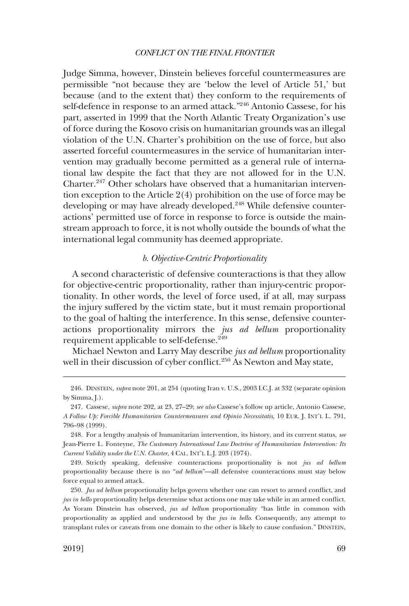<span id="page-58-0"></span>Judge Simma, however, Dinstein believes forceful countermeasures are permissible "not because they are 'below the level of Article 51,' but because (and to the extent that) they conform to the requirements of self-defence in response to an armed attack."246 Antonio Cassese, for his part, asserted in 1999 that the North Atlantic Treaty Organization's use of force during the Kosovo crisis on humanitarian grounds was an illegal violation of the U.N. Charter's prohibition on the use of force, but also asserted forceful countermeasures in the service of humanitarian intervention may gradually become permitted as a general rule of international law despite the fact that they are not allowed for in the U.N. Charter.247 Other scholars have observed that a humanitarian intervention exception to the Article 2(4) prohibition on the use of force may be developing or may have already developed.<sup>248</sup> While defensive counteractions' permitted use of force in response to force is outside the mainstream approach to force, it is not wholly outside the bounds of what the international legal community has deemed appropriate.

### *b. Objective-Centric Proportionality*

A second characteristic of defensive counteractions is that they allow for objective-centric proportionality, rather than injury-centric proportionality. In other words, the level of force used, if at all, may surpass the injury suffered by the victim state, but it must remain proportional to the goal of halting the interference. In this sense, defensive counteractions proportionality mirrors the *jus ad bellum* proportionality requirement applicable to self-defense.<sup>249</sup>

Michael Newton and Larry May describe *jus ad bellum* proportionality well in their discussion of cyber conflict.<sup>250</sup> As Newton and May state,

<sup>246.</sup> DINSTEIN, *supra* note 201, at 254 (quoting Iran v. U.S., 2003 I.C.J. at 332 (separate opinion by Simma, I.).

<sup>247.</sup> Cassese, *supra* note 202, at 23, 27–29; *see also* Cassese's follow up article, Antonio Cassese, *A Follow Up: Forcible Humanitarian Countermeasures and Opinio Necessitatis*, 10 EUR. J. INT'L L. 791, 796–98 (1999).

<sup>248.</sup> For a lengthy analysis of humanitarian intervention, its history, and its current status, *see*  Jean-Pierre L. Fonteyne, *The Customary International Law Doctrine of Humanitarian Intervention: Its Current Validity under the U.N. Charter*, 4 CAL. INT'L L.J. 203 (1974).

<sup>249.</sup> Strictly speaking, defensive counteractions proportionality is not *jus ad bellum*  proportionality because there is no "*ad bellum*"—all defensive counteractions must stay below force equal to armed attack.

<sup>250.</sup> *Jus ad bellum* proportionality helps govern whether one can resort to armed confict, and *jus in bello* proportionality helps determine what actions one may take while in an armed confict. As Yoram Dinstein has observed, *jus ad bellum* proportionality "has little in common with proportionality as applied and understood by the *jus in bello*. Consequently, any attempt to transplant rules or caveats from one domain to the other is likely to cause confusion." DINSTEIN,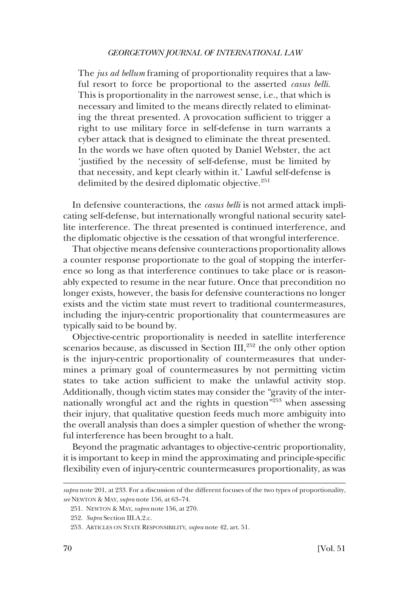The *jus ad bellum* framing of proportionality requires that a lawful resort to force be proportional to the asserted *casus belli*. This is proportionality in the narrowest sense, i.e., that which is necessary and limited to the means directly related to eliminating the threat presented. A provocation suffcient to trigger a right to use military force in self-defense in turn warrants a cyber attack that is designed to eliminate the threat presented. In the words we have often quoted by Daniel Webster, the act 'justifed by the necessity of self-defense, must be limited by that necessity, and kept clearly within it.' Lawful self-defense is delimited by the desired diplomatic objective.<sup>251</sup>

In defensive counteractions, the *casus belli* is not armed attack implicating self-defense, but internationally wrongful national security satellite interference. The threat presented is continued interference, and the diplomatic objective is the cessation of that wrongful interference.

That objective means defensive counteractions proportionality allows a counter response proportionate to the goal of stopping the interference so long as that interference continues to take place or is reasonably expected to resume in the near future. Once that precondition no longer exists, however, the basis for defensive counteractions no longer exists and the victim state must revert to traditional countermeasures, including the injury-centric proportionality that countermeasures are typically said to be bound by.

Objective-centric proportionality is needed in satellite interference scenarios because, as discussed in Section III,<sup>252</sup> the only other option is the injury-centric proportionality of countermeasures that undermines a primary goal of countermeasures by not permitting victim states to take action sufficient to make the unlawful activity stop. Additionally, though victim states may consider the "gravity of the internationally wrongful act and the rights in question<sup> $\bar{r}$ 253</sup> when assessing their injury, that qualitative question feeds much more ambiguity into the overall analysis than does a simpler question of whether the wrongful interference has been brought to a halt.

Beyond the pragmatic advantages to objective-centric proportionality, it is important to keep in mind the approximating and principle-specifc fexibility even of injury-centric countermeasures proportionality, as was

*supra* note 201, at 233. For a discussion of the different focuses of the two types of proportionality, *see* NEWTON & MAY, *supra* note 156, at 63–74.

<sup>251.</sup> NEWTON & MAY, *supra* note 156, at 270.

<sup>252.</sup> *Supra* Section III.A.2.c.

<sup>253.</sup> ARTICLES ON STATE RESPONSIBILITY, *supra* note 42, art. 51.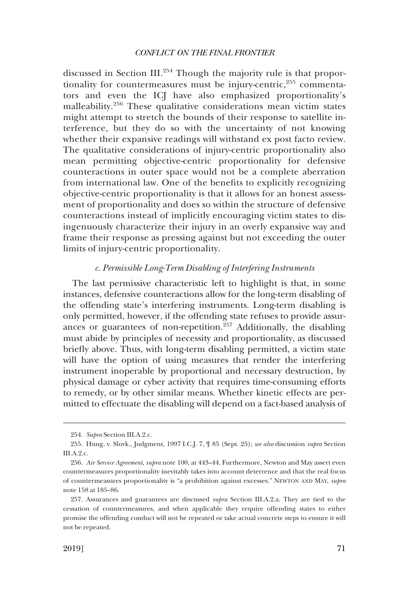<span id="page-60-0"></span>discussed in Section III.<sup>254</sup> Though the majority rule is that proportionality for countermeasures must be injury-centric, $255$  commentators and even the ICJ have also emphasized proportionality's malleability.256 These qualitative considerations mean victim states might attempt to stretch the bounds of their response to satellite interference, but they do so with the uncertainty of not knowing whether their expansive readings will withstand ex post facto review. The qualitative considerations of injury-centric proportionality also mean permitting objective-centric proportionality for defensive counteractions in outer space would not be a complete aberration from international law. One of the benefts to explicitly recognizing objective-centric proportionality is that it allows for an honest assessment of proportionality and does so within the structure of defensive counteractions instead of implicitly encouraging victim states to disingenuously characterize their injury in an overly expansive way and frame their response as pressing against but not exceeding the outer limits of injury-centric proportionality.

# *c. Permissible Long-Term Disabling of Interfering Instruments*

The last permissive characteristic left to highlight is that, in some instances, defensive counteractions allow for the long-term disabling of the offending state's interfering instruments. Long-term disabling is only permitted, however, if the offending state refuses to provide assurances or guarantees of non-repetition.<sup>257</sup> Additionally, the disabling must abide by principles of necessity and proportionality, as discussed briefy above. Thus, with long-term disabling permitted, a victim state will have the option of using measures that render the interfering instrument inoperable by proportional and necessary destruction, by physical damage or cyber activity that requires time-consuming efforts to remedy, or by other similar means. Whether kinetic effects are permitted to effectuate the disabling will depend on a fact-based analysis of

<sup>254.</sup> *Supra* Section III.A.2.c.

<sup>255.</sup> Hung. v. Slovk., Judgment, 1997 I.C.J. 7, ¶ 85 (Sept. 25); *see also* discussion *supra* Section III.A.2.c.

<sup>256.</sup> *Air Service Agreement*, *supra* note 100, at 443–44. Furthermore, Newton and May assert even countermeasures proportionality inevitably takes into account deterrence and that the real focus of countermeasures proportionality is "a prohibition against excesses." NEWTON AND MAY, *supra*  note 158 at 185–86.

<sup>257.</sup> Assurances and guarantees are discussed *supra* Section III.A.2.a. They are tied to the cessation of countermeasures, and when applicable they require offending states to either promise the offending conduct will not be repeated or take actual concrete steps to ensure it will not be repeated.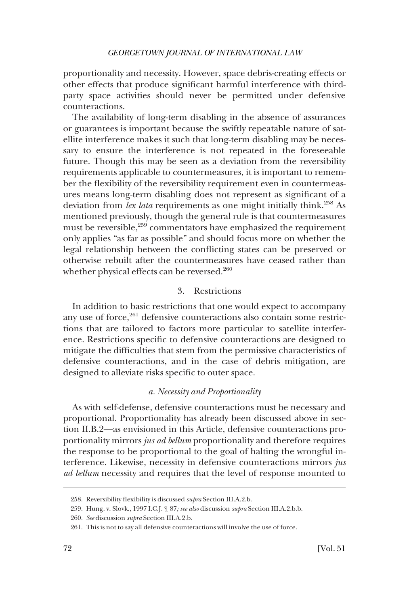<span id="page-61-0"></span>proportionality and necessity. However, space debris-creating effects or other effects that produce signifcant harmful interference with thirdparty space activities should never be permitted under defensive counteractions.

The availability of long-term disabling in the absence of assurances or guarantees is important because the swiftly repeatable nature of satellite interference makes it such that long-term disabling may be necessary to ensure the interference is not repeated in the foreseeable future. Though this may be seen as a deviation from the reversibility requirements applicable to countermeasures, it is important to remember the fexibility of the reversibility requirement even in countermeasures means long-term disabling does not represent as signifcant of a deviation from *lex lata* requirements as one might initially think.<sup>258</sup> As mentioned previously, though the general rule is that countermeasures must be reversible,<sup>259</sup> commentators have emphasized the requirement only applies "as far as possible" and should focus more on whether the legal relationship between the conficting states can be preserved or otherwise rebuilt after the countermeasures have ceased rather than whether physical effects can be reversed.<sup>260</sup>

# 3. Restrictions

In addition to basic restrictions that one would expect to accompany any use of force, $261$  defensive counteractions also contain some restrictions that are tailored to factors more particular to satellite interference. Restrictions specifc to defensive counteractions are designed to mitigate the diffculties that stem from the permissive characteristics of defensive counteractions, and in the case of debris mitigation, are designed to alleviate risks specifc to outer space.

### *a. Necessity and Proportionality*

As with self-defense, defensive counteractions must be necessary and proportional. Proportionality has already been discussed above in section II.B.2—as envisioned in this Article, defensive counteractions proportionality mirrors *jus ad bellum* proportionality and therefore requires the response to be proportional to the goal of halting the wrongful interference. Likewise, necessity in defensive counteractions mirrors *jus ad bellum* necessity and requires that the level of response mounted to

<sup>258.</sup> Reversibility fexibility is discussed *supra* Section III.A.2.b.

<sup>259.</sup> Hung. v. Slovk., 1997 I.C.J. ¶ 87*; see also* discussion *supra* Section III.A.2.b.b.

<sup>260.</sup> *See* discussion *supra* Section III.A.2.b.

<sup>261.</sup> This is not to say all defensive counteractions will involve the use of force.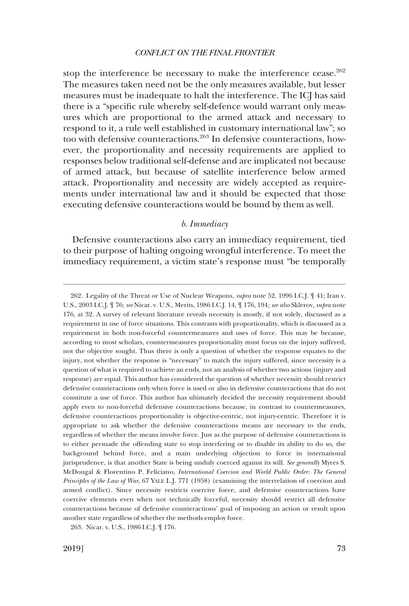<span id="page-62-0"></span>stop the interference be necessary to make the interference cease.<sup>262</sup> The measures taken need not be the only measures available, but lesser measures must be inadequate to halt the interference. The ICJ has said there is a "specifc rule whereby self-defence would warrant only measures which are proportional to the armed attack and necessary to respond to it, a rule well established in customary international law"; so too with defensive counteractions.<sup>263</sup> In defensive counteractions, however, the proportionality and necessity requirements are applied to responses below traditional self-defense and are implicated not because of armed attack, but because of satellite interference below armed attack. Proportionality and necessity are widely accepted as requirements under international law and it should be expected that those executing defensive counteractions would be bound by them as well.

# *b. Immediacy*

Defensive counteractions also carry an immediacy requirement, tied to their purpose of halting ongoing wrongful interference. To meet the immediacy requirement, a victim state's response must "be temporally

<sup>262.</sup> Legality of the Threat or Use of Nuclear Weapons, *supra* note 52, 1996 I.C.J. ¶ 41; Iran v. U.S., 2003 I.C.J. ¶ 76; *see* Nicar. v. U.S., Merits, 1986 I.C.J. 14, ¶ 176, 194*; see also* Sklerov, *supra* note 176, at 32. A survey of relevant literature reveals necessity is mostly, if not solely, discussed as a requirement in use of force situations. This contrasts with proportionality, which is discussed as a requirement in both non-forceful countermeasures and uses of force. This may be because, according to most scholars, countermeasures proportionality must focus on the injury suffered, not the objective sought. Thus there is only a question of whether the response equates to the injury, not whether the response is "necessary" to match the injury suffered, since necessity is a question of what is required to achieve an ends, not an analysis of whether two actions (injury and response) are equal. This author has considered the question of whether necessity should restrict defensive counteractions only when force is used or also in defensive counteractions that do not constitute a use of force. This author has ultimately decided the necessity requirement should apply even to non-forceful defensive counteractions because, in contrast to countermeasures, defensive counteractions proportionality is objective-centric, not injury-centric. Therefore it is appropriate to ask whether the defensive counteractions means are necessary to the ends, regardless of whether the means involve force. Just as the purpose of defensive counteractions is to either persuade the offending state to stop interfering or to disable its ability to do so, the background behind force, and a main underlying objection to force in international jurisprudence, is that another State is being unduly coerced against its will. *See generally* Myres S. McDougal & Florentino P. Feliciano, *International Coercion and World Public Order: The General Principles of the Law of War*, 67 YALE L.J. 771 (1958) (examining the interrelation of coercion and armed confict). Since necessity restricts coercive force, and defensive counteractions have coercive elements even when not technically forceful, necessity should restrict all defensive counteractions because of defensive counteractions' goal of imposing an action or result upon another state regardless of whether the methods employ force.

<sup>263.</sup> Nicar. v. U.S., 1986 I.C.J. ¶ 176.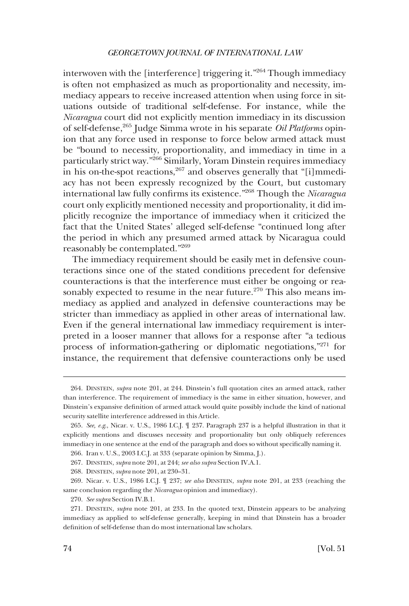interwoven with the [interference] triggering it."<sup>264</sup> Though immediacy is often not emphasized as much as proportionality and necessity, immediacy appears to receive increased attention when using force in situations outside of traditional self-defense. For instance, while the *Nicaragua* court did not explicitly mention immediacy in its discussion of self-defense,265 Judge Simma wrote in his separate *Oil Platforms* opinion that any force used in response to force below armed attack must be "bound to necessity, proportionality, and immediacy in time in a particularly strict way."266 Similarly, Yoram Dinstein requires immediacy in his on-the-spot reactions,<sup>267</sup> and observes generally that "[i]mmediacy has not been expressly recognized by the Court, but customary international law fully confrms its existence."268 Though the *Nicaragua*  court only explicitly mentioned necessity and proportionality, it did implicitly recognize the importance of immediacy when it criticized the fact that the United States' alleged self-defense "continued long after the period in which any presumed armed attack by Nicaragua could reasonably be contemplated."<sup>269</sup>

The immediacy requirement should be easily met in defensive counteractions since one of the stated conditions precedent for defensive counteractions is that the interference must either be ongoing or reasonably expected to resume in the near future.<sup>270</sup> This also means immediacy as applied and analyzed in defensive counteractions may be stricter than immediacy as applied in other areas of international law. Even if the general international law immediacy requirement is interpreted in a looser manner that allows for a response after "a tedious process of information-gathering or diplomatic negotiations,"271 for instance, the requirement that defensive counteractions only be used

<sup>264.</sup> DINSTEIN, *supra* note 201, at 244. Dinstein's full quotation cites an armed attack, rather than interference. The requirement of immediacy is the same in either situation, however, and Dinstein's expansive defnition of armed attack would quite possibly include the kind of national security satellite interference addressed in this Article.

<sup>265.</sup> *See, e.g*., Nicar. v. U.S., 1986 I.C.J. ¶ 237. Paragraph 237 is a helpful illustration in that it explicitly mentions and discusses necessity and proportionality but only obliquely references immediacy in one sentence at the end of the paragraph and does so without specifcally naming it.

<sup>266.</sup> Iran v. U.S., 2003 I.C.J. at 333 (separate opinion by Simma, J.).

<sup>267.</sup> DINSTEIN, *supra* note 201, at 244; *see also supra* Section IV.A.1.

<sup>268.</sup> DINSTEIN, *supra* note 201, at 230–31.

<sup>269.</sup> Nicar. v. U.S., 1986 I.C.J. ¶ 237; *see also* DINSTEIN, *supra* note 201, at 233 (reaching the same conclusion regarding the *Nicaragua* opinion and immediacy).

<sup>270.</sup> *See supra* Section IV.B.1.

<sup>271.</sup> DINSTEIN, *supra* note 201, at 233. In the quoted text, Dinstein appears to be analyzing immediacy as applied to self-defense generally, keeping in mind that Dinstein has a broader defnition of self-defense than do most international law scholars.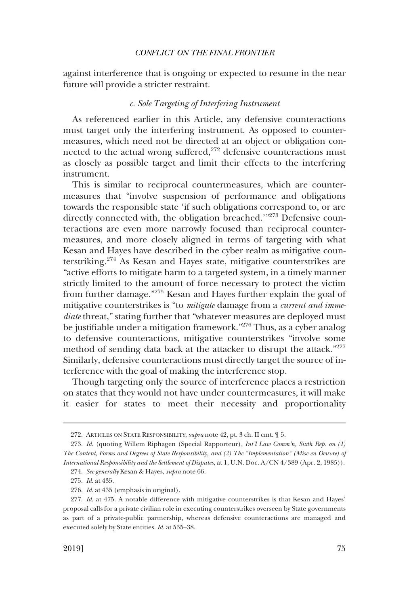<span id="page-64-0"></span>against interference that is ongoing or expected to resume in the near future will provide a stricter restraint.

# *c. Sole Targeting of Interfering Instrument*

As referenced earlier in this Article, any defensive counteractions must target only the interfering instrument. As opposed to countermeasures, which need not be directed at an object or obligation connected to the actual wrong suffered,<sup>272</sup> defensive counteractions must as closely as possible target and limit their effects to the interfering instrument.

This is similar to reciprocal countermeasures, which are countermeasures that "involve suspension of performance and obligations towards the responsible state 'if such obligations correspond to, or are directly connected with, the obligation breached.'"273 Defensive counteractions are even more narrowly focused than reciprocal countermeasures, and more closely aligned in terms of targeting with what Kesan and Hayes have described in the cyber realm as mitigative counterstriking.274 As Kesan and Hayes state, mitigative counterstrikes are "active efforts to mitigate harm to a targeted system, in a timely manner strictly limited to the amount of force necessary to protect the victim from further damage."<sup>275</sup> Kesan and Hayes further explain the goal of mitigative counterstrikes is "to *mitigate* damage from a *current and immediate* threat," stating further that "whatever measures are deployed must be justifable under a mitigation framework."<sup>276</sup> Thus, as a cyber analog to defensive counteractions, mitigative counterstrikes "involve some method of sending data back at the attacker to disrupt the attack."<sup>277</sup> Similarly, defensive counteractions must directly target the source of interference with the goal of making the interference stop.

Though targeting only the source of interference places a restriction on states that they would not have under countermeasures, it will make it easier for states to meet their necessity and proportionality

<sup>272.</sup> ARTICLES ON STATE RESPONSIBILITY, *supra* note 42, pt. 3 ch. II cmt. ¶ 5.

<sup>273.</sup> *Id*. (quoting Willem Riphagen (Special Rapporteur), *Int'l Law Comm'n, Sixth Rep. on (1) The Content, Forms and Degrees of State Responsibility, and (2) The "Implementation" (Mise en Oeuvre) of International Responsibility and the Settlement of Disputes*, at 1, U.N. Doc. A/CN 4/389 (Apr. 2, 1985)).

<sup>274.</sup> *See generally* Kesan & Hayes, *supra* note 66.

<sup>275.</sup> *Id*. at 435.

<sup>276.</sup> *Id*. at 435 (emphasis in original).

<sup>277.</sup> *Id*. at 475. A notable difference with mitigative counterstrikes is that Kesan and Hayes' proposal calls for a private civilian role in executing counterstrikes overseen by State governments as part of a private-public partnership, whereas defensive counteractions are managed and executed solely by State entities. *Id*. at 535–38.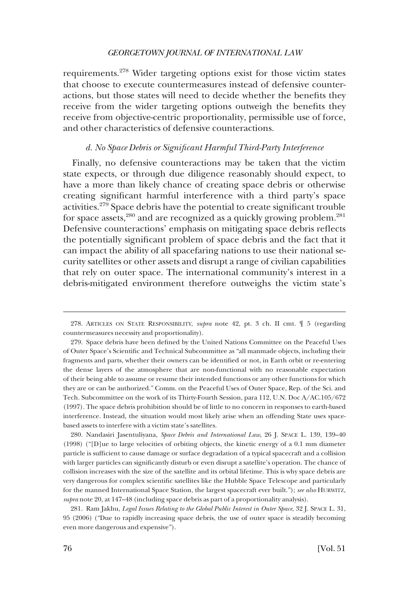<span id="page-65-0"></span>requirements.278 Wider targeting options exist for those victim states that choose to execute countermeasures instead of defensive counteractions, but those states will need to decide whether the benefts they receive from the wider targeting options outweigh the benefts they receive from objective-centric proportionality, permissible use of force, and other characteristics of defensive counteractions.

#### *d. No Space Debris or Signifcant Harmful Third-Party Interference*

Finally, no defensive counteractions may be taken that the victim state expects, or through due diligence reasonably should expect, to have a more than likely chance of creating space debris or otherwise creating signifcant harmful interference with a third party's space activities.279 Space debris have the potential to create signifcant trouble for space assets,<sup>280</sup> and are recognized as a quickly growing problem.<sup>281</sup> Defensive counteractions' emphasis on mitigating space debris refects the potentially signifcant problem of space debris and the fact that it can impact the ability of all spacefaring nations to use their national security satellites or other assets and disrupt a range of civilian capabilities that rely on outer space. The international community's interest in a debris-mitigated environment therefore outweighs the victim state's

<sup>278.</sup> ARTICLES ON STATE RESPONSIBILITY, *supra* note 42, pt. 3 ch. II cmt. ¶ 5 (regarding countermeasures necessity and proportionality).

<sup>279.</sup> Space debris have been defned by the United Nations Committee on the Peaceful Uses of Outer Space's Scientifc and Technical Subcommittee as "all manmade objects, including their fragments and parts, whether their owners can be identifed or not, in Earth orbit or re-entering the dense layers of the atmosphere that are non-functional with no reasonable expectation of their being able to assume or resume their intended functions or any other functions for which they are or can be authorized." Comm. on the Peaceful Uses of Outer Space, Rep. of the Sci. and Tech. Subcommittee on the work of its Thirty-Fourth Session, para 112, U.N. Doc A/AC.105/672 (1997). The space debris prohibition should be of little to no concern in responses to earth-based interference. Instead, the situation would most likely arise when an offending State uses spacebased assets to interfere with a victim state's satellites.

<sup>280.</sup> Nandasiri Jasentuliyana, *Space Debris and International Law*, 26 J. SPACE L. 139, 139–40 (1998) ("[D]ue to large velocities of orbiting objects, the kinetic energy of a 0.1 mm diameter particle is sufficient to cause damage or surface degradation of a typical spacecraft and a collision with larger particles can signifcantly disturb or even disrupt a satellite's operation. The chance of collision increases with the size of the satellite and its orbital lifetime. This is why space debris are very dangerous for complex scientifc satellites like the Hubble Space Telescope and particularly for the manned International Space Station, the largest spacecraft ever built."); *see also* HURWITZ, *supra* note 20, at 147–48 (including space debris as part of a proportionality analysis).

<sup>281.</sup> Ram Jakhu, *Legal Issues Relating to the Global Public Interest in Outer Space*, 32 J. SPACE L. 31, 95 (2006) ("Due to rapidly increasing space debris, the use of outer space is steadily becoming even more dangerous and expensive").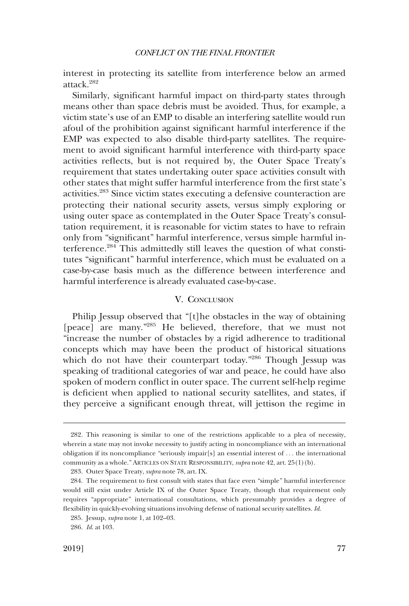<span id="page-66-0"></span>interest in protecting its satellite from interference below an armed attack.282

Similarly, signifcant harmful impact on third-party states through means other than space debris must be avoided. Thus, for example, a victim state's use of an EMP to disable an interfering satellite would run afoul of the prohibition against signifcant harmful interference if the EMP was expected to also disable third-party satellites. The requirement to avoid signifcant harmful interference with third-party space activities refects, but is not required by, the Outer Space Treaty's requirement that states undertaking outer space activities consult with other states that might suffer harmful interference from the frst state's activities.283 Since victim states executing a defensive counteraction are protecting their national security assets, versus simply exploring or using outer space as contemplated in the Outer Space Treaty's consultation requirement, it is reasonable for victim states to have to refrain only from "signifcant" harmful interference, versus simple harmful interference.<sup>284</sup> This admittedly still leaves the question of what constitutes "signifcant" harmful interference, which must be evaluated on a case-by-case basis much as the difference between interference and harmful interference is already evaluated case-by-case.

# V. CONCLUSION

Philip Jessup observed that "[t]he obstacles in the way of obtaining [peace] are many."<sup>285</sup> He believed, therefore, that we must not "increase the number of obstacles by a rigid adherence to traditional concepts which may have been the product of historical situations which do not have their counterpart today."286 Though Jessup was speaking of traditional categories of war and peace, he could have also spoken of modern confict in outer space. The current self-help regime is defcient when applied to national security satellites, and states, if they perceive a signifcant enough threat, will jettison the regime in

<sup>282.</sup> This reasoning is similar to one of the restrictions applicable to a plea of necessity, wherein a state may not invoke necessity to justify acting in noncompliance with an international obligation if its noncompliance "seriously impair[s] an essential interest of . . . the international community as a whole." ARTICLES ON STATE RESPONSIBILITY, *supra* note 42, art. 25(1)(b).

<sup>283.</sup> Outer Space Treaty, *supra* note 78, art. IX.

<sup>284.</sup> The requirement to frst consult with states that face even "simple" harmful interference would still exist under Article IX of the Outer Space Treaty, though that requirement only requires "appropriate" international consultations, which presumably provides a degree of fexibility in quickly-evolving situations involving defense of national security satellites. *Id*.

<sup>285.</sup> Jessup, *supra* note 1, at 102–03.

<sup>286.</sup> *Id*. at 103.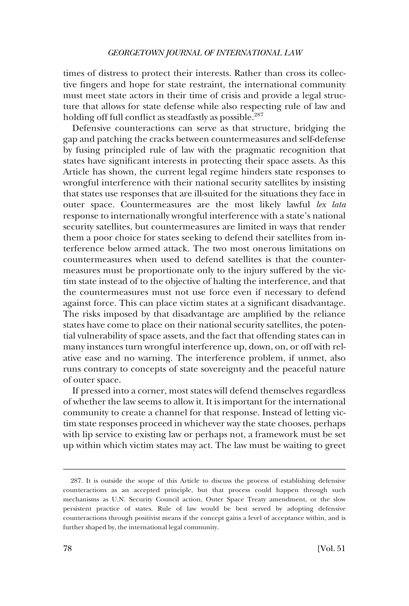times of distress to protect their interests. Rather than cross its collective fngers and hope for state restraint, the international community must meet state actors in their time of crisis and provide a legal structure that allows for state defense while also respecting rule of law and holding off full conflict as steadfastly as possible.<sup>287</sup>

Defensive counteractions can serve as that structure, bridging the gap and patching the cracks between countermeasures and self-defense by fusing principled rule of law with the pragmatic recognition that states have signifcant interests in protecting their space assets. As this Article has shown, the current legal regime hinders state responses to wrongful interference with their national security satellites by insisting that states use responses that are ill-suited for the situations they face in outer space. Countermeasures are the most likely lawful *lex lata*  response to internationally wrongful interference with a state's national security satellites, but countermeasures are limited in ways that render them a poor choice for states seeking to defend their satellites from interference below armed attack. The two most onerous limitations on countermeasures when used to defend satellites is that the countermeasures must be proportionate only to the injury suffered by the victim state instead of to the objective of halting the interference, and that the countermeasures must not use force even if necessary to defend against force. This can place victim states at a signifcant disadvantage. The risks imposed by that disadvantage are amplifed by the reliance states have come to place on their national security satellites, the potential vulnerability of space assets, and the fact that offending states can in many instances turn wrongful interference up, down, on, or off with relative ease and no warning. The interference problem, if unmet, also runs contrary to concepts of state sovereignty and the peaceful nature of outer space.

If pressed into a corner, most states will defend themselves regardless of whether the law seems to allow it. It is important for the international community to create a channel for that response. Instead of letting victim state responses proceed in whichever way the state chooses, perhaps with lip service to existing law or perhaps not, a framework must be set up within which victim states may act. The law must be waiting to greet

<sup>287.</sup> It is outside the scope of this Article to discuss the process of establishing defensive counteractions as an accepted principle, but that process could happen through such mechanisms as U.N. Security Council action, Outer Space Treaty amendment, or the slow persistent practice of states. Rule of law would be best served by adopting defensive counteractions through positivist means if the concept gains a level of acceptance within, and is further shaped by, the international legal community.